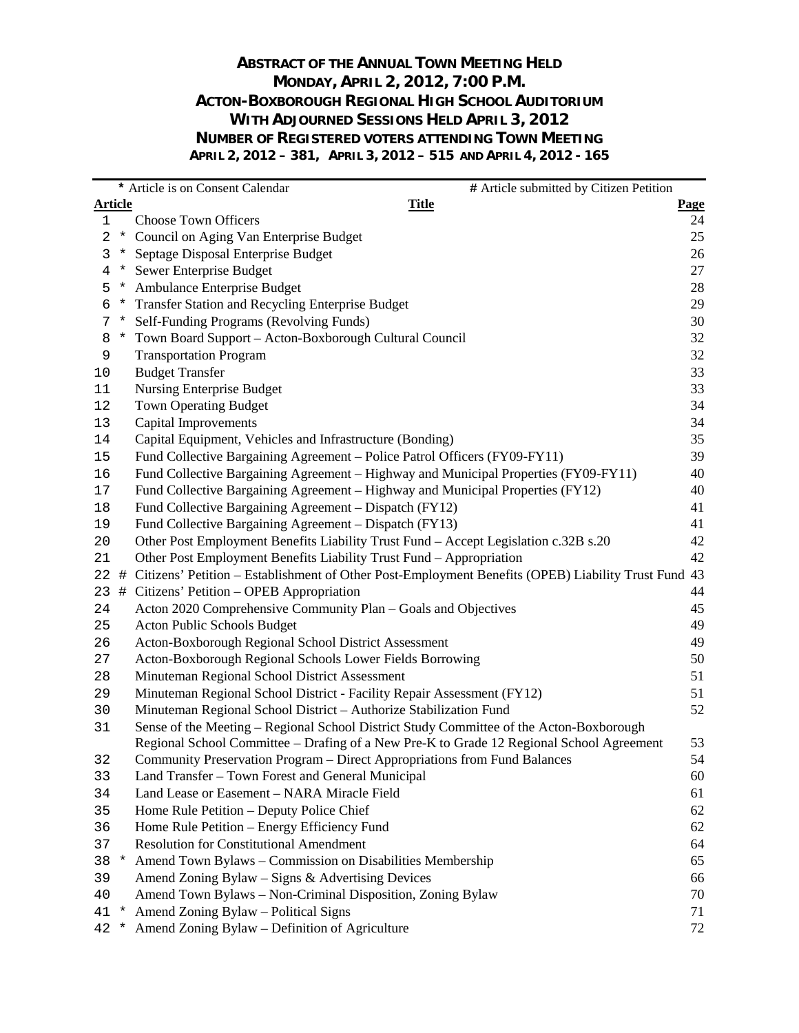#### **ABSTRACT OF THE ANNUAL TOWN MEETING HELD MONDAY, APRIL 2, 2012, 7:00 P.M. ACTON-BOXBOROUGH REGIONAL HIGH SCHOOL AUDITORIUM WITH ADJOURNED SESSIONS HELD APRIL 3, 2012 NUMBER OF REGISTERED VOTERS ATTENDING TOWN MEETING APRIL 2, 2012 – 381, APRIL 3, 2012 – 515 AND APRIL 4, 2012 - 165**

|                |         | * Article is on Consent Calendar<br># Article submitted by Citizen Petition                         |             |
|----------------|---------|-----------------------------------------------------------------------------------------------------|-------------|
| <u>Article</u> |         | <b>Title</b>                                                                                        | <b>Page</b> |
| 1              |         | <b>Choose Town Officers</b>                                                                         | 24          |
| 2              | $\ast$  | Council on Aging Van Enterprise Budget                                                              | 25          |
| 3              | $\star$ | Septage Disposal Enterprise Budget                                                                  | 26          |
| 4              |         | * Sewer Enterprise Budget                                                                           | $27\,$      |
| 5              |         | * Ambulance Enterprise Budget                                                                       | 28          |
| 6              |         | * Transfer Station and Recycling Enterprise Budget                                                  | 29          |
| 7              | $\ast$  | Self-Funding Programs (Revolving Funds)                                                             | 30          |
| 8              | $\star$ | Town Board Support - Acton-Boxborough Cultural Council                                              | 32          |
| 9              |         | <b>Transportation Program</b>                                                                       | 32          |
| $10$           |         | <b>Budget Transfer</b>                                                                              | 33          |
| 11             |         | Nursing Enterprise Budget                                                                           | 33          |
| 12             |         | <b>Town Operating Budget</b>                                                                        | 34          |
| 13             |         | <b>Capital Improvements</b>                                                                         | 34          |
| 14             |         | Capital Equipment, Vehicles and Infrastructure (Bonding)                                            | 35          |
| 15             |         | Fund Collective Bargaining Agreement - Police Patrol Officers (FY09-FY11)                           | 39          |
| 16             |         | Fund Collective Bargaining Agreement – Highway and Municipal Properties (FY09-FY11)                 | 40          |
| 17             |         | Fund Collective Bargaining Agreement – Highway and Municipal Properties (FY12)                      | 40          |
| 18             |         | Fund Collective Bargaining Agreement - Dispatch (FY12)                                              | 41          |
| 19             |         | Fund Collective Bargaining Agreement - Dispatch (FY13)                                              | 41          |
| $20\,$         |         | Other Post Employment Benefits Liability Trust Fund - Accept Legislation c.32B s.20                 | 42          |
| 21             |         | Other Post Employment Benefits Liability Trust Fund - Appropriation                                 | 42          |
| 22             | #       | Citizens' Petition - Establishment of Other Post-Employment Benefits (OPEB) Liability Trust Fund 43 |             |
| 23             | #       | Citizens' Petition - OPEB Appropriation                                                             | 44          |
| 24             |         | Acton 2020 Comprehensive Community Plan - Goals and Objectives                                      | 45          |
| 25             |         | Acton Public Schools Budget                                                                         | 49          |
| 26             |         | Acton-Boxborough Regional School District Assessment                                                | 49          |
| 27             |         | Acton-Boxborough Regional Schools Lower Fields Borrowing                                            | 50          |
| 28             |         | Minuteman Regional School District Assessment                                                       | 51          |
| 29             |         | Minuteman Regional School District - Facility Repair Assessment (FY12)                              | 51          |
| 30             |         | Minuteman Regional School District - Authorize Stabilization Fund                                   | 52          |
| 31             |         | Sense of the Meeting – Regional School District Study Committee of the Acton-Boxborough             |             |
|                |         | Regional School Committee – Drafing of a New Pre-K to Grade 12 Regional School Agreement            | 53          |
| 32             |         | Community Preservation Program - Direct Appropriations from Fund Balances                           | 54          |
| 33             |         | Land Transfer - Town Forest and General Municipal                                                   | 60          |
| 34             |         | Land Lease or Easement - NARA Miracle Field                                                         | 61          |
| 35             |         | Home Rule Petition - Deputy Police Chief                                                            | 62          |
| 36             |         | Home Rule Petition - Energy Efficiency Fund                                                         | 62          |
| 37             |         | <b>Resolution for Constitutional Amendment</b>                                                      | 64          |
| 38             | $\ast$  | Amend Town Bylaws - Commission on Disabilities Membership                                           | 65          |
| 39             |         | Amend Zoning Bylaw – Signs & Advertising Devices                                                    | 66          |
| 40             |         | Amend Town Bylaws - Non-Criminal Disposition, Zoning Bylaw                                          | 70          |
| 41             | $\star$ | Amend Zoning Bylaw - Political Signs                                                                | 71          |
| 42             | $\ast$  | Amend Zoning Bylaw – Definition of Agriculture                                                      | 72          |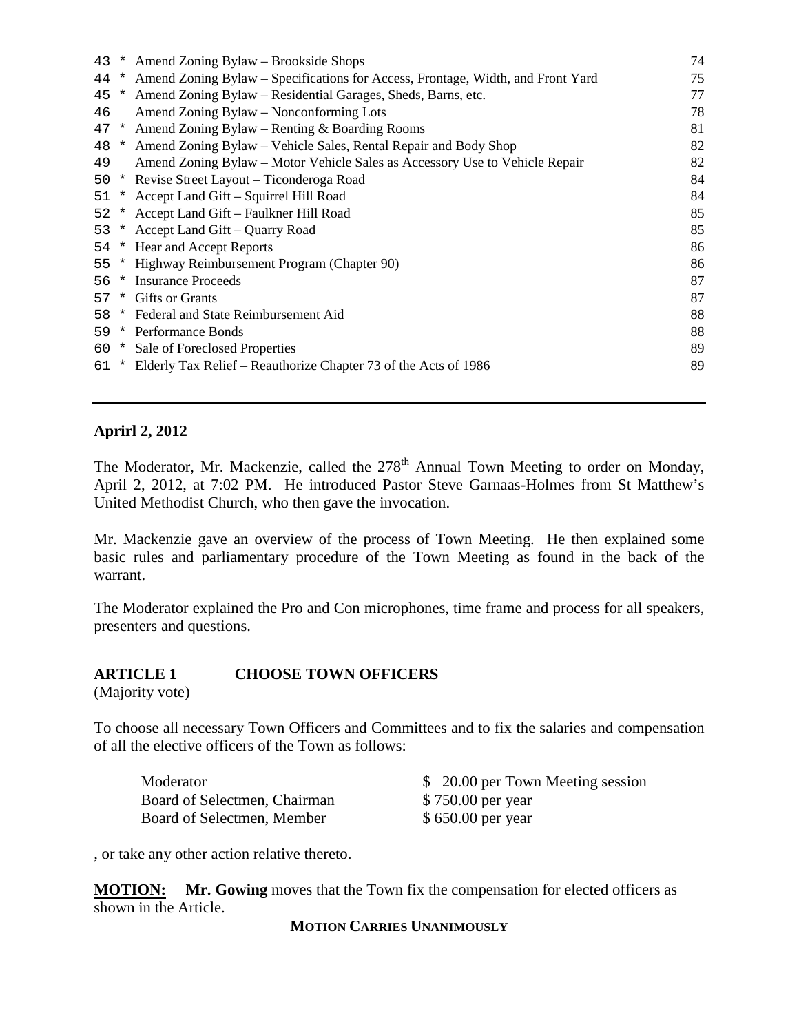| 43   | $\star$ | Amend Zoning Bylaw – Brookside Shops                                            | 74 |
|------|---------|---------------------------------------------------------------------------------|----|
| 44   | $\ast$  | Amend Zoning Bylaw – Specifications for Access, Frontage, Width, and Front Yard | 75 |
| 45   | $\ast$  | Amend Zoning Bylaw – Residential Garages, Sheds, Barns, etc.                    | 77 |
| 46   |         | Amend Zoning Bylaw – Nonconforming Lots                                         | 78 |
| 47   |         | * Amend Zoning Bylaw – Renting $&$ Boarding Rooms                               | 81 |
| 48   |         | * Amend Zoning Bylaw – Vehicle Sales, Rental Repair and Body Shop               | 82 |
| 49   |         | Amend Zoning Bylaw – Motor Vehicle Sales as Accessory Use to Vehicle Repair     | 82 |
| 50   | $\star$ | Revise Street Layout – Ticonderoga Road                                         | 84 |
| 51   |         | * Accept Land Gift - Squirrel Hill Road                                         | 84 |
| 52   |         | * Accept Land Gift – Faulkner Hill Road                                         | 85 |
| 53   |         | * Accept Land Gift – Quarry Road                                                | 85 |
| 54   |         | * Hear and Accept Reports                                                       | 86 |
| 55   |         | * Highway Reimbursement Program (Chapter 90)                                    | 86 |
| 56.  | $\star$ | <b>Insurance Proceeds</b>                                                       | 87 |
| 57   | $\star$ | <b>Gifts or Grants</b>                                                          | 87 |
| 58   |         | * Federal and State Reimbursement Aid                                           | 88 |
| 59   |         | * Performance Bonds                                                             | 88 |
|      |         | 60 * Sale of Foreclosed Properties                                              | 89 |
| 61 * |         | Elderly Tax Relief – Reauthorize Chapter 73 of the Acts of 1986                 | 89 |
|      |         |                                                                                 |    |

#### **Aprirl 2, 2012**

The Moderator, Mr. Mackenzie, called the  $278<sup>th</sup>$  Annual Town Meeting to order on Monday, April 2, 2012, at 7:02 PM. He introduced Pastor Steve Garnaas-Holmes from St Matthew's United Methodist Church, who then gave the invocation.

Mr. Mackenzie gave an overview of the process of Town Meeting. He then explained some basic rules and parliamentary procedure of the Town Meeting as found in the back of the warrant.

The Moderator explained the Pro and Con microphones, time frame and process for all speakers, presenters and questions.

### **ARTICLE 1 CHOOSE TOWN OFFICERS**

(Majority vote)

To choose all necessary Town Officers and Committees and to fix the salaries and compensation of all the elective officers of the Town as follows:

Moderator  $$ 20.00$  per Town Meeting session Board of Selectmen, Chairman \$750.00 per year Board of Selectmen, Member \$ 650.00 per year

, or take any other action relative thereto.

**MOTION:** Mr. Gowing moves that the Town fix the compensation for elected officers as shown in the Article.

**MOTION CARRIES UNANIMOUSLY**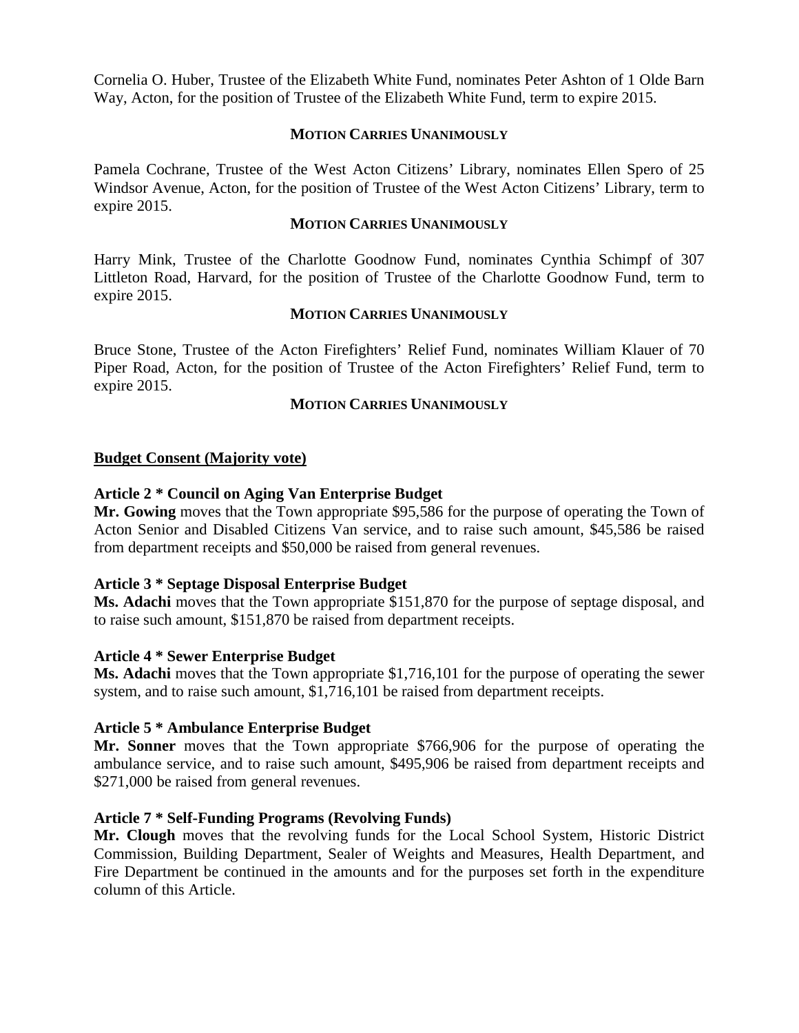Cornelia O. Huber, Trustee of the Elizabeth White Fund, nominates Peter Ashton of 1 Olde Barn Way, Acton, for the position of Trustee of the Elizabeth White Fund, term to expire 2015.

#### **MOTION CARRIES UNANIMOUSLY**

Pamela Cochrane, Trustee of the West Acton Citizens' Library, nominates Ellen Spero of 25 Windsor Avenue, Acton, for the position of Trustee of the West Acton Citizens' Library, term to expire 2015.

#### **MOTION CARRIES UNANIMOUSLY**

Harry Mink, Trustee of the Charlotte Goodnow Fund, nominates Cynthia Schimpf of 307 Littleton Road, Harvard, for the position of Trustee of the Charlotte Goodnow Fund, term to expire 2015.

#### **MOTION CARRIES UNANIMOUSLY**

Bruce Stone, Trustee of the Acton Firefighters' Relief Fund, nominates William Klauer of 70 Piper Road, Acton, for the position of Trustee of the Acton Firefighters' Relief Fund, term to expire 2015.

#### **MOTION CARRIES UNANIMOUSLY**

#### **Budget Consent (Majority vote)**

#### **Article 2 \* Council on Aging Van Enterprise Budget**

**Mr. Gowing** moves that the Town appropriate \$95,586 for the purpose of operating the Town of Acton Senior and Disabled Citizens Van service, and to raise such amount, \$45,586 be raised from department receipts and \$50,000 be raised from general revenues.

#### **Article 3 \* Septage Disposal Enterprise Budget**

**Ms. Adachi** moves that the Town appropriate \$151,870 for the purpose of septage disposal, and to raise such amount, \$151,870 be raised from department receipts.

#### **Article 4 \* Sewer Enterprise Budget**

**Ms. Adachi** moves that the Town appropriate \$1,716,101 for the purpose of operating the sewer system, and to raise such amount, \$1,716,101 be raised from department receipts.

#### **Article 5 \* Ambulance Enterprise Budget**

**Mr. Sonner** moves that the Town appropriate \$766,906 for the purpose of operating the ambulance service, and to raise such amount, \$495,906 be raised from department receipts and \$271,000 be raised from general revenues.

#### **Article 7 \* Self-Funding Programs (Revolving Funds)**

**Mr. Clough** moves that the revolving funds for the Local School System, Historic District Commission, Building Department, Sealer of Weights and Measures, Health Department, and Fire Department be continued in the amounts and for the purposes set forth in the expenditure column of this Article.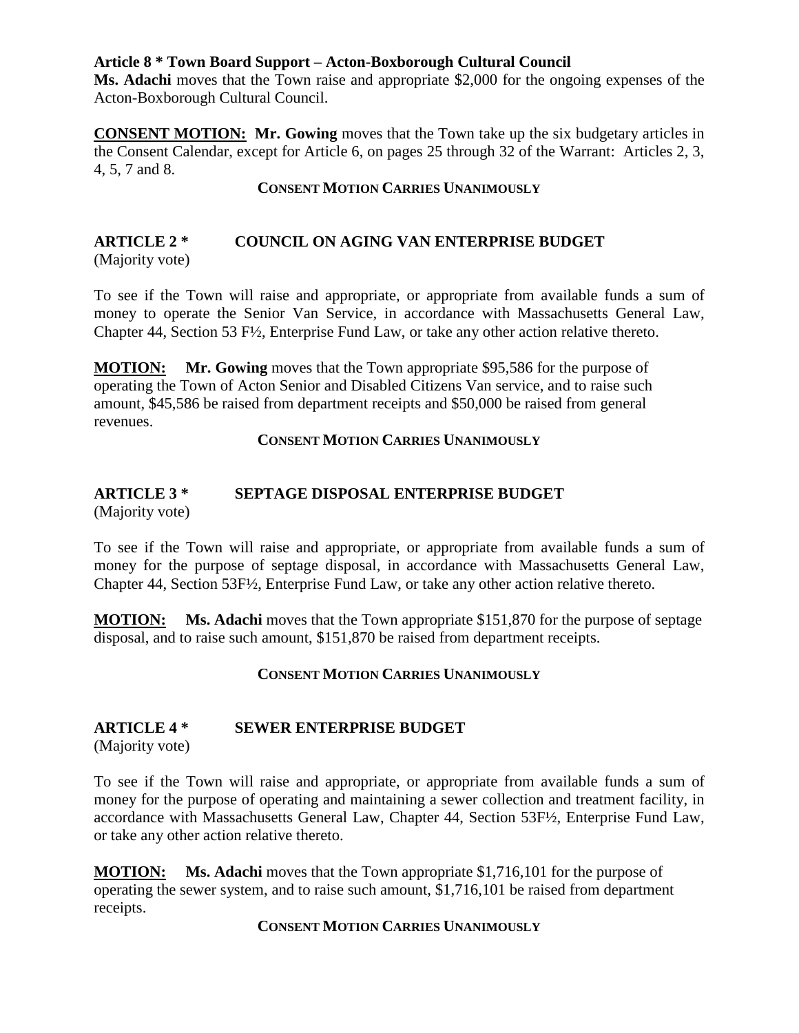#### **Article 8 \* Town Board Support – Acton-Boxborough Cultural Council**

**Ms. Adachi** moves that the Town raise and appropriate \$2,000 for the ongoing expenses of the Acton-Boxborough Cultural Council.

**CONSENT MOTION:** Mr. Gowing moves that the Town take up the six budgetary articles in the Consent Calendar, except for Article 6, on pages 25 through 32 of the Warrant: Articles 2, 3, 4, 5, 7 and 8.

#### **CONSENT MOTION CARRIES UNANIMOUSLY**

# **ARTICLE 2 \* COUNCIL ON AGING VAN ENTERPRISE BUDGET**

(Majority vote)

To see if the Town will raise and appropriate, or appropriate from available funds a sum of money to operate the Senior Van Service, in accordance with Massachusetts General Law, Chapter 44, Section 53 F½, Enterprise Fund Law, or take any other action relative thereto.

**MOTION:** Mr. Gowing moves that the Town appropriate \$95,586 for the purpose of operating the Town of Acton Senior and Disabled Citizens Van service, and to raise such amount, \$45,586 be raised from department receipts and \$50,000 be raised from general revenues.

#### **CONSENT MOTION CARRIES UNANIMOUSLY**

# **ARTICLE 3 \* SEPTAGE DISPOSAL ENTERPRISE BUDGET**

(Majority vote)

To see if the Town will raise and appropriate, or appropriate from available funds a sum of money for the purpose of septage disposal, in accordance with Massachusetts General Law, Chapter 44, Section 53F½, Enterprise Fund Law, or take any other action relative thereto.

**MOTION: Ms. Adachi** moves that the Town appropriate \$151,870 for the purpose of septage disposal, and to raise such amount, \$151,870 be raised from department receipts.

#### **CONSENT MOTION CARRIES UNANIMOUSLY**

#### **ARTICLE 4 \* SEWER ENTERPRISE BUDGET**

(Majority vote)

To see if the Town will raise and appropriate, or appropriate from available funds a sum of money for the purpose of operating and maintaining a sewer collection and treatment facility, in accordance with Massachusetts General Law, Chapter 44, Section 53F½, Enterprise Fund Law, or take any other action relative thereto.

**MOTION: Ms. Adachi** moves that the Town appropriate \$1,716,101 for the purpose of operating the sewer system, and to raise such amount, \$1,716,101 be raised from department receipts.

#### **CONSENT MOTION CARRIES UNANIMOUSLY**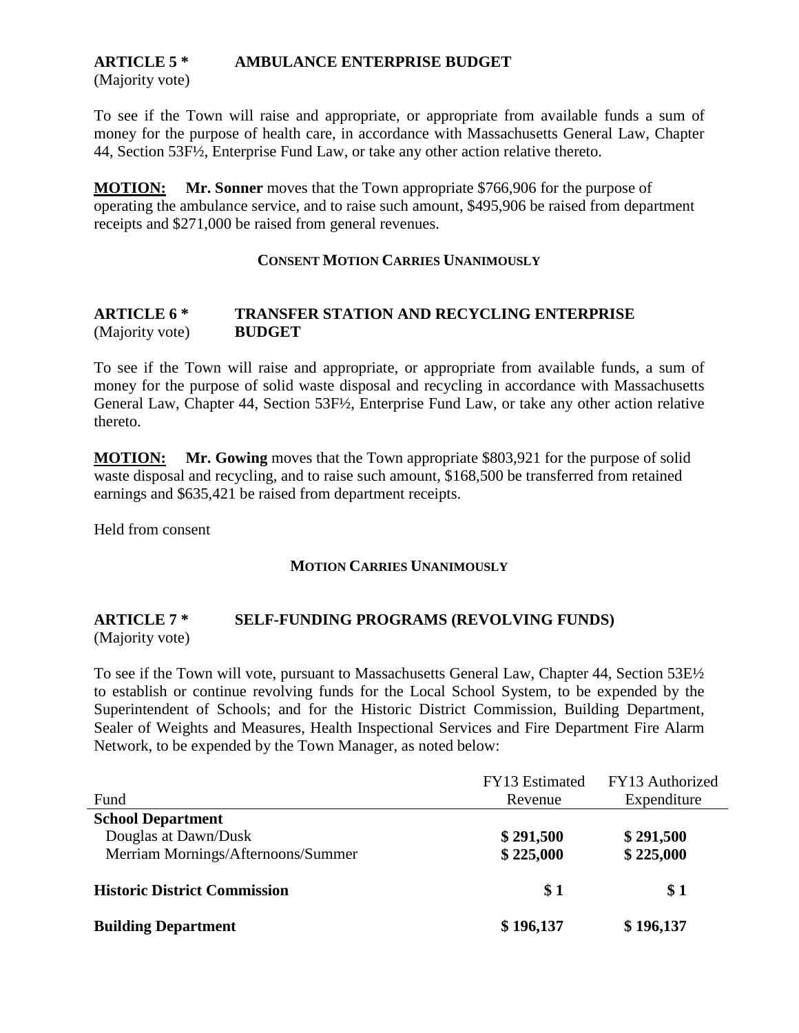## **ARTICLE 5 \* AMBULANCE ENTERPRISE BUDGET**

(Majority vote)

To see if the Town will raise and appropriate, or appropriate from available funds a sum of money for the purpose of health care, in accordance with Massachusetts General Law, Chapter 44, Section 53F½, Enterprise Fund Law, or take any other action relative thereto.

**MOTION: Mr. Sonner** moves that the Town appropriate \$766,906 for the purpose of operating the ambulance service, and to raise such amount, \$495,906 be raised from department receipts and \$271,000 be raised from general revenues.

#### **CONSENT MOTION CARRIES UNANIMOUSLY**

#### **ARTICLE 6 \* TRANSFER STATION AND RECYCLING ENTERPRISE**  (Majority vote) **BUDGET**

To see if the Town will raise and appropriate, or appropriate from available funds, a sum of money for the purpose of solid waste disposal and recycling in accordance with Massachusetts General Law, Chapter 44, Section 53F½, Enterprise Fund Law, or take any other action relative thereto.

**MOTION: Mr. Gowing** moves that the Town appropriate \$803,921 for the purpose of solid waste disposal and recycling, and to raise such amount, \$168,500 be transferred from retained earnings and \$635,421 be raised from department receipts.

Held from consent

#### **MOTION CARRIES UNANIMOUSLY**

#### **ARTICLE 7 \* SELF-FUNDING PROGRAMS (REVOLVING FUNDS)** (Majority vote)

To see if the Town will vote, pursuant to Massachusetts General Law, Chapter 44, Section 53E½ to establish or continue revolving funds for the Local School System, to be expended by the Superintendent of Schools; and for the Historic District Commission, Building Department, Sealer of Weights and Measures, Health Inspectional Services and Fire Department Fire Alarm Network, to be expended by the Town Manager, as noted below:

|                                     | FY13 Estimated | FY13 Authorized |
|-------------------------------------|----------------|-----------------|
| Fund                                | Revenue        | Expenditure     |
| <b>School Department</b>            |                |                 |
| Douglas at Dawn/Dusk                | \$291,500      | \$291,500       |
| Merriam Mornings/Afternoons/Summer  | \$225,000      | \$225,000       |
| <b>Historic District Commission</b> | \$1            | \$1             |
| <b>Building Department</b>          | \$196,137      | \$196,137       |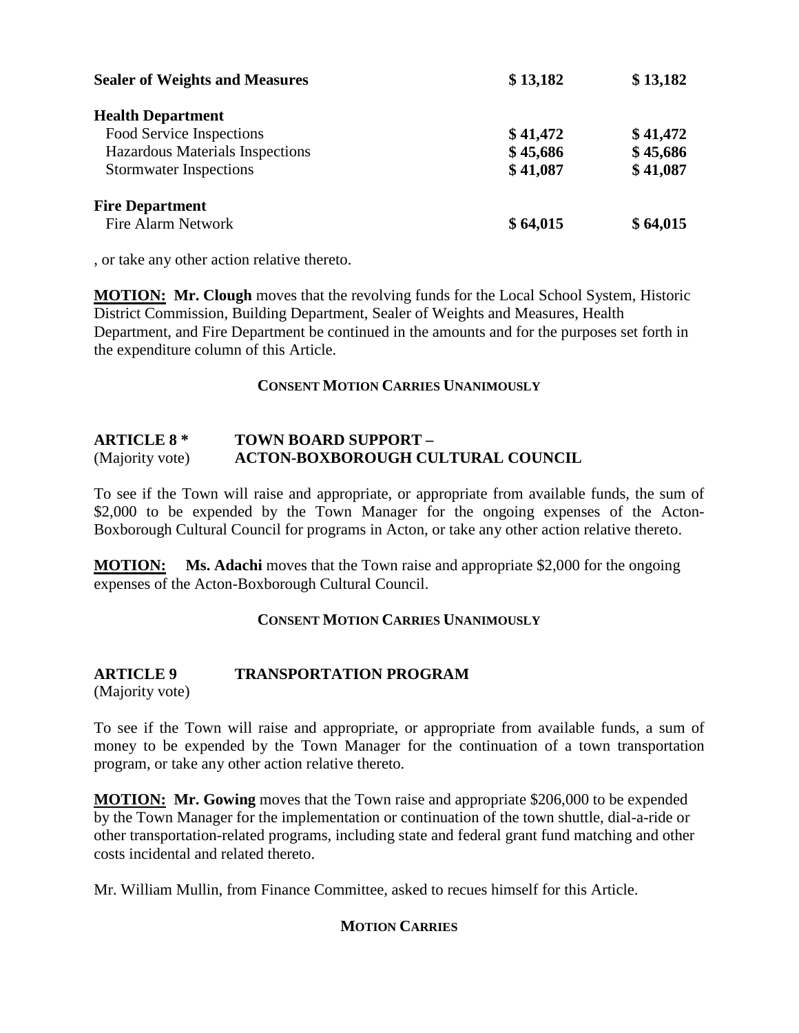| <b>Sealer of Weights and Measures</b> | \$13,182 | \$13,182 |  |
|---------------------------------------|----------|----------|--|
| <b>Health Department</b>              |          |          |  |
| Food Service Inspections              | \$41,472 | \$41,472 |  |
| Hazardous Materials Inspections       | \$45,686 | \$45,686 |  |
| <b>Stormwater Inspections</b>         | \$41,087 | \$41,087 |  |
| <b>Fire Department</b>                |          |          |  |
| <b>Fire Alarm Network</b>             | \$64,015 | \$64,015 |  |

, or take any other action relative thereto.

**MOTION: Mr. Clough** moves that the revolving funds for the Local School System, Historic District Commission, Building Department, Sealer of Weights and Measures, Health Department, and Fire Department be continued in the amounts and for the purposes set forth in the expenditure column of this Article.

#### **CONSENT MOTION CARRIES UNANIMOUSLY**

#### **ARTICLE 8 \* TOWN BOARD SUPPORT –** (Majority vote) **ACTON-BOXBOROUGH CULTURAL COUNCIL**

To see if the Town will raise and appropriate, or appropriate from available funds, the sum of \$2,000 to be expended by the Town Manager for the ongoing expenses of the Acton-Boxborough Cultural Council for programs in Acton, or take any other action relative thereto.

**MOTION: Ms. Adachi** moves that the Town raise and appropriate \$2,000 for the ongoing expenses of the Acton-Boxborough Cultural Council.

#### **CONSENT MOTION CARRIES UNANIMOUSLY**

### **ARTICLE 9 TRANSPORTATION PROGRAM**

(Majority vote)

To see if the Town will raise and appropriate, or appropriate from available funds, a sum of money to be expended by the Town Manager for the continuation of a town transportation program, or take any other action relative thereto.

**MOTION: Mr. Gowing** moves that the Town raise and appropriate \$206,000 to be expended by the Town Manager for the implementation or continuation of the town shuttle, dial-a-ride or other transportation-related programs, including state and federal grant fund matching and other costs incidental and related thereto.

Mr. William Mullin, from Finance Committee, asked to recues himself for this Article.

#### **MOTION CARRIES**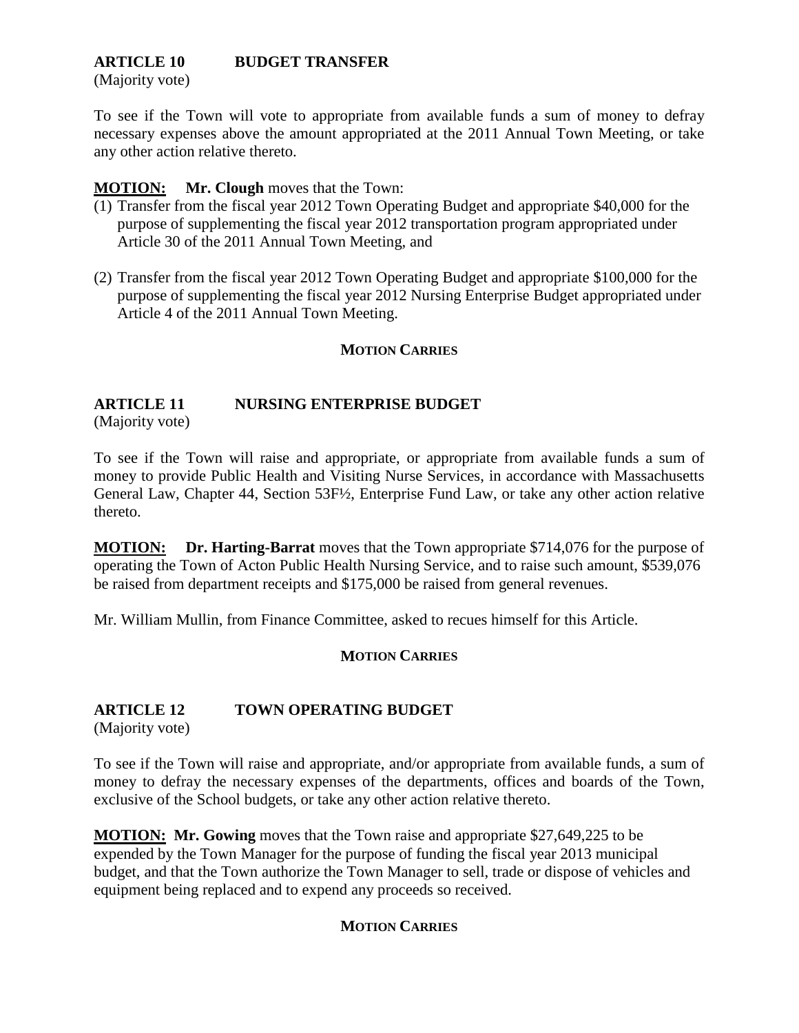# **ARTICLE 10 BUDGET TRANSFER**

(Majority vote)

To see if the Town will vote to appropriate from available funds a sum of money to defray necessary expenses above the amount appropriated at the 2011 Annual Town Meeting, or take any other action relative thereto.

#### **MOTION: Mr. Clough** moves that the Town:

- (1) Transfer from the fiscal year 2012 Town Operating Budget and appropriate \$40,000 for the purpose of supplementing the fiscal year 2012 transportation program appropriated under Article 30 of the 2011 Annual Town Meeting, and
- (2) Transfer from the fiscal year 2012 Town Operating Budget and appropriate \$100,000 for the purpose of supplementing the fiscal year 2012 Nursing Enterprise Budget appropriated under Article 4 of the 2011 Annual Town Meeting.

#### **MOTION CARRIES**

#### **ARTICLE 11 NURSING ENTERPRISE BUDGET**

(Majority vote)

To see if the Town will raise and appropriate, or appropriate from available funds a sum of money to provide Public Health and Visiting Nurse Services, in accordance with Massachusetts General Law, Chapter 44, Section 53F½, Enterprise Fund Law, or take any other action relative thereto.

**MOTION: Dr. Harting-Barrat** moves that the Town appropriate \$714,076 for the purpose of operating the Town of Acton Public Health Nursing Service, and to raise such amount, \$539,076 be raised from department receipts and \$175,000 be raised from general revenues.

Mr. William Mullin, from Finance Committee, asked to recues himself for this Article.

#### **MOTION CARRIES**

## **ARTICLE 12 TOWN OPERATING BUDGET**

(Majority vote)

To see if the Town will raise and appropriate, and/or appropriate from available funds, a sum of money to defray the necessary expenses of the departments, offices and boards of the Town, exclusive of the School budgets, or take any other action relative thereto.

**MOTION: Mr. Gowing** moves that the Town raise and appropriate \$27,649,225 to be expended by the Town Manager for the purpose of funding the fiscal year 2013 municipal budget, and that the Town authorize the Town Manager to sell, trade or dispose of vehicles and equipment being replaced and to expend any proceeds so received.

#### **MOTION CARRIES**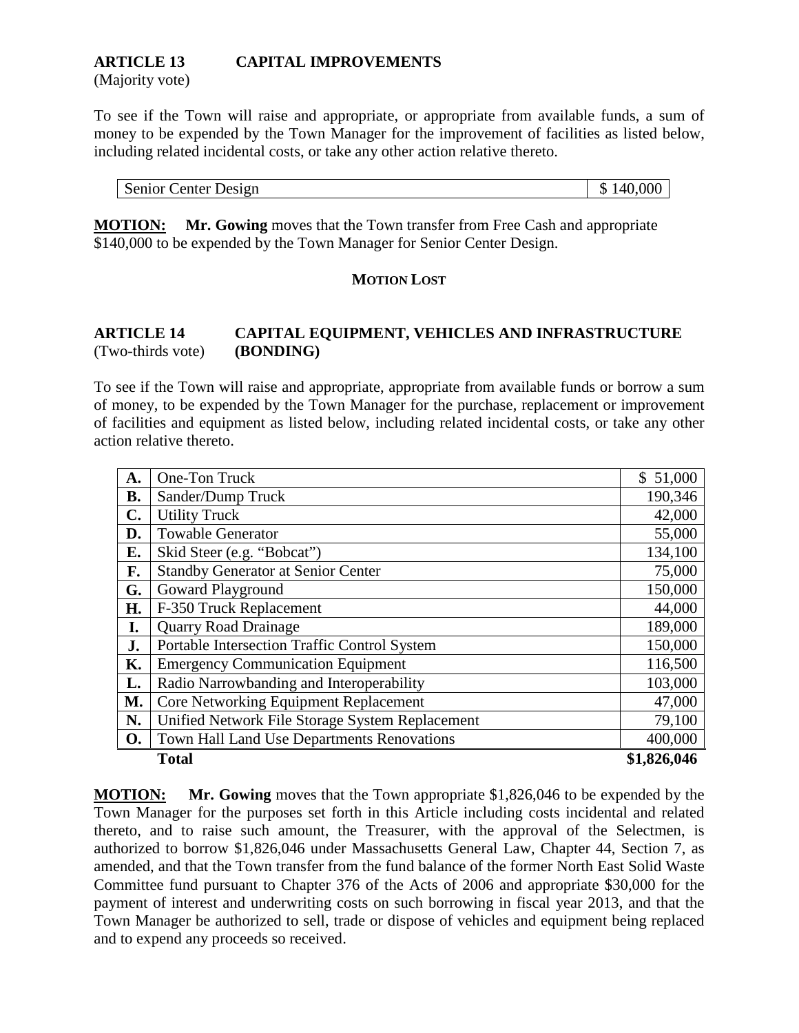## **ARTICLE 13 CAPITAL IMPROVEMENTS**

(Majority vote)

To see if the Town will raise and appropriate, or appropriate from available funds, a sum of money to be expended by the Town Manager for the improvement of facilities as listed below, including related incidental costs, or take any other action relative thereto.

| Senior Center Design | $\frac{1}{2}$ \$140,000 |
|----------------------|-------------------------|
|                      |                         |

**MOTION: Mr. Gowing** moves that the Town transfer from Free Cash and appropriate \$140,000 to be expended by the Town Manager for Senior Center Design.

#### **MOTION LOST**

#### **ARTICLE 14 CAPITAL EQUIPMENT, VEHICLES AND INFRASTRUCTURE** (Two-thirds vote) **(BONDING)**

To see if the Town will raise and appropriate, appropriate from available funds or borrow a sum of money, to be expended by the Town Manager for the purchase, replacement or improvement of facilities and equipment as listed below, including related incidental costs, or take any other action relative thereto.

| A.        | One-Ton Truck                                   | \$51,000    |
|-----------|-------------------------------------------------|-------------|
| <b>B.</b> | Sander/Dump Truck                               | 190,346     |
| C.        | <b>Utility Truck</b>                            | 42,000      |
| D.        | <b>Towable Generator</b>                        | 55,000      |
| E.        | Skid Steer (e.g. "Bobcat")                      | 134,100     |
| F.        | <b>Standby Generator at Senior Center</b>       | 75,000      |
| G.        | Goward Playground                               | 150,000     |
| H.        | F-350 Truck Replacement                         | 44,000      |
| I.        | <b>Quarry Road Drainage</b>                     | 189,000     |
| J.        | Portable Intersection Traffic Control System    | 150,000     |
| Κ.        | <b>Emergency Communication Equipment</b>        | 116,500     |
| L.        | Radio Narrowbanding and Interoperability        | 103,000     |
| M.        | Core Networking Equipment Replacement           | 47,000      |
| N.        | Unified Network File Storage System Replacement | 79,100      |
| <b>O.</b> | Town Hall Land Use Departments Renovations      | 400,000     |
|           | <b>Total</b>                                    | \$1,826,046 |

**MOTION: Mr. Gowing** moves that the Town appropriate \$1,826,046 to be expended by the Town Manager for the purposes set forth in this Article including costs incidental and related thereto, and to raise such amount, the Treasurer, with the approval of the Selectmen, is authorized to borrow \$1,826,046 under Massachusetts General Law, Chapter 44, Section 7, as amended, and that the Town transfer from the fund balance of the former North East Solid Waste Committee fund pursuant to Chapter 376 of the Acts of 2006 and appropriate \$30,000 for the payment of interest and underwriting costs on such borrowing in fiscal year 2013, and that the Town Manager be authorized to sell, trade or dispose of vehicles and equipment being replaced and to expend any proceeds so received.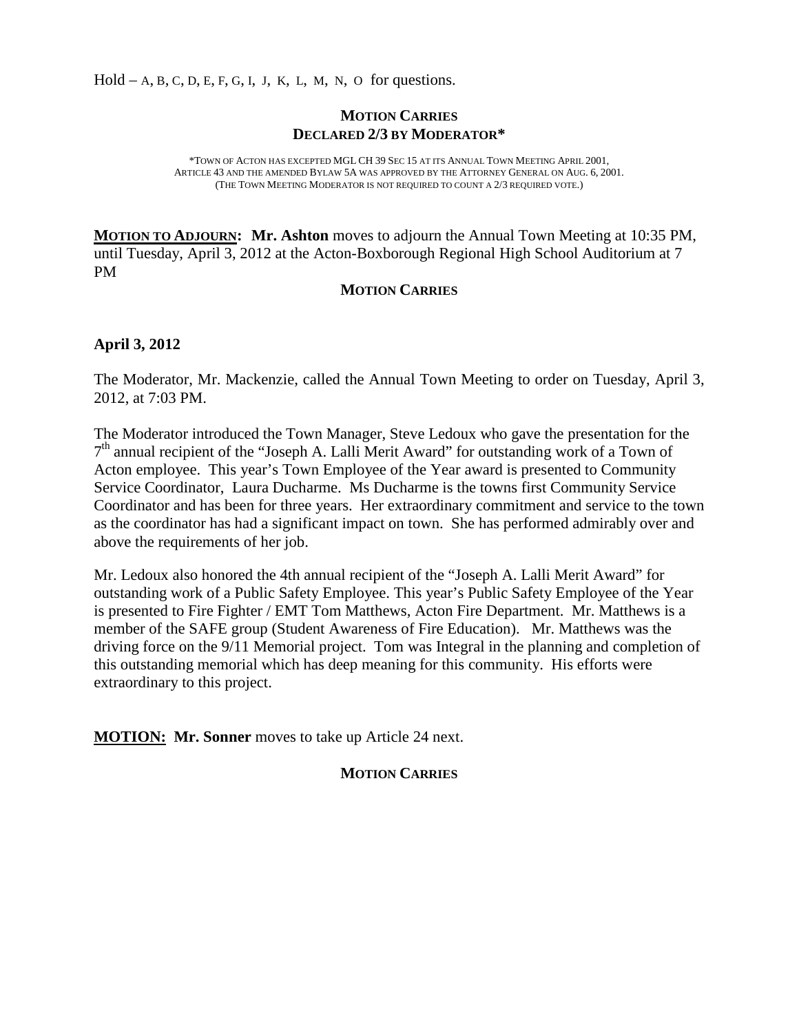$Hold - A, B, C, D, E, F, G, I, J, K, L, M, N, O for questions.$ 

#### **MOTION CARRIES DECLARED 2/3 BY MODERATOR\***

\*TOWN OF ACTON HAS EXCEPTED MGL CH 39 SEC 15 AT ITS ANNUAL TOWN MEETING APRIL 2001, ARTICLE 43 AND THE AMENDED BYLAW 5A WAS APPROVED BY THE ATTORNEY GENERAL ON AUG. 6, 2001. (THE TOWN MEETING MODERATOR IS NOT REQUIRED TO COUNT A 2/3 REQUIRED VOTE.)

**MOTION TO ADJOURN : Mr. Ashton** moves to adjourn the Annual Town Meeting at 10:35 PM, until Tuesday, April 3, 2012 at the Acton-Boxborough Regional High School Auditorium at 7 PM

#### **MOTION CARRIES**

#### **April 3, 2012**

The Moderator, Mr. Mackenzie, called the Annual Town Meeting to order on Tuesday, April 3, 2012, at 7:03 PM.

The Moderator introduced the Town Manager, Steve Ledoux who gave the presentation for the  $7<sup>th</sup>$  annual recipient of the "Joseph A. Lalli Merit Award" for outstanding work of a Town of Acton employee. This year's Town Employee of the Year award is presented to Community Service Coordinator, Laura Ducharme. Ms Ducharme is the towns first Community Service Coordinator and has been for three years. Her extraordinary commitment and service to the town as the coordinator has had a significant impact on town. She has performed admirably over and above the requirements of her job.

Mr. Ledoux also honored the 4th annual recipient of the "Joseph A. Lalli Merit Award" for outstanding work of a Public Safety Employee. This year's Public Safety Employee of the Year is presented to Fire Fighter / EMT Tom Matthews, Acton Fire Department. Mr. Matthews is a member of the SAFE group (Student Awareness of Fire Education). Mr. Matthews was the driving force on the 9/11 Memorial project. Tom was Integral in the planning and completion of this outstanding memorial which has deep meaning for this community. His efforts were extraordinary to this project.

**MOTION: Mr. Sonner** moves to take up Article 24 next.

#### **MOTION CARRIES**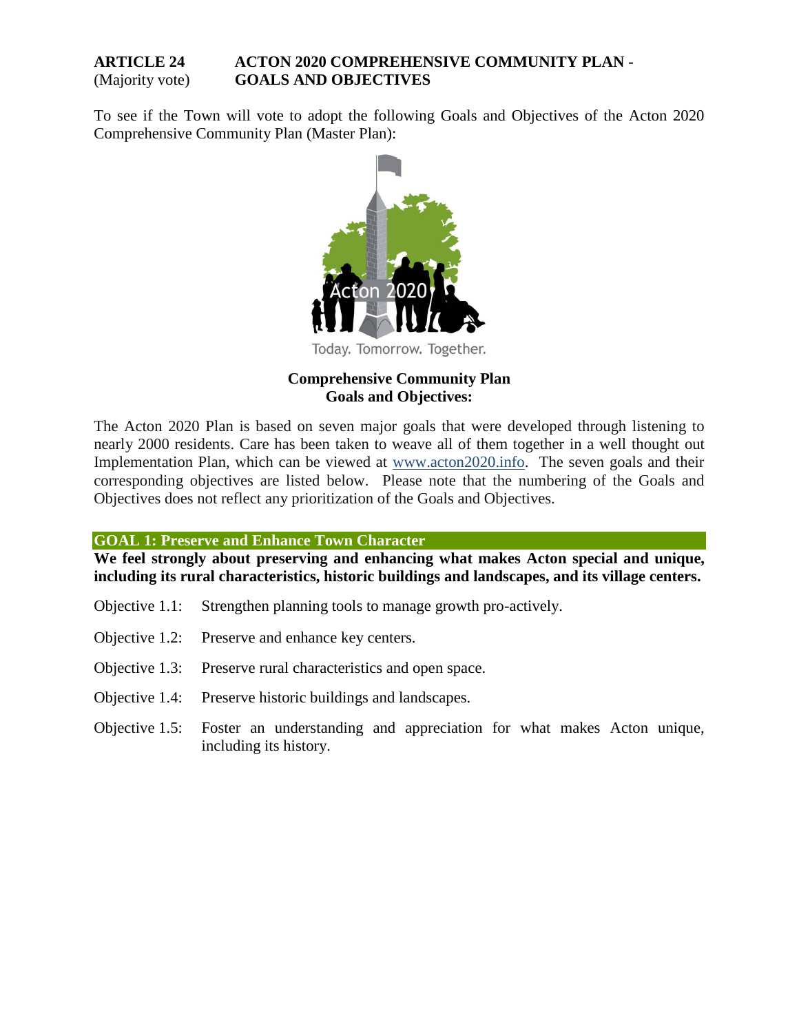#### **ARTICLE 24 ACTON 2020 COMPREHENSIVE COMMUNITY PLAN -** (Majority vote) **GOALS AND OBJECTIVES**

To see if the Town will vote to adopt the following Goals and Objectives of the Acton 2020 Comprehensive Community Plan (Master Plan):



Today. Tomorrow. Together.

#### **Comprehensive Community Plan Goals and Objectives:**

The Acton 2020 Plan is based on seven major goals that were developed through listening to nearly 2000 residents. Care has been taken to weave all of them together in a well thought out Implementation Plan, which can be viewed at [www.acton2020.info.](http://www.acton2020.info/) The seven goals and their corresponding objectives are listed below. Please note that the numbering of the Goals and Objectives does not reflect any prioritization of the Goals and Objectives.

**GOAL 1: Preserve and Enhance Town Character**

**We feel strongly about preserving and enhancing what makes Acton special and unique, including its rural characteristics, historic buildings and landscapes, and its village centers.**

- Objective 1.1: Strengthen planning tools to manage growth pro-actively.
- Objective 1.2: Preserve and enhance key centers.
- Objective 1.3: Preserve rural characteristics and open space.
- Objective 1.4: Preserve historic buildings and landscapes.
- Objective 1.5: Foster an understanding and appreciation for what makes Acton unique, including its history.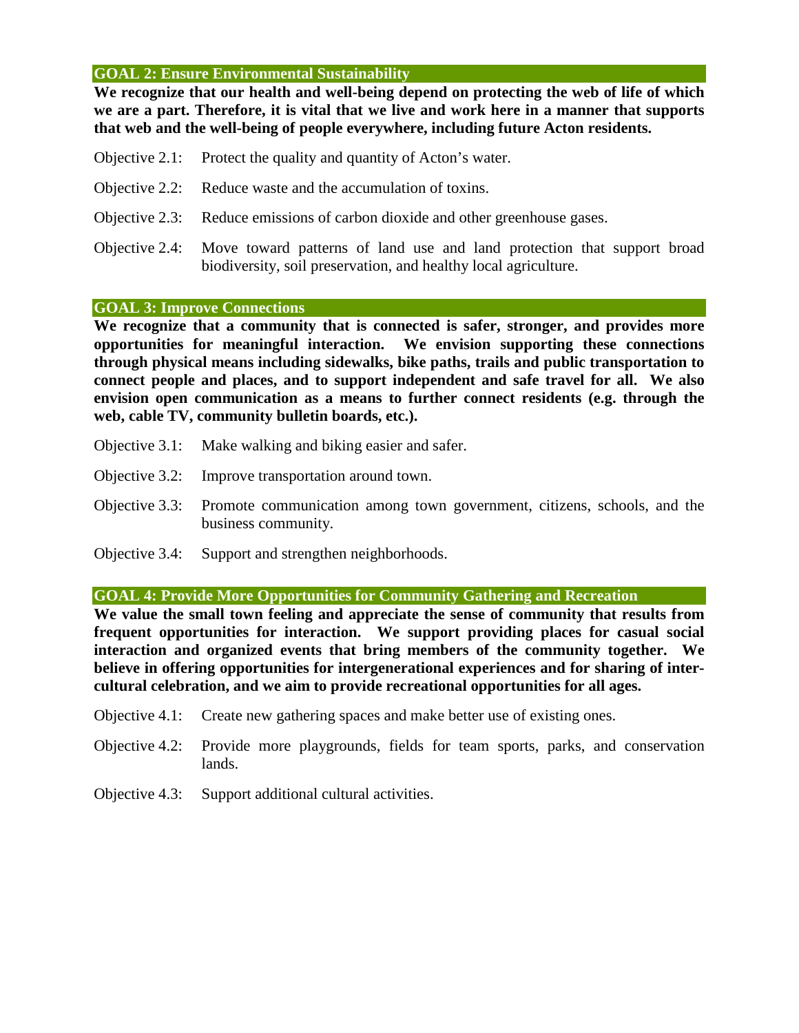#### **GOAL 2: Ensure Environmental Sustainability**

**We recognize that our health and well-being depend on protecting the web of life of which we are a part. Therefore, it is vital that we live and work here in a manner that supports that web and the well-being of people everywhere, including future Acton residents.**

- Objective 2.1: Protect the quality and quantity of Acton's water.
- Objective 2.2: Reduce waste and the accumulation of toxins.
- Objective 2.3: Reduce emissions of carbon dioxide and other greenhouse gases.
- Objective 2.4: Move toward patterns of land use and land protection that support broad biodiversity, soil preservation, and healthy local agriculture.

#### **GOAL 3: Improve Connections**

**We recognize that a community that is connected is safer, stronger, and provides more opportunities for meaningful interaction. We envision supporting these connections through physical means including sidewalks, bike paths, trails and public transportation to connect people and places, and to support independent and safe travel for all. We also envision open communication as a means to further connect residents (e.g. through the web, cable TV, community bulletin boards, etc.).**

- Objective 3.1: Make walking and biking easier and safer.
- Objective 3.2: Improve transportation around town.
- Objective 3.3: Promote communication among town government, citizens, schools, and the business community.
- Objective 3.4: Support and strengthen neighborhoods.

**GOAL 4: Provide More Opportunities for Community Gathering and Recreation**

**We value the small town feeling and appreciate the sense of community that results from frequent opportunities for interaction. We support providing places for casual social interaction and organized events that bring members of the community together. We believe in offering opportunities for intergenerational experiences and for sharing of intercultural celebration, and we aim to provide recreational opportunities for all ages.**

- Objective 4.1: Create new gathering spaces and make better use of existing ones.
- Objective 4.2: Provide more playgrounds, fields for team sports, parks, and conservation lands.
- Objective 4.3: Support additional cultural activities.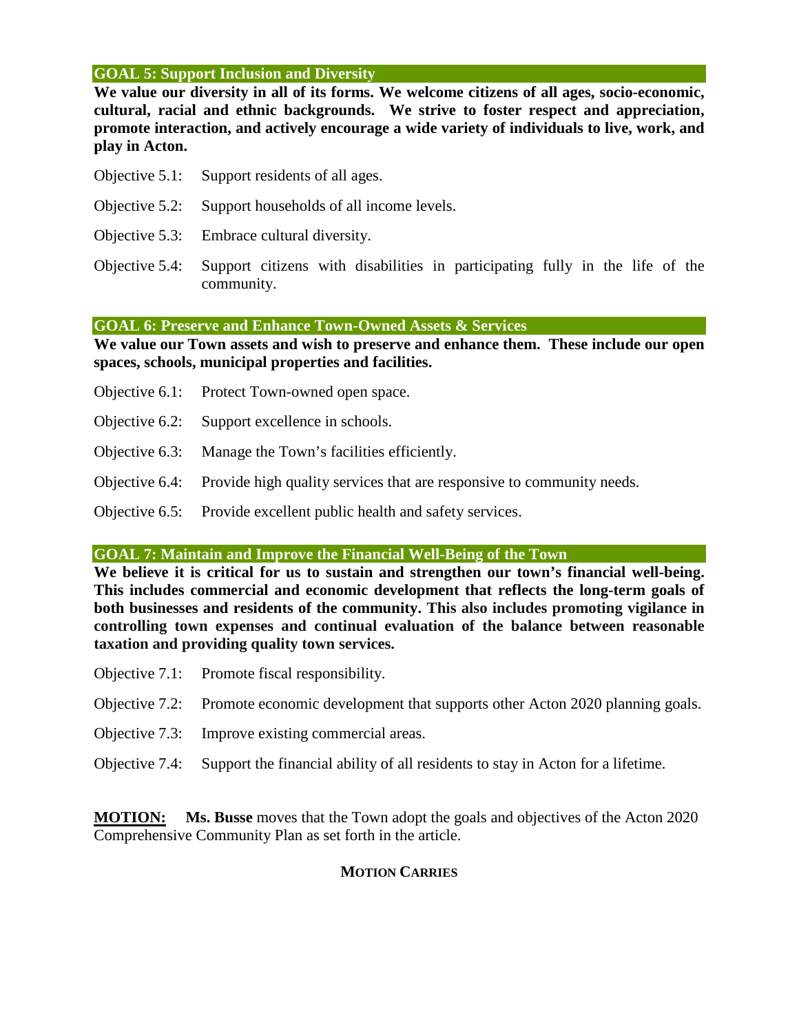#### **GOAL 5: Support Inclusion and Diversity**

**We value our diversity in all of its forms. We welcome citizens of all ages, socio-economic, cultural, racial and ethnic backgrounds. We strive to foster respect and appreciation, promote interaction, and actively encourage a wide variety of individuals to live, work, and play in Acton.** 

- Objective 5.1: Support residents of all ages.
- Objective 5.2: Support households of all income levels.
- Objective 5.3: Embrace cultural diversity.
- Objective 5.4: Support citizens with disabilities in participating fully in the life of the community.

#### **GOAL 6: Preserve and Enhance Town-Owned Assets & Services**

**We value our Town assets and wish to preserve and enhance them. These include our open spaces, schools, municipal properties and facilities.**

- Objective 6.1: Protect Town-owned open space.
- Objective 6.2: Support excellence in schools.
- Objective 6.3: Manage the Town's facilities efficiently.
- Objective 6.4: Provide high quality services that are responsive to community needs.
- Objective 6.5: Provide excellent public health and safety services.

#### **GOAL 7: Maintain and Improve the Financial Well-Being of the Town**

**We believe it is critical for us to sustain and strengthen our town's financial well-being. This includes commercial and economic development that reflects the long-term goals of both businesses and residents of the community. This also includes promoting vigilance in controlling town expenses and continual evaluation of the balance between reasonable taxation and providing quality town services.**

- Objective 7.1: Promote fiscal responsibility.
- Objective 7.2: Promote economic development that supports other Acton 2020 planning goals.
- Objective 7.3: Improve existing commercial areas.
- Objective 7.4: Support the financial ability of all residents to stay in Acton for a lifetime.

**MOTION: Ms. Busse** moves that the Town adopt the goals and objectives of the Acton 2020 Comprehensive Community Plan as set forth in the article.

#### **MOTION CARRIES**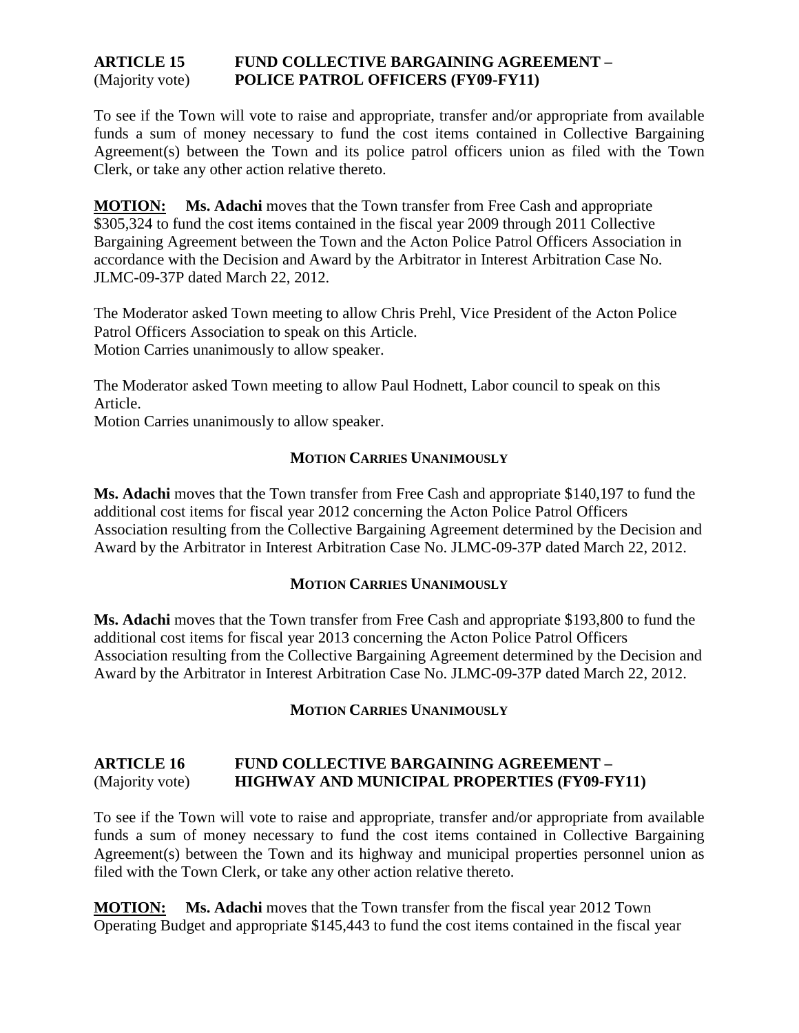#### **ARTICLE 15 FUND COLLECTIVE BARGAINING AGREEMENT –** (Majority vote) **POLICE PATROL OFFICERS (FY09-FY11)**

To see if the Town will vote to raise and appropriate, transfer and/or appropriate from available funds a sum of money necessary to fund the cost items contained in Collective Bargaining Agreement(s) between the Town and its police patrol officers union as filed with the Town Clerk, or take any other action relative thereto.

**MOTION: Ms. Adachi** moves that the Town transfer from Free Cash and appropriate \$305,324 to fund the cost items contained in the fiscal year 2009 through 2011 Collective Bargaining Agreement between the Town and the Acton Police Patrol Officers Association in accordance with the Decision and Award by the Arbitrator in Interest Arbitration Case No. JLMC-09-37P dated March 22, 2012.

The Moderator asked Town meeting to allow Chris Prehl, Vice President of the Acton Police Patrol Officers Association to speak on this Article. Motion Carries unanimously to allow speaker.

The Moderator asked Town meeting to allow Paul Hodnett, Labor council to speak on this Article.

Motion Carries unanimously to allow speaker.

#### **MOTION CARRIES UNANIMOUSLY**

**Ms. Adachi** moves that the Town transfer from Free Cash and appropriate \$140,197 to fund the additional cost items for fiscal year 2012 concerning the Acton Police Patrol Officers Association resulting from the Collective Bargaining Agreement determined by the Decision and Award by the Arbitrator in Interest Arbitration Case No. JLMC-09-37P dated March 22, 2012.

#### **MOTION CARRIES UNANIMOUSLY**

**Ms. Adachi** moves that the Town transfer from Free Cash and appropriate \$193,800 to fund the additional cost items for fiscal year 2013 concerning the Acton Police Patrol Officers Association resulting from the Collective Bargaining Agreement determined by the Decision and Award by the Arbitrator in Interest Arbitration Case No. JLMC-09-37P dated March 22, 2012.

#### **MOTION CARRIES UNANIMOUSLY**

#### **ARTICLE 16 FUND COLLECTIVE BARGAINING AGREEMENT –** (Majority vote) **HIGHWAY AND MUNICIPAL PROPERTIES (FY09-FY11)**

To see if the Town will vote to raise and appropriate, transfer and/or appropriate from available funds a sum of money necessary to fund the cost items contained in Collective Bargaining Agreement(s) between the Town and its highway and municipal properties personnel union as filed with the Town Clerk, or take any other action relative thereto.

**MOTION: Ms. Adachi** moves that the Town transfer from the fiscal year 2012 Town Operating Budget and appropriate \$145,443 to fund the cost items contained in the fiscal year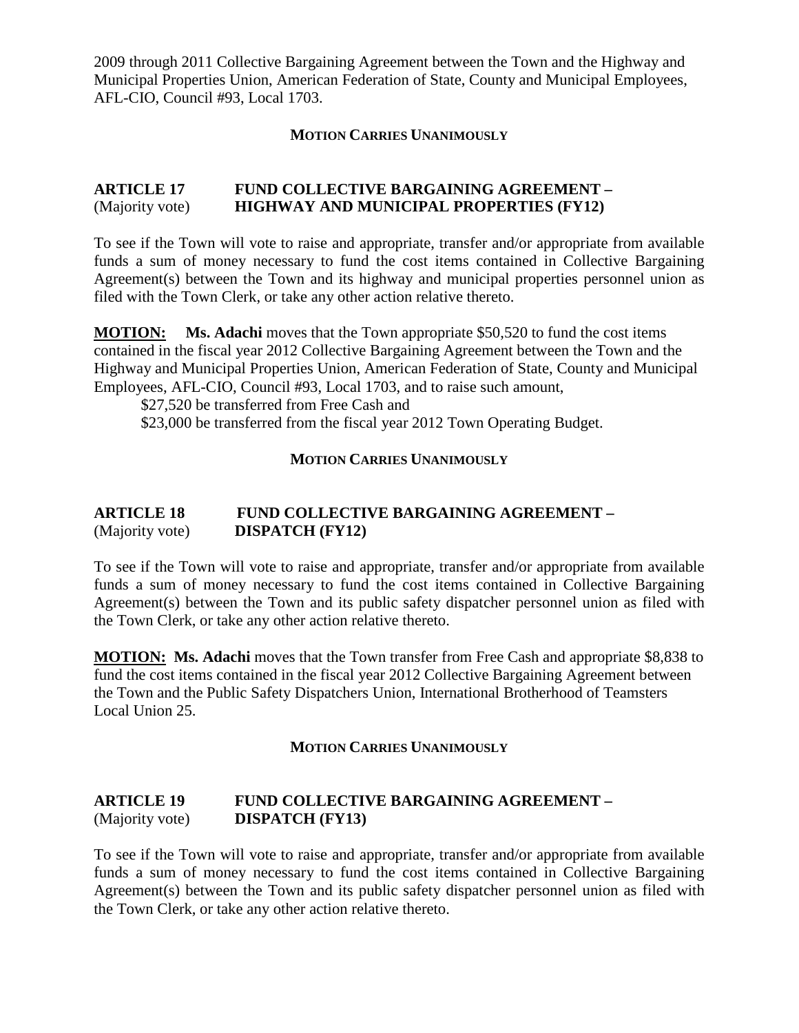2009 through 2011 Collective Bargaining Agreement between the Town and the Highway and Municipal Properties Union, American Federation of State, County and Municipal Employees, AFL-CIO, Council #93, Local 1703.

#### **MOTION CARRIES UNANIMOUSLY**

#### **ARTICLE 17 FUND COLLECTIVE BARGAINING AGREEMENT –** (Majority vote) **HIGHWAY AND MUNICIPAL PROPERTIES (FY12)**

To see if the Town will vote to raise and appropriate, transfer and/or appropriate from available funds a sum of money necessary to fund the cost items contained in Collective Bargaining Agreement(s) between the Town and its highway and municipal properties personnel union as filed with the Town Clerk, or take any other action relative thereto.

**MOTION: Ms. Adachi** moves that the Town appropriate \$50,520 to fund the cost items contained in the fiscal year 2012 Collective Bargaining Agreement between the Town and the Highway and Municipal Properties Union, American Federation of State, County and Municipal Employees, AFL-CIO, Council #93, Local 1703, and to raise such amount,

\$27,520 be transferred from Free Cash and \$23,000 be transferred from the fiscal year 2012 Town Operating Budget.

#### **MOTION CARRIES UNANIMOUSLY**

#### **ARTICLE 18 FUND COLLECTIVE BARGAINING AGREEMENT –** (Majority vote) **DISPATCH (FY12)**

To see if the Town will vote to raise and appropriate, transfer and/or appropriate from available funds a sum of money necessary to fund the cost items contained in Collective Bargaining Agreement(s) between the Town and its public safety dispatcher personnel union as filed with the Town Clerk, or take any other action relative thereto.

**MOTION: Ms. Adachi** moves that the Town transfer from Free Cash and appropriate \$8,838 to fund the cost items contained in the fiscal year 2012 Collective Bargaining Agreement between the Town and the Public Safety Dispatchers Union, International Brotherhood of Teamsters Local Union 25.

#### **MOTION CARRIES UNANIMOUSLY**

#### **ARTICLE 19 FUND COLLECTIVE BARGAINING AGREEMENT –** (Majority vote) **DISPATCH (FY13)**

To see if the Town will vote to raise and appropriate, transfer and/or appropriate from available funds a sum of money necessary to fund the cost items contained in Collective Bargaining Agreement(s) between the Town and its public safety dispatcher personnel union as filed with the Town Clerk, or take any other action relative thereto.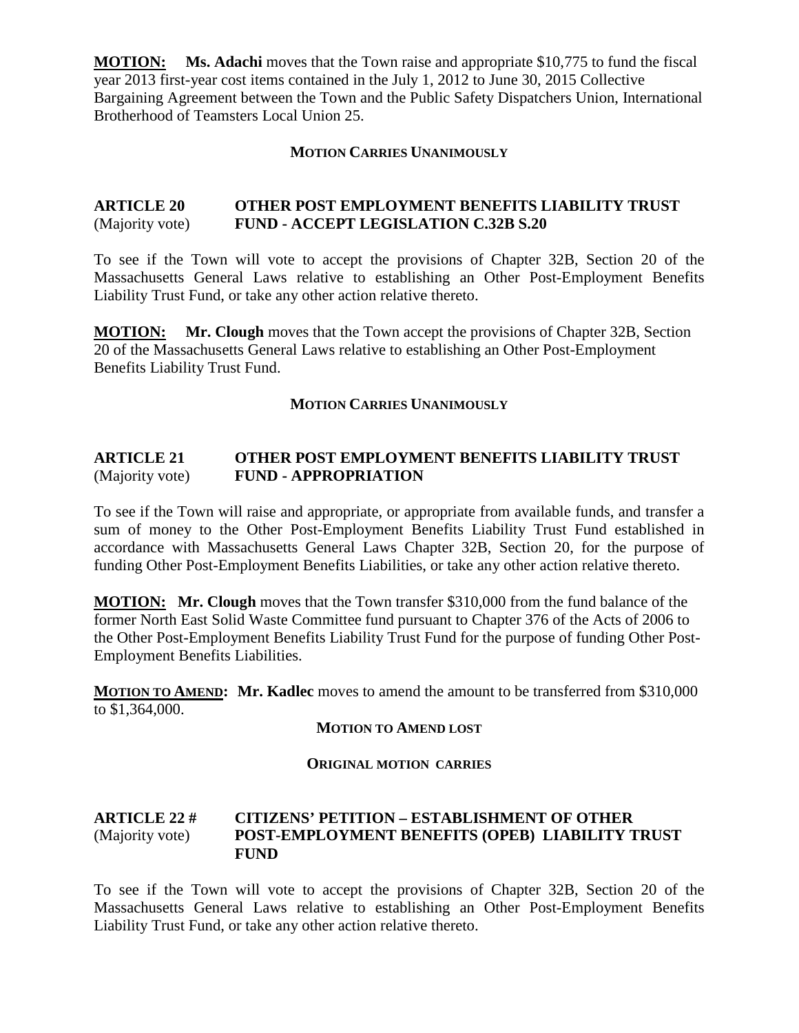**MOTION: Ms. Adachi** moves that the Town raise and appropriate \$10,775 to fund the fiscal year 2013 first-year cost items contained in the July 1, 2012 to June 30, 2015 Collective Bargaining Agreement between the Town and the Public Safety Dispatchers Union, International Brotherhood of Teamsters Local Union 25.

#### **MOTION CARRIES UNANIMOUSLY**

#### **ARTICLE 20 OTHER POST EMPLOYMENT BENEFITS LIABILITY TRUST**  (Majority vote) **FUND - ACCEPT LEGISLATION C.32B S.20**

To see if the Town will vote to accept the provisions of Chapter 32B, Section 20 of the Massachusetts General Laws relative to establishing an Other Post-Employment Benefits Liability Trust Fund, or take any other action relative thereto.

**MOTION: Mr. Clough** moves that the Town accept the provisions of Chapter 32B, Section 20 of the Massachusetts General Laws relative to establishing an Other Post-Employment Benefits Liability Trust Fund.

#### **MOTION CARRIES UNANIMOUSLY**

#### **ARTICLE 21 OTHER POST EMPLOYMENT BENEFITS LIABILITY TRUST**  (Majority vote) **FUND - APPROPRIATION**

To see if the Town will raise and appropriate, or appropriate from available funds, and transfer a sum of money to the Other Post-Employment Benefits Liability Trust Fund established in accordance with Massachusetts General Laws Chapter 32B, Section 20, for the purpose of funding Other Post-Employment Benefits Liabilities, or take any other action relative thereto.

**MOTION: Mr. Clough** moves that the Town transfer \$310,000 from the fund balance of the former North East Solid Waste Committee fund pursuant to Chapter 376 of the Acts of 2006 to the Other Post-Employment Benefits Liability Trust Fund for the purpose of funding Other Post-Employment Benefits Liabilities.

**MOTION TO AMEND : Mr. Kadlec** moves to amend the amount to be transferred from \$310,000 to \$1,364,000.

#### **MOTION TO AMEND LOST**

#### **ORIGINAL MOTION CARRIES**

#### **ARTICLE 22 # CITIZENS' PETITION – ESTABLISHMENT OF OTHER** (Majority vote) **POST-EMPLOYMENT BENEFITS (OPEB) LIABILITY TRUST FUND**

To see if the Town will vote to accept the provisions of Chapter 32B, Section 20 of the Massachusetts General Laws relative to establishing an Other Post-Employment Benefits Liability Trust Fund, or take any other action relative thereto.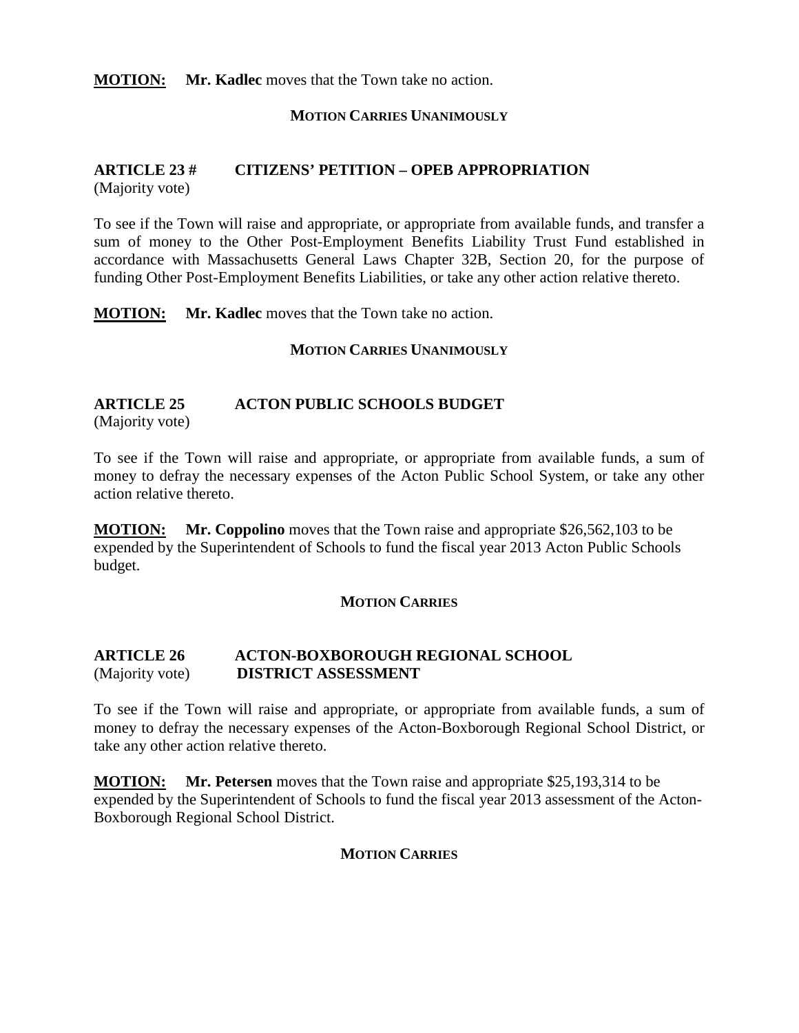**MOTION: Mr. Kadlec** moves that the Town take no action.

#### **MOTION CARRIES UNANIMOUSLY**

#### **ARTICLE 23 # CITIZENS' PETITION – OPEB APPROPRIATION** (Majority vote)

To see if the Town will raise and appropriate, or appropriate from available funds, and transfer a sum of money to the Other Post-Employment Benefits Liability Trust Fund established in accordance with Massachusetts General Laws Chapter 32B, Section 20, for the purpose of funding Other Post-Employment Benefits Liabilities, or take any other action relative thereto.

**MOTION: Mr. Kadlec** moves that the Town take no action.

#### **MOTION CARRIES UNANIMOUSLY**

#### **ARTICLE 25 ACTON PUBLIC SCHOOLS BUDGET**

(Majority vote)

To see if the Town will raise and appropriate, or appropriate from available funds, a sum of money to defray the necessary expenses of the Acton Public School System, or take any other action relative thereto.

**MOTION: Mr. Coppolino** moves that the Town raise and appropriate \$26,562,103 to be expended by the Superintendent of Schools to fund the fiscal year 2013 Acton Public Schools budget.

#### **MOTION CARRIES**

#### **ARTICLE 26 ACTON-BOXBOROUGH REGIONAL SCHOOL**  (Majority vote) **DISTRICT ASSESSMENT**

To see if the Town will raise and appropriate, or appropriate from available funds, a sum of money to defray the necessary expenses of the Acton-Boxborough Regional School District, or take any other action relative thereto.

**MOTION: Mr. Petersen** moves that the Town raise and appropriate \$25,193,314 to be expended by the Superintendent of Schools to fund the fiscal year 2013 assessment of the Acton-Boxborough Regional School District.

#### **MOTION CARRIES**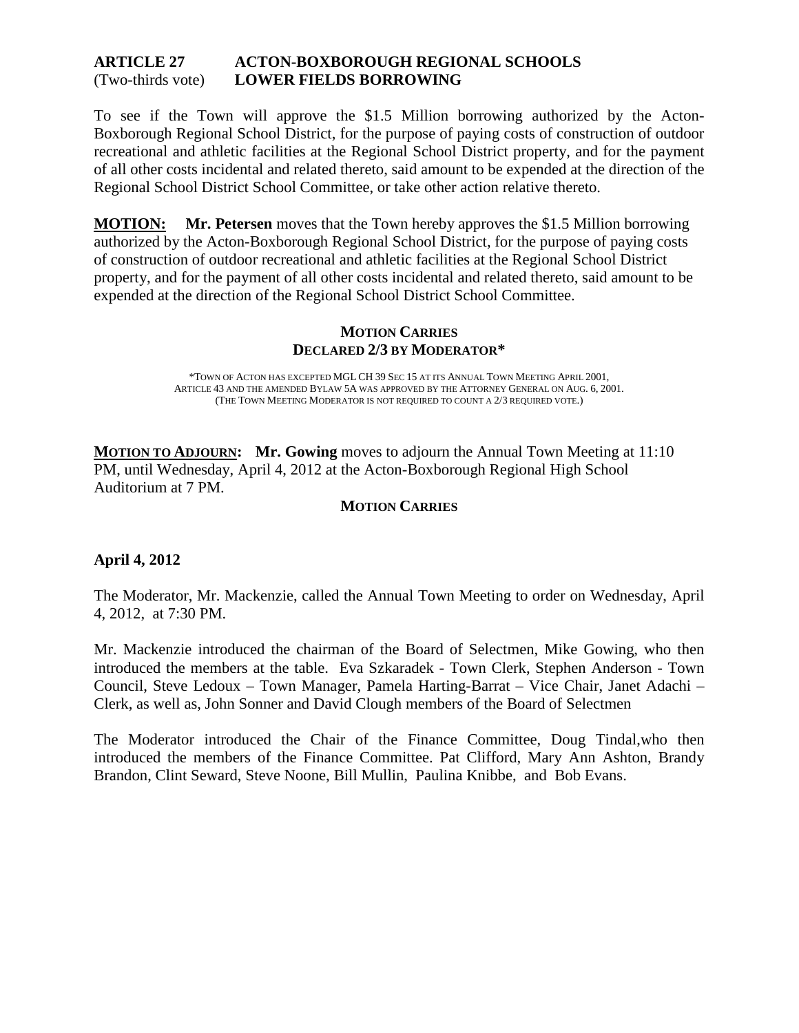#### **ARTICLE 27 ACTON-BOXBOROUGH REGIONAL SCHOOLS** (Two-thirds vote) **LOWER FIELDS BORROWING**

To see if the Town will approve the \$1.5 Million borrowing authorized by the Acton-Boxborough Regional School District, for the purpose of paying costs of construction of outdoor recreational and athletic facilities at the Regional School District property, and for the payment of all other costs incidental and related thereto, said amount to be expended at the direction of the Regional School District School Committee, or take other action relative thereto.

**MOTION: Mr. Petersen** moves that the Town hereby approves the \$1.5 Million borrowing authorized by the Acton-Boxborough Regional School District, for the purpose of paying costs of construction of outdoor recreational and athletic facilities at the Regional School District property, and for the payment of all other costs incidental and related thereto, said amount to be expended at the direction of the Regional School District School Committee.

#### **MOTION CARRIES DECLARED 2/3 BY MODERATOR\***

\*TOWN OF ACTON HAS EXCEPTED MGL CH 39 SEC 15 AT ITS ANNUAL TOWN MEETING APRIL 2001, ARTICLE 43 AND THE AMENDED BYLAW 5A WAS APPROVED BY THE ATTORNEY GENERAL ON AUG. 6, 2001. (THE TOWN MEETING MODERATOR IS NOT REQUIRED TO COUNT A 2/3 REQUIRED VOTE.)

**MOTION TO ADJOURN:** Mr. Gowing moves to adjourn the Annual Town Meeting at 11:10 PM, until Wednesday, April 4, 2012 at the Acton-Boxborough Regional High School Auditorium at 7 PM.

#### **MOTION CARRIES**

#### **April 4, 2012**

The Moderator, Mr. Mackenzie, called the Annual Town Meeting to order on Wednesday, April 4, 2012, at 7:30 PM.

Mr. Mackenzie introduced the chairman of the Board of Selectmen, Mike Gowing, who then introduced the members at the table. Eva Szkaradek - Town Clerk, Stephen Anderson - Town Council, Steve Ledoux – Town Manager, Pamela Harting-Barrat – Vice Chair, Janet Adachi – Clerk, as well as, John Sonner and David Clough members of the Board of Selectmen

The Moderator introduced the Chair of the Finance Committee, Doug Tindal,who then introduced the members of the Finance Committee. Pat Clifford, Mary Ann Ashton, Brandy Brandon, Clint Seward, Steve Noone, Bill Mullin, Paulina Knibbe, and Bob Evans.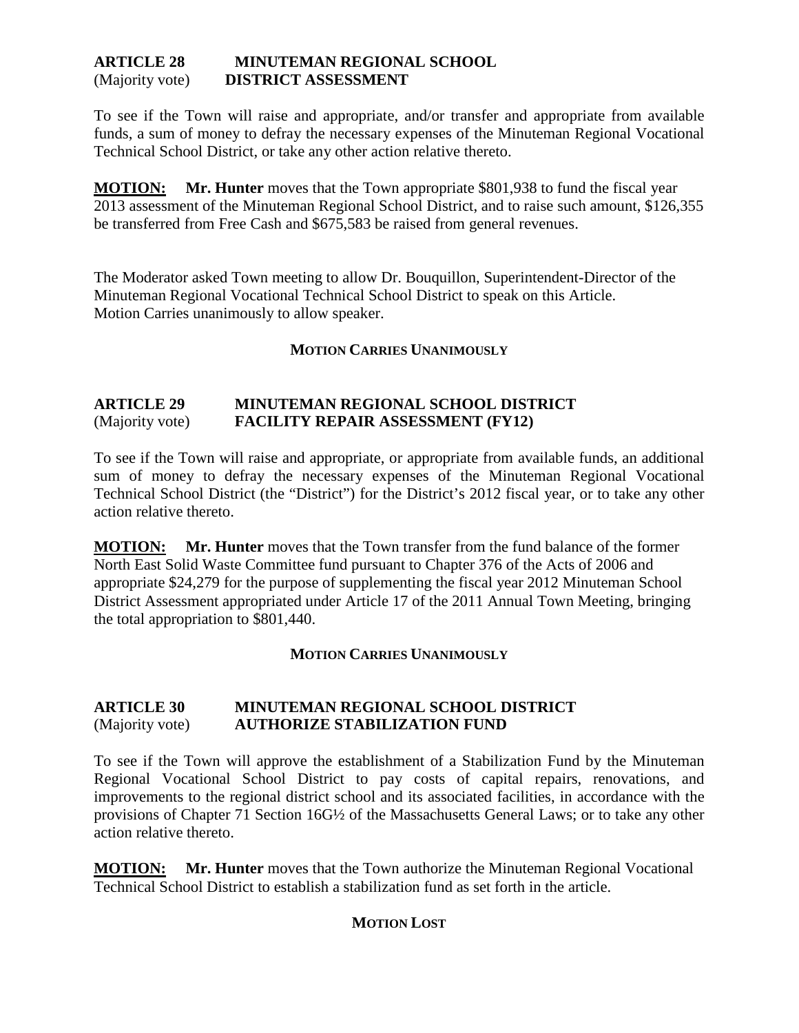#### **ARTICLE 28 MINUTEMAN REGIONAL SCHOOL**  (Majority vote) **DISTRICT ASSESSMENT**

To see if the Town will raise and appropriate, and/or transfer and appropriate from available funds, a sum of money to defray the necessary expenses of the Minuteman Regional Vocational Technical School District, or take any other action relative thereto.

**MOTION: Mr. Hunter** moves that the Town appropriate \$801,938 to fund the fiscal year 2013 assessment of the Minuteman Regional School District, and to raise such amount, \$126,355 be transferred from Free Cash and \$675,583 be raised from general revenues.

The Moderator asked Town meeting to allow Dr. Bouquillon, Superintendent-Director of the Minuteman Regional Vocational Technical School District to speak on this Article. Motion Carries unanimously to allow speaker.

#### **MOTION CARRIES UNANIMOUSLY**

#### **ARTICLE 29 MINUTEMAN REGIONAL SCHOOL DISTRICT** (Majority vote) **FACILITY REPAIR ASSESSMENT (FY12)**

To see if the Town will raise and appropriate, or appropriate from available funds, an additional sum of money to defray the necessary expenses of the Minuteman Regional Vocational Technical School District (the "District") for the District's 2012 fiscal year, or to take any other action relative thereto.

**MOTION: Mr. Hunter** moves that the Town transfer from the fund balance of the former North East Solid Waste Committee fund pursuant to Chapter 376 of the Acts of 2006 and appropriate \$24,279 for the purpose of supplementing the fiscal year 2012 Minuteman School District Assessment appropriated under Article 17 of the 2011 Annual Town Meeting, bringing the total appropriation to \$801,440.

#### **MOTION CARRIES UNANIMOUSLY**

#### **ARTICLE 30 MINUTEMAN REGIONAL SCHOOL DISTRICT** (Majority vote) **AUTHORIZE STABILIZATION FUND**

To see if the Town will approve the establishment of a Stabilization Fund by the Minuteman Regional Vocational School District to pay costs of capital repairs, renovations, and improvements to the regional district school and its associated facilities, in accordance with the provisions of Chapter 71 Section 16G½ of the Massachusetts General Laws; or to take any other action relative thereto.

**MOTION: Mr. Hunter** moves that the Town authorize the Minuteman Regional Vocational Technical School District to establish a stabilization fund as set forth in the article.

#### **MOTION LOST**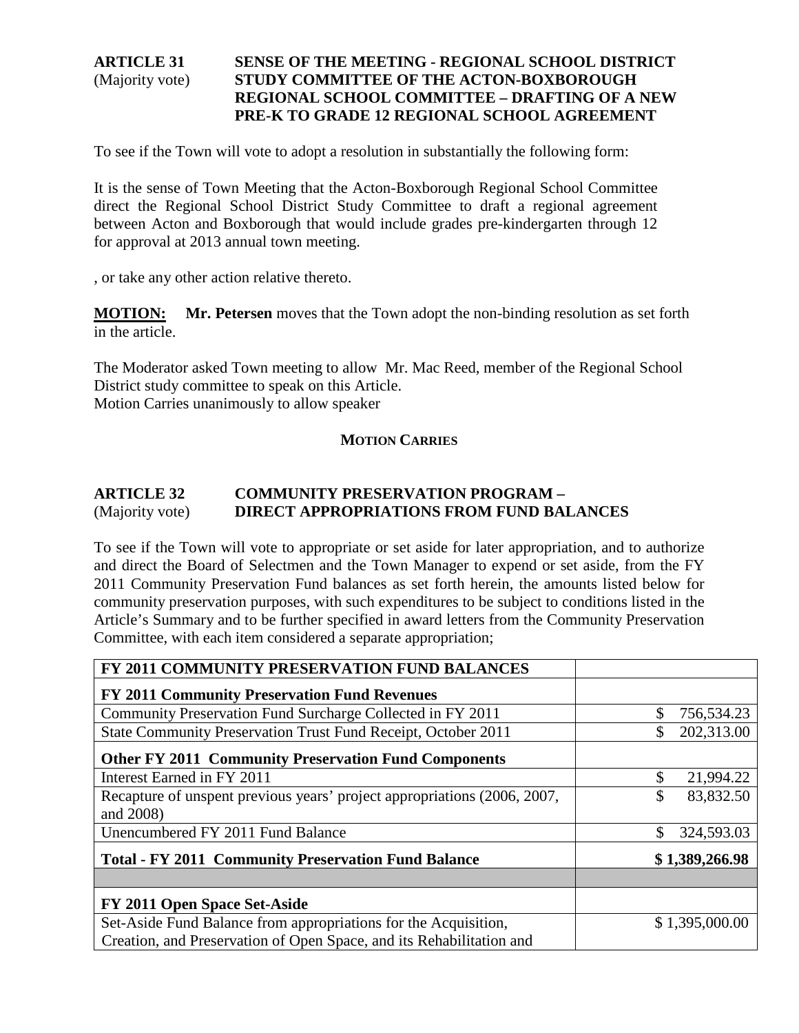#### **ARTICLE 31 SENSE OF THE MEETING - REGIONAL SCHOOL DISTRICT** (Majority vote) **STUDY COMMITTEE OF THE ACTON-BOXBOROUGH REGIONAL SCHOOL COMMITTEE – DRAFTING OF A NEW PRE-K TO GRADE 12 REGIONAL SCHOOL AGREEMENT**

To see if the Town will vote to adopt a resolution in substantially the following form:

It is the sense of Town Meeting that the Acton-Boxborough Regional School Committee direct the Regional School District Study Committee to draft a regional agreement between Acton and Boxborough that would include grades pre-kindergarten through 12 for approval at 2013 annual town meeting.

, or take any other action relative thereto.

**MOTION: Mr. Petersen** moves that the Town adopt the non-binding resolution as set forth in the article.

The Moderator asked Town meeting to allow Mr. Mac Reed, member of the Regional School District study committee to speak on this Article. Motion Carries unanimously to allow speaker

#### **MOTION CARRIES**

#### **ARTICLE 32 COMMUNITY PRESERVATION PROGRAM –** (Majority vote) **DIRECT APPROPRIATIONS FROM FUND BALANCES**

To see if the Town will vote to appropriate or set aside for later appropriation, and to authorize and direct the Board of Selectmen and the Town Manager to expend or set aside, from the FY 2011 Community Preservation Fund balances as set forth herein, the amounts listed below for community preservation purposes, with such expenditures to be subject to conditions listed in the Article's Summary and to be further specified in award letters from the Community Preservation Committee, with each item considered a separate appropriation;

| FY 2011 COMMUNITY PRESERVATION FUND BALANCES                             |                 |
|--------------------------------------------------------------------------|-----------------|
| <b>FY 2011 Community Preservation Fund Revenues</b>                      |                 |
| Community Preservation Fund Surcharge Collected in FY 2011               | 756,534.23      |
| State Community Preservation Trust Fund Receipt, October 2011            | 202,313.00      |
| <b>Other FY 2011 Community Preservation Fund Components</b>              |                 |
| Interest Earned in FY 2011                                               | 21,994.22<br>\$ |
| Recapture of unspent previous years' project appropriations (2006, 2007, | 83,832.50<br>\$ |
| and 2008)                                                                |                 |
| Unencumbered FY 2011 Fund Balance                                        | 324,593.03      |
| <b>Total - FY 2011 Community Preservation Fund Balance</b>               | \$1,389,266.98  |
|                                                                          |                 |
| FY 2011 Open Space Set-Aside                                             |                 |
| Set-Aside Fund Balance from appropriations for the Acquisition,          | \$1,395,000.00  |
| Creation, and Preservation of Open Space, and its Rehabilitation and     |                 |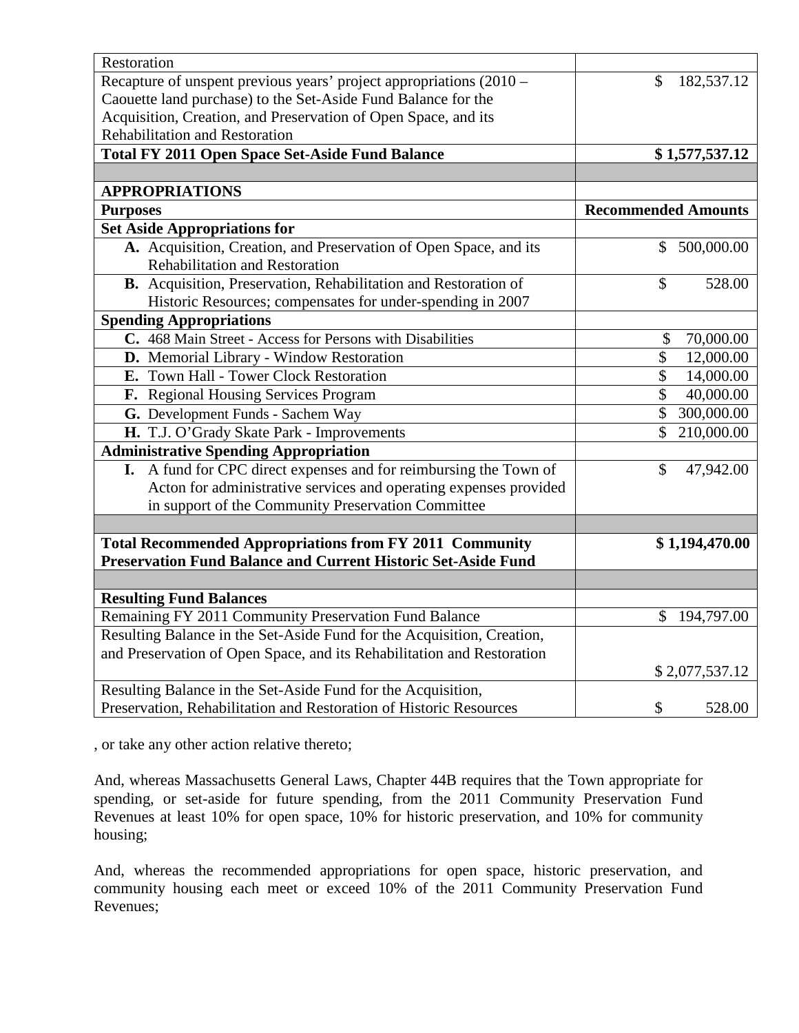| Restoration                                                            |                            |
|------------------------------------------------------------------------|----------------------------|
| Recapture of unspent previous years' project appropriations (2010 –    | 182,537.12<br>\$           |
| Caouette land purchase) to the Set-Aside Fund Balance for the          |                            |
| Acquisition, Creation, and Preservation of Open Space, and its         |                            |
| Rehabilitation and Restoration                                         |                            |
| <b>Total FY 2011 Open Space Set-Aside Fund Balance</b>                 | \$1,577,537.12             |
|                                                                        |                            |
| <b>APPROPRIATIONS</b>                                                  |                            |
| <b>Purposes</b>                                                        | <b>Recommended Amounts</b> |
| <b>Set Aside Appropriations for</b>                                    |                            |
| A. Acquisition, Creation, and Preservation of Open Space, and its      | 500,000.00<br>S            |
| <b>Rehabilitation and Restoration</b>                                  |                            |
| B. Acquisition, Preservation, Rehabilitation and Restoration of        | \$<br>528.00               |
| Historic Resources; compensates for under-spending in 2007             |                            |
| <b>Spending Appropriations</b>                                         |                            |
| C. 468 Main Street - Access for Persons with Disabilities              | \$<br>70,000.00            |
| D. Memorial Library - Window Restoration                               | \$<br>12,000.00            |
| E. Town Hall - Tower Clock Restoration                                 | \$<br>14,000.00            |
| F. Regional Housing Services Program                                   | \$<br>40,000.00            |
| G. Development Funds - Sachem Way                                      | \$<br>300,000.00           |
| H. T.J. O'Grady Skate Park - Improvements                              | \$<br>210,000.00           |
| <b>Administrative Spending Appropriation</b>                           |                            |
| A fund for CPC direct expenses and for reimbursing the Town of<br>I.   | \$<br>47,942.00            |
| Acton for administrative services and operating expenses provided      |                            |
| in support of the Community Preservation Committee                     |                            |
|                                                                        |                            |
| <b>Total Recommended Appropriations from FY 2011 Community</b>         | \$1,194,470.00             |
| <b>Preservation Fund Balance and Current Historic Set-Aside Fund</b>   |                            |
|                                                                        |                            |
| <b>Resulting Fund Balances</b>                                         |                            |
| Remaining FY 2011 Community Preservation Fund Balance                  | 194,797.00<br>\$           |
| Resulting Balance in the Set-Aside Fund for the Acquisition, Creation, |                            |
| and Preservation of Open Space, and its Rehabilitation and Restoration |                            |
|                                                                        | \$2,077,537.12             |
| Resulting Balance in the Set-Aside Fund for the Acquisition,           |                            |
| Preservation, Rehabilitation and Restoration of Historic Resources     | \$<br>528.00               |

, or take any other action relative thereto;

And, whereas Massachusetts General Laws, Chapter 44B requires that the Town appropriate for spending, or set-aside for future spending, from the 2011 Community Preservation Fund Revenues at least 10% for open space, 10% for historic preservation, and 10% for community housing;

And, whereas the recommended appropriations for open space, historic preservation, and community housing each meet or exceed 10% of the 2011 Community Preservation Fund Revenues;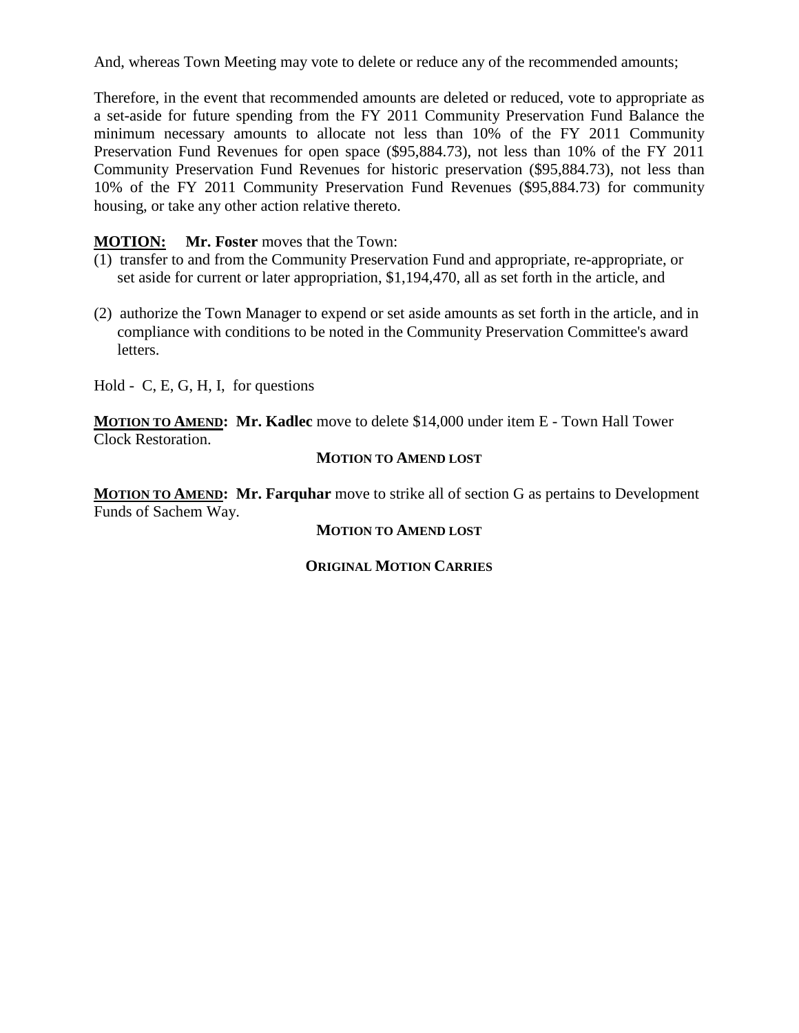And, whereas Town Meeting may vote to delete or reduce any of the recommended amounts;

Therefore, in the event that recommended amounts are deleted or reduced, vote to appropriate as a set-aside for future spending from the FY 2011 Community Preservation Fund Balance the minimum necessary amounts to allocate not less than 10% of the FY 2011 Community Preservation Fund Revenues for open space (\$95,884.73), not less than 10% of the FY 2011 Community Preservation Fund Revenues for historic preservation (\$95,884.73), not less than 10% of the FY 2011 Community Preservation Fund Revenues (\$95,884.73) for community housing, or take any other action relative thereto.

#### **MOTION: Mr. Foster** moves that the Town:

- (1) transfer to and from the Community Preservation Fund and appropriate, re-appropriate, or set aside for current or later appropriation, \$1,194,470, all as set forth in the article, and
- (2) authorize the Town Manager to expend or set aside amounts as set forth in the article, and in compliance with conditions to be noted in the Community Preservation Committee's award letters.

Hold - C, E, G, H, I, for questions

**MOTION TO AMEND : Mr. Kadlec** move to delete \$14,000 under item E - Town Hall Tower Clock Restoration.

#### **MOTION TO AMEND LOST**

**MOTION TO AMEND : Mr. Farquhar** move to strike all of section G as pertains to Development Funds of Sachem Way.

#### **MOTION TO AMEND LOST**

#### **ORIGINAL MOTION CARRIES**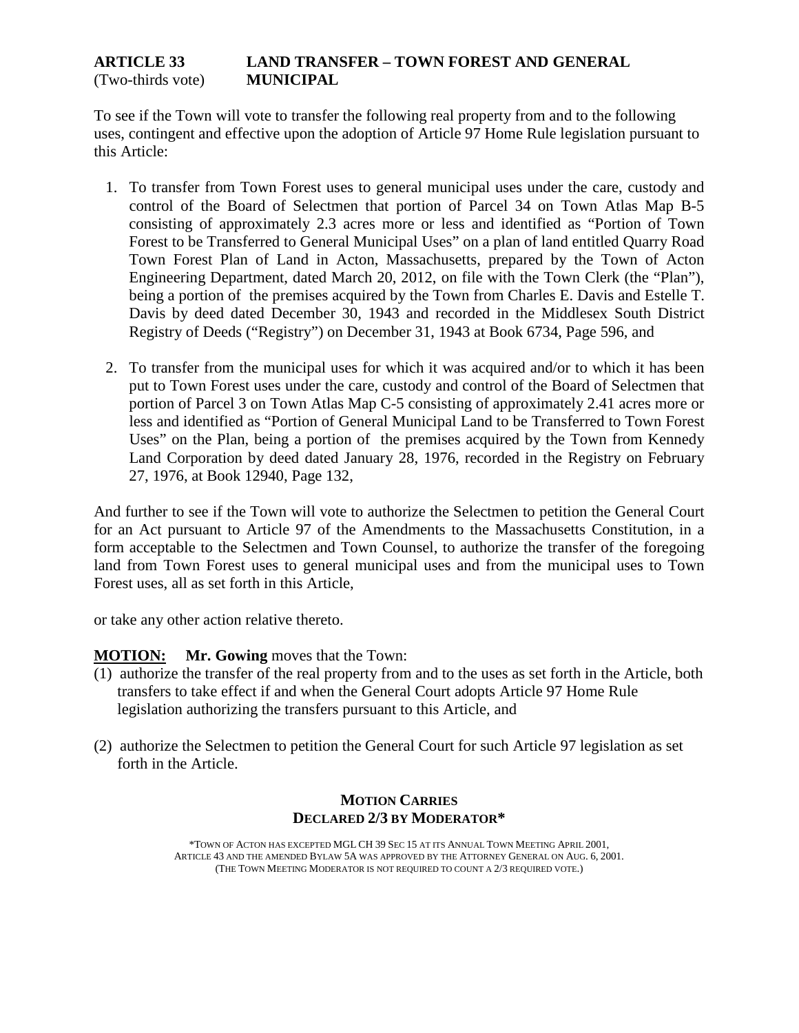#### **ARTICLE 33 LAND TRANSFER – TOWN FOREST AND GENERAL**  (Two-thirds vote) **MUNICIPAL**

To see if the Town will vote to transfer the following real property from and to the following uses, contingent and effective upon the adoption of Article 97 Home Rule legislation pursuant to this Article:

- 1. To transfer from Town Forest uses to general municipal uses under the care, custody and control of the Board of Selectmen that portion of Parcel 34 on Town Atlas Map B-5 consisting of approximately 2.3 acres more or less and identified as "Portion of Town Forest to be Transferred to General Municipal Uses" on a plan of land entitled Quarry Road Town Forest Plan of Land in Acton, Massachusetts, prepared by the Town of Acton Engineering Department, dated March 20, 2012, on file with the Town Clerk (the "Plan"), being a portion of the premises acquired by the Town from Charles E. Davis and Estelle T. Davis by deed dated December 30, 1943 and recorded in the Middlesex South District Registry of Deeds ("Registry") on December 31, 1943 at Book 6734, Page 596, and
- 2. To transfer from the municipal uses for which it was acquired and/or to which it has been put to Town Forest uses under the care, custody and control of the Board of Selectmen that portion of Parcel 3 on Town Atlas Map C-5 consisting of approximately 2.41 acres more or less and identified as "Portion of General Municipal Land to be Transferred to Town Forest Uses" on the Plan, being a portion of the premises acquired by the Town from Kennedy Land Corporation by deed dated January 28, 1976, recorded in the Registry on February 27, 1976, at Book 12940, Page 132,

And further to see if the Town will vote to authorize the Selectmen to petition the General Court for an Act pursuant to Article 97 of the Amendments to the Massachusetts Constitution, in a form acceptable to the Selectmen and Town Counsel, to authorize the transfer of the foregoing land from Town Forest uses to general municipal uses and from the municipal uses to Town Forest uses, all as set forth in this Article,

or take any other action relative thereto.

#### **MOTION: Mr. Gowing** moves that the Town:

- (1) authorize the transfer of the real property from and to the uses as set forth in the Article, both transfers to take effect if and when the General Court adopts Article 97 Home Rule legislation authorizing the transfers pursuant to this Article, and
- (2) authorize the Selectmen to petition the General Court for such Article 97 legislation as set forth in the Article.

#### **MOTION CARRIES DECLARED 2/3 BY MODERATOR\***

\*TOWN OF ACTON HAS EXCEPTED MGL CH 39 SEC 15 AT ITS ANNUAL TOWN MEETING APRIL 2001, ARTICLE 43 AND THE AMENDED BYLAW 5A WAS APPROVED BY THE ATTORNEY GENERAL ON AUG. 6, 2001. (THE TOWN MEETING MODERATOR IS NOT REQUIRED TO COUNT A 2/3 REQUIRED VOTE.)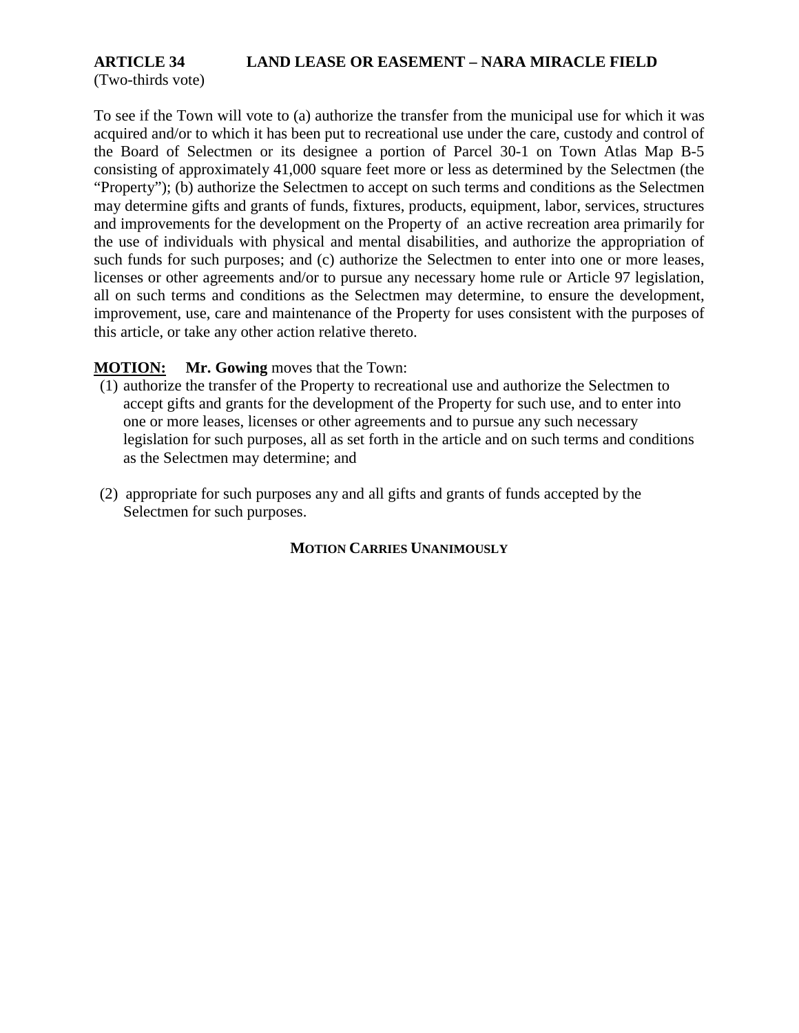## **ARTICLE 34 LAND LEASE OR EASEMENT – NARA MIRACLE FIELD**

(Two-thirds vote)

To see if the Town will vote to (a) authorize the transfer from the municipal use for which it was acquired and/or to which it has been put to recreational use under the care, custody and control of the Board of Selectmen or its designee a portion of Parcel 30-1 on Town Atlas Map B-5 consisting of approximately 41,000 square feet more or less as determined by the Selectmen (the "Property"); (b) authorize the Selectmen to accept on such terms and conditions as the Selectmen may determine gifts and grants of funds, fixtures, products, equipment, labor, services, structures and improvements for the development on the Property of an active recreation area primarily for the use of individuals with physical and mental disabilities, and authorize the appropriation of such funds for such purposes; and (c) authorize the Selectmen to enter into one or more leases, licenses or other agreements and/or to pursue any necessary home rule or Article 97 legislation, all on such terms and conditions as the Selectmen may determine, to ensure the development, improvement, use, care and maintenance of the Property for uses consistent with the purposes of this article, or take any other action relative thereto.

#### **MOTION: Mr. Gowing** moves that the Town:

- (1) authorize the transfer of the Property to recreational use and authorize the Selectmen to accept gifts and grants for the development of the Property for such use, and to enter into one or more leases, licenses or other agreements and to pursue any such necessary legislation for such purposes, all as set forth in the article and on such terms and conditions as the Selectmen may determine; and
- (2) appropriate for such purposes any and all gifts and grants of funds accepted by the Selectmen for such purposes.

#### **MOTION CARRIES UNANIMOUSLY**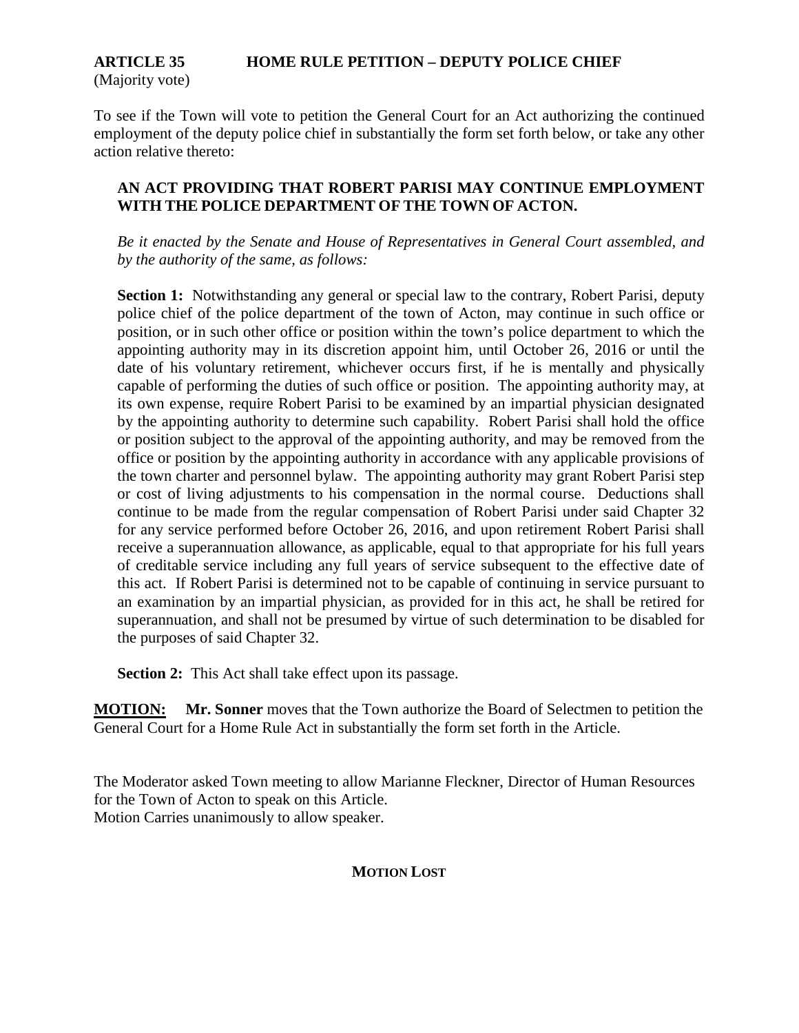#### **ARTICLE 35 HOME RULE PETITION – DEPUTY POLICE CHIEF** (Majority vote)

To see if the Town will vote to petition the General Court for an Act authorizing the continued employment of the deputy police chief in substantially the form set forth below, or take any other action relative thereto:

#### **AN ACT PROVIDING THAT ROBERT PARISI MAY CONTINUE EMPLOYMENT WITH THE POLICE DEPARTMENT OF THE TOWN OF ACTON.**

*Be it enacted by the Senate and House of Representatives in General Court assembled, and by the authority of the same, as follows:* 

**Section 1:** Notwithstanding any general or special law to the contrary, Robert Parisi, deputy police chief of the police department of the town of Acton, may continue in such office or position, or in such other office or position within the town's police department to which the appointing authority may in its discretion appoint him, until October 26, 2016 or until the date of his voluntary retirement, whichever occurs first, if he is mentally and physically capable of performing the duties of such office or position. The appointing authority may, at its own expense, require Robert Parisi to be examined by an impartial physician designated by the appointing authority to determine such capability. Robert Parisi shall hold the office or position subject to the approval of the appointing authority, and may be removed from the office or position by the appointing authority in accordance with any applicable provisions of the town charter and personnel bylaw. The appointing authority may grant Robert Parisi step or cost of living adjustments to his compensation in the normal course. Deductions shall continue to be made from the regular compensation of Robert Parisi under said Chapter 32 for any service performed before October 26, 2016, and upon retirement Robert Parisi shall receive a superannuation allowance, as applicable, equal to that appropriate for his full years of creditable service including any full years of service subsequent to the effective date of this act. If Robert Parisi is determined not to be capable of continuing in service pursuant to an examination by an impartial physician, as provided for in this act, he shall be retired for superannuation, and shall not be presumed by virtue of such determination to be disabled for the purposes of said Chapter 32.

**Section 2:** This Act shall take effect upon its passage.

**MOTION: Mr. Sonner** moves that the Town authorize the Board of Selectmen to petition the General Court for a Home Rule Act in substantially the form set forth in the Article.

The Moderator asked Town meeting to allow Marianne Fleckner, Director of Human Resources for the Town of Acton to speak on this Article. Motion Carries unanimously to allow speaker.

### **MOTION LOST**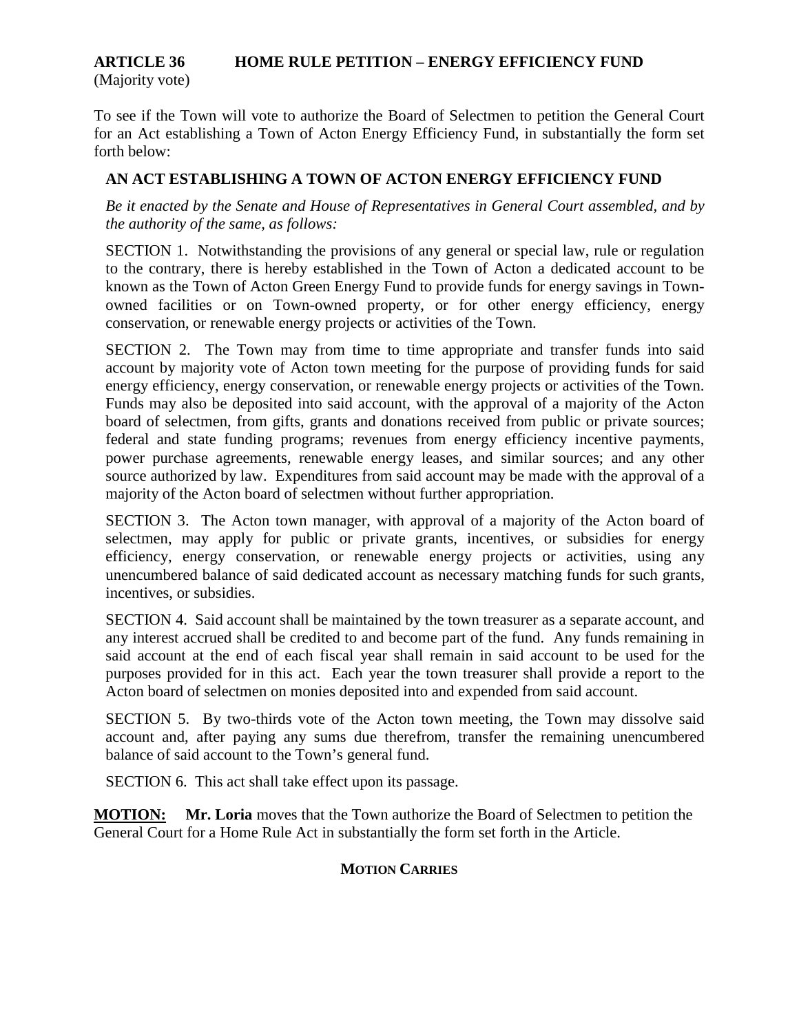#### **ARTICLE 36 HOME RULE PETITION – ENERGY EFFICIENCY FUND** (Majority vote)

To see if the Town will vote to authorize the Board of Selectmen to petition the General Court for an Act establishing a Town of Acton Energy Efficiency Fund, in substantially the form set forth below:

#### **AN ACT ESTABLISHING A TOWN OF ACTON ENERGY EFFICIENCY FUND**

*Be it enacted by the Senate and House of Representatives in General Court assembled, and by the authority of the same, as follows:*

SECTION 1. Notwithstanding the provisions of any general or special law, rule or regulation to the contrary, there is hereby established in the Town of Acton a dedicated account to be known as the Town of Acton Green Energy Fund to provide funds for energy savings in Townowned facilities or on Town-owned property, or for other energy efficiency, energy conservation, or renewable energy projects or activities of the Town.

SECTION 2. The Town may from time to time appropriate and transfer funds into said account by majority vote of Acton town meeting for the purpose of providing funds for said energy efficiency, energy conservation, or renewable energy projects or activities of the Town. Funds may also be deposited into said account, with the approval of a majority of the Acton board of selectmen, from gifts, grants and donations received from public or private sources; federal and state funding programs; revenues from energy efficiency incentive payments, power purchase agreements, renewable energy leases, and similar sources; and any other source authorized by law. Expenditures from said account may be made with the approval of a majority of the Acton board of selectmen without further appropriation.

SECTION 3. The Acton town manager, with approval of a majority of the Acton board of selectmen, may apply for public or private grants, incentives, or subsidies for energy efficiency, energy conservation, or renewable energy projects or activities, using any unencumbered balance of said dedicated account as necessary matching funds for such grants, incentives, or subsidies.

SECTION 4. Said account shall be maintained by the town treasurer as a separate account, and any interest accrued shall be credited to and become part of the fund. Any funds remaining in said account at the end of each fiscal year shall remain in said account to be used for the purposes provided for in this act. Each year the town treasurer shall provide a report to the Acton board of selectmen on monies deposited into and expended from said account.

SECTION 5. By two-thirds vote of the Acton town meeting, the Town may dissolve said account and, after paying any sums due therefrom, transfer the remaining unencumbered balance of said account to the Town's general fund.

SECTION 6. This act shall take effect upon its passage.

**MOTION: Mr. Loria** moves that the Town authorize the Board of Selectmen to petition the General Court for a Home Rule Act in substantially the form set forth in the Article.

#### **MOTION CARRIES**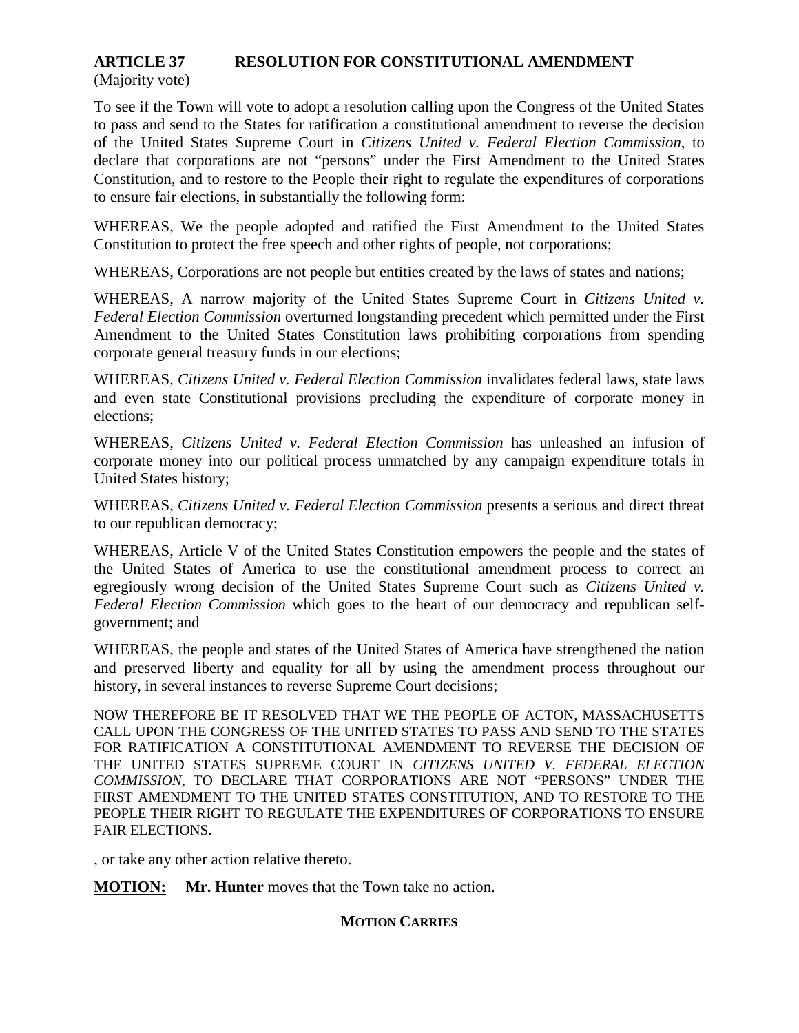#### **ARTICLE 37 RESOLUTION FOR CONSTITUTIONAL AMENDMENT**

(Majority vote)

To see if the Town will vote to adopt a resolution calling upon the Congress of the United States to pass and send to the States for ratification a constitutional amendment to reverse the decision of the United States Supreme Court in *Citizens United v. Federal Election Commission*, to declare that corporations are not "persons" under the First Amendment to the United States Constitution, and to restore to the People their right to regulate the expenditures of corporations to ensure fair elections, in substantially the following form:

WHEREAS, We the people adopted and ratified the First Amendment to the United States Constitution to protect the free speech and other rights of people, not corporations;

WHEREAS, Corporations are not people but entities created by the laws of states and nations;

WHEREAS, A narrow majority of the United States Supreme Court in *Citizens United v. Federal Election Commission* overturned longstanding precedent which permitted under the First Amendment to the United States Constitution laws prohibiting corporations from spending corporate general treasury funds in our elections;

WHEREAS, *Citizens United v. Federal Election Commission* invalidates federal laws, state laws and even state Constitutional provisions precluding the expenditure of corporate money in elections;

WHEREAS, *Citizens United v. Federal Election Commission* has unleashed an infusion of corporate money into our political process unmatched by any campaign expenditure totals in United States history;

WHEREAS, *Citizens United v. Federal Election Commission* presents a serious and direct threat to our republican democracy;

WHEREAS, Article V of the United States Constitution empowers the people and the states of the United States of America to use the constitutional amendment process to correct an egregiously wrong decision of the United States Supreme Court such as *Citizens United v. Federal Election Commission* which goes to the heart of our democracy and republican selfgovernment; and

WHEREAS, the people and states of the United States of America have strengthened the nation and preserved liberty and equality for all by using the amendment process throughout our history, in several instances to reverse Supreme Court decisions;

NOW THEREFORE BE IT RESOLVED THAT WE THE PEOPLE OF ACTON, MASSACHUSETTS CALL UPON THE CONGRESS OF THE UNITED STATES TO PASS AND SEND TO THE STATES FOR RATIFICATION A CONSTITUTIONAL AMENDMENT TO REVERSE THE DECISION OF THE UNITED STATES SUPREME COURT IN *CITIZENS UNITED V. FEDERAL ELECTION COMMISSION*, TO DECLARE THAT CORPORATIONS ARE NOT "PERSONS" UNDER THE FIRST AMENDMENT TO THE UNITED STATES CONSTITUTION, AND TO RESTORE TO THE PEOPLE THEIR RIGHT TO REGULATE THE EXPENDITURES OF CORPORATIONS TO ENSURE FAIR ELECTIONS.

, or take any other action relative thereto.

**MOTION: Mr. Hunter** moves that the Town take no action.

#### **MOTION CARRIES**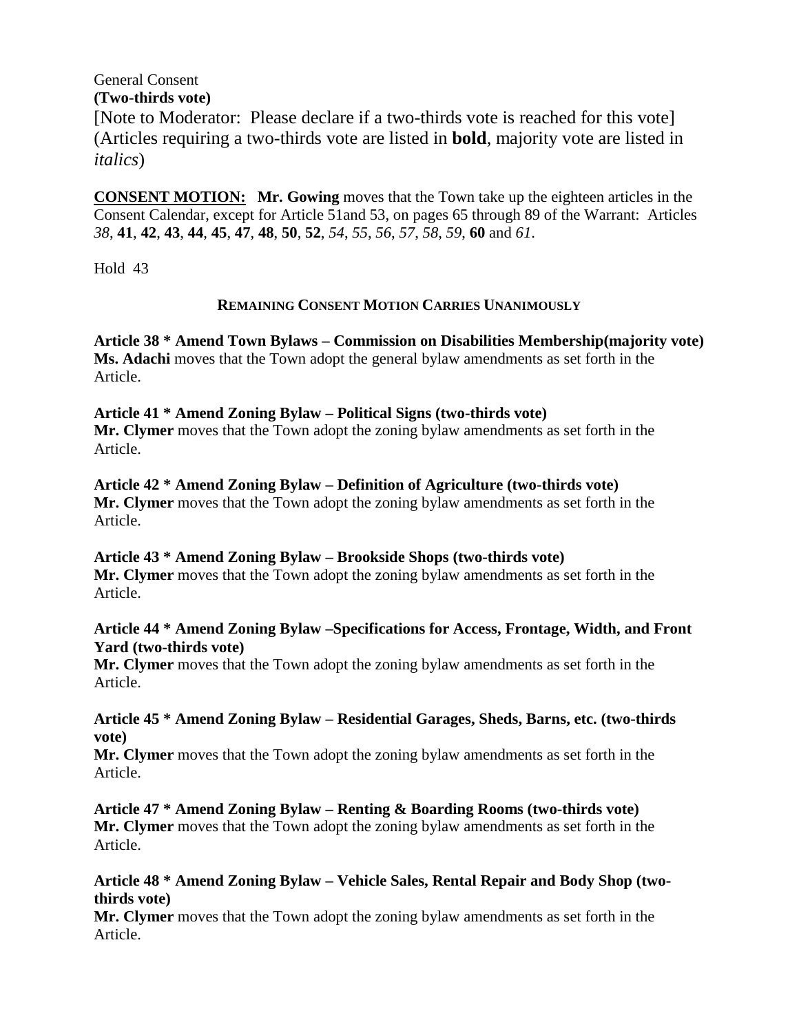#### General Consent **(Two-thirds vote)**

[Note to Moderator: Please declare if a two-thirds vote is reached for this vote] (Articles requiring a two-thirds vote are listed in **bold**, majority vote are listed in *italics*)

**CONSENT MOTION: Mr. Gowing** moves that the Town take up the eighteen articles in the Consent Calendar, except for Article 51and 53, on pages 65 through 89 of the Warrant: Articles *38*, **41**, **42**, **43**, **44**, **45**, **47**, **48**, **50**, **52**, *54*, *55*, *56*, *57*, *58*, *59*, **60** and *61*.

Hold 43

#### **REMAINING CONSENT MOTION CARRIES UNANIMOUSLY**

**Article 38 \* Amend Town Bylaws – Commission on Disabilities Membership(majority vote) Ms. Adachi** moves that the Town adopt the general bylaw amendments as set forth in the Article.

#### **Article 41 \* Amend Zoning Bylaw – Political Signs (two-thirds vote)**

**Mr. Clymer** moves that the Town adopt the zoning bylaw amendments as set forth in the Article.

**Article 42 \* Amend Zoning Bylaw – Definition of Agriculture (two-thirds vote) Mr. Clymer** moves that the Town adopt the zoning bylaw amendments as set forth in the Article.

#### **Article 43 \* Amend Zoning Bylaw – Brookside Shops (two-thirds vote) Mr. Clymer** moves that the Town adopt the zoning bylaw amendments as set forth in the Article.

#### **Article 44 \* Amend Zoning Bylaw –Specifications for Access, Frontage, Width, and Front Yard (two-thirds vote)**

**Mr. Clymer** moves that the Town adopt the zoning bylaw amendments as set forth in the Article.

#### **Article 45 \* Amend Zoning Bylaw – Residential Garages, Sheds, Barns, etc. (two-thirds vote)**

**Mr. Clymer** moves that the Town adopt the zoning bylaw amendments as set forth in the Article.

**Article 47 \* Amend Zoning Bylaw – Renting & Boarding Rooms (two-thirds vote) Mr. Clymer** moves that the Town adopt the zoning bylaw amendments as set forth in the Article.

#### **Article 48 \* Amend Zoning Bylaw – Vehicle Sales, Rental Repair and Body Shop (twothirds vote)**

**Mr. Clymer** moves that the Town adopt the zoning bylaw amendments as set forth in the Article.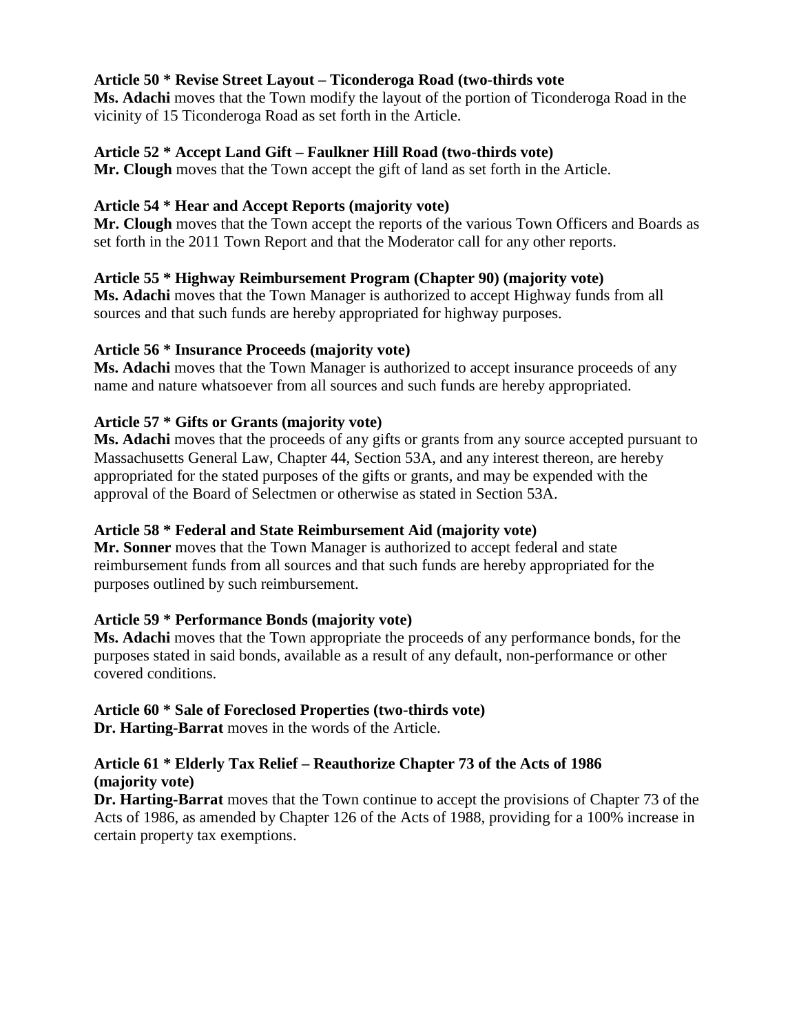#### **Article 50 \* Revise Street Layout – Ticonderoga Road (two-thirds vote**

**Ms. Adachi** moves that the Town modify the layout of the portion of Ticonderoga Road in the vicinity of 15 Ticonderoga Road as set forth in the Article.

#### **Article 52 \* Accept Land Gift – Faulkner Hill Road (two-thirds vote)**

**Mr. Clough** moves that the Town accept the gift of land as set forth in the Article.

#### **Article 54 \* Hear and Accept Reports (majority vote)**

**Mr. Clough** moves that the Town accept the reports of the various Town Officers and Boards as set forth in the 2011 Town Report and that the Moderator call for any other reports.

#### **Article 55 \* Highway Reimbursement Program (Chapter 90) (majority vote)**

**Ms. Adachi** moves that the Town Manager is authorized to accept Highway funds from all sources and that such funds are hereby appropriated for highway purposes.

#### **Article 56 \* Insurance Proceeds (majority vote)**

**Ms. Adachi** moves that the Town Manager is authorized to accept insurance proceeds of any name and nature whatsoever from all sources and such funds are hereby appropriated.

#### **Article 57 \* Gifts or Grants (majority vote)**

**Ms. Adachi** moves that the proceeds of any gifts or grants from any source accepted pursuant to Massachusetts General Law, Chapter 44, Section 53A, and any interest thereon, are hereby appropriated for the stated purposes of the gifts or grants, and may be expended with the approval of the Board of Selectmen or otherwise as stated in Section 53A.

### **Article 58 \* Federal and State Reimbursement Aid (majority vote)**

**Mr. Sonner** moves that the Town Manager is authorized to accept federal and state reimbursement funds from all sources and that such funds are hereby appropriated for the purposes outlined by such reimbursement.

### **Article 59 \* Performance Bonds (majority vote)**

**Ms. Adachi** moves that the Town appropriate the proceeds of any performance bonds, for the purposes stated in said bonds, available as a result of any default, non-performance or other covered conditions.

### **Article 60 \* Sale of Foreclosed Properties (two-thirds vote)**

**Dr. Harting-Barrat** moves in the words of the Article.

#### **Article 61 \* Elderly Tax Relief – Reauthorize Chapter 73 of the Acts of 1986 (majority vote)**

**Dr. Harting-Barrat** moves that the Town continue to accept the provisions of Chapter 73 of the Acts of 1986, as amended by Chapter 126 of the Acts of 1988, providing for a 100% increase in certain property tax exemptions.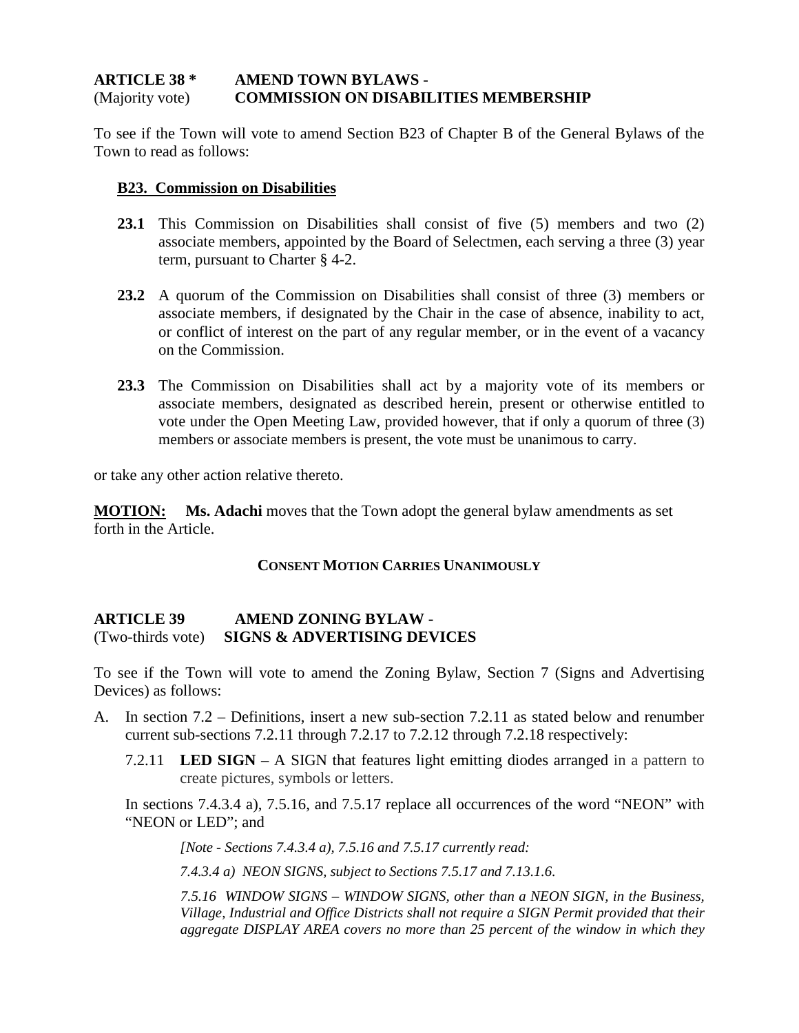#### **ARTICLE 38 \* AMEND TOWN BYLAWS -** (Majority vote) **COMMISSION ON DISABILITIES MEMBERSHIP**

To see if the Town will vote to amend Section B23 of Chapter B of the General Bylaws of the Town to read as follows:

#### **B23. Commission on Disabilities**

- **23.1** This Commission on Disabilities shall consist of five (5) members and two (2) associate members, appointed by the Board of Selectmen, each serving a three (3) year term, pursuant to Charter § 4-2.
- **23.2** A quorum of the Commission on Disabilities shall consist of three (3) members or associate members, if designated by the Chair in the case of absence, inability to act, or conflict of interest on the part of any regular member, or in the event of a vacancy on the Commission.
- **23.3** The Commission on Disabilities shall act by a majority vote of its members or associate members, designated as described herein, present or otherwise entitled to vote under the Open Meeting Law, provided however, that if only a quorum of three (3) members or associate members is present, the vote must be unanimous to carry.

or take any other action relative thereto.

**MOTION: Ms. Adachi** moves that the Town adopt the general bylaw amendments as set forth in the Article.

#### **CONSENT MOTION CARRIES UNANIMOUSLY**

#### **ARTICLE 39 AMEND ZONING BYLAW -** (Two-thirds vote) **SIGNS & ADVERTISING DEVICES**

To see if the Town will vote to amend the Zoning Bylaw, Section 7 (Signs and Advertising Devices) as follows:

- A. In section 7.2 Definitions, insert a new sub-section 7.2.11 as stated below and renumber current sub-sections 7.2.11 through 7.2.17 to 7.2.12 through 7.2.18 respectively:
	- 7.2.11 **LED SIGN** A SIGN that features light emitting diodes arranged in a pattern to create pictures, symbols or letters.

In sections 7.4.3.4 a), 7.5.16, and 7.5.17 replace all occurrences of the word "NEON" with "NEON or LED"; and

*[Note - Sections 7.4.3.4 a), 7.5.16 and 7.5.17 currently read:*

*7.4.3.4 a) NEON SIGNS, subject to Sections 7.5.17 and 7.13.1.6.*

*7.5.16 WINDOW SIGNS – WINDOW SIGNS, other than a NEON SIGN, in the Business, Village, Industrial and Office Districts shall not require a SIGN Permit provided that their aggregate DISPLAY AREA covers no more than 25 percent of the window in which they*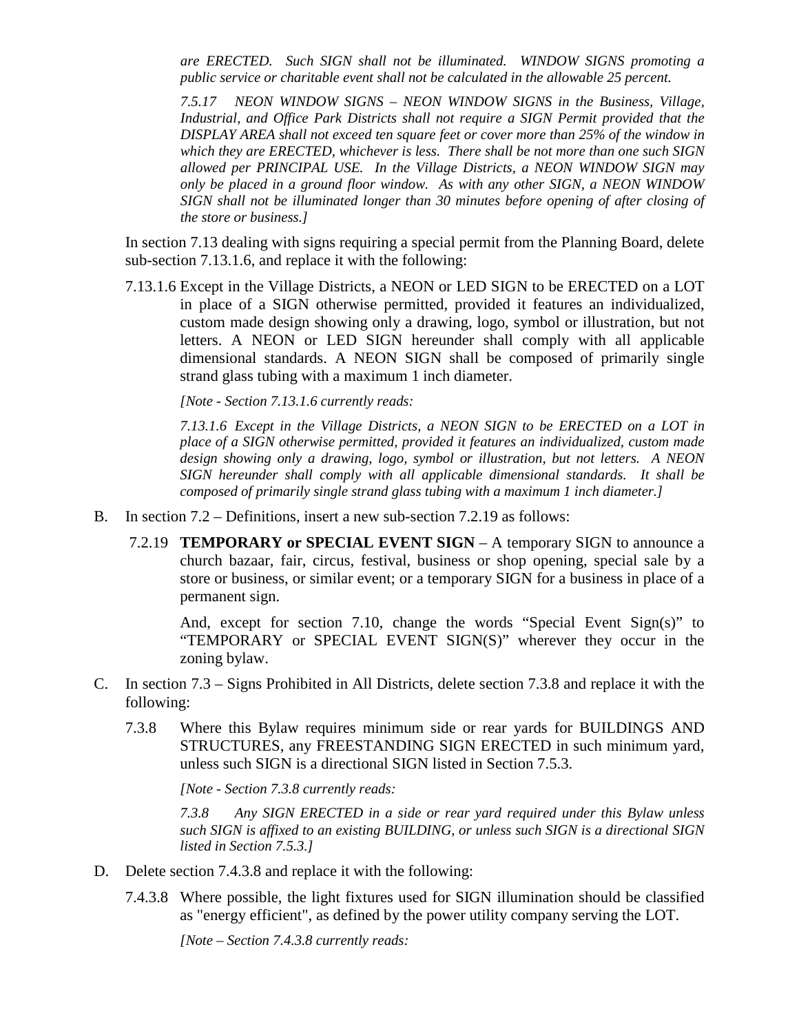*are ERECTED. Such SIGN shall not be illuminated. WINDOW SIGNS promoting a public service or charitable event shall not be calculated in the allowable 25 percent.*

*7.5.17 NEON WINDOW SIGNS – NEON WINDOW SIGNS in the Business, Village, Industrial, and Office Park Districts shall not require a SIGN Permit provided that the DISPLAY AREA shall not exceed ten square feet or cover more than 25% of the window in which they are ERECTED, whichever is less. There shall be not more than one such SIGN allowed per PRINCIPAL USE. In the Village Districts, a NEON WINDOW SIGN may only be placed in a ground floor window. As with any other SIGN, a NEON WINDOW SIGN shall not be illuminated longer than 30 minutes before opening of after closing of the store or business.]*

In section 7.13 dealing with signs requiring a special permit from the Planning Board, delete sub-section 7.13.1.6, and replace it with the following:

7.13.1.6 Except in the Village Districts, a NEON or LED SIGN to be ERECTED on a LOT in place of a SIGN otherwise permitted, provided it features an individualized, custom made design showing only a drawing, logo, symbol or illustration, but not letters. A NEON or LED SIGN hereunder shall comply with all applicable dimensional standards. A NEON SIGN shall be composed of primarily single strand glass tubing with a maximum 1 inch diameter.

*[Note - Section 7.13.1.6 currently reads:*

*7.13.1.6 Except in the Village Districts, a NEON SIGN to be ERECTED on a LOT in place of a SIGN otherwise permitted, provided it features an individualized, custom made design showing only a drawing, logo, symbol or illustration, but not letters. A NEON SIGN hereunder shall comply with all applicable dimensional standards. It shall be composed of primarily single strand glass tubing with a maximum 1 inch diameter.]*

- B. In section 7.2 Definitions, insert a new sub-section 7.2.19 as follows:
	- 7.2.19 **TEMPORARY or SPECIAL EVENT SIGN** A temporary SIGN to announce a church bazaar, fair, circus, festival, business or shop opening, special sale by a store or business, or similar event; or a temporary SIGN for a business in place of a permanent sign.

And, except for section 7.10, change the words "Special Event Sign(s)" to "TEMPORARY or SPECIAL EVENT SIGN(S)" wherever they occur in the zoning bylaw.

- C. In section 7.3 Signs Prohibited in All Districts, delete section 7.3.8 and replace it with the following:
	- 7.3.8 Where this Bylaw requires minimum side or rear yards for BUILDINGS AND STRUCTURES, any FREESTANDING SIGN ERECTED in such minimum yard, unless such SIGN is a directional SIGN listed in Section 7.5.3.

*[Note - Section 7.3.8 currently reads:*

*7.3.8 Any SIGN ERECTED in a side or rear yard required under this Bylaw unless such SIGN is affixed to an existing BUILDING, or unless such SIGN is a directional SIGN listed in Section 7.5.3.]*

- D. Delete section 7.4.3.8 and replace it with the following:
	- 7.4.3.8 Where possible, the light fixtures used for SIGN illumination should be classified as "energy efficient", as defined by the power utility company serving the LOT.

*[Note – Section 7.4.3.8 currently reads:*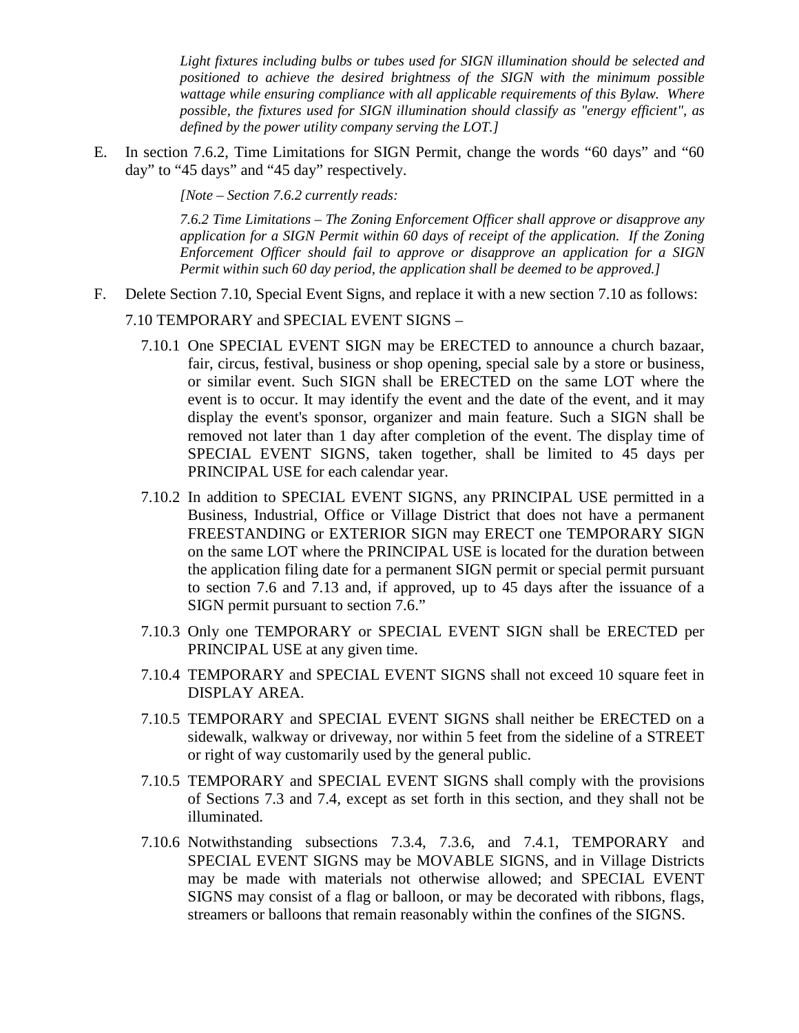*Light fixtures including bulbs or tubes used for SIGN illumination should be selected and positioned to achieve the desired brightness of the SIGN with the minimum possible wattage while ensuring compliance with all applicable requirements of this Bylaw. Where possible, the fixtures used for SIGN illumination should classify as "energy efficient", as defined by the power utility company serving the LOT.]*

E. In section 7.6.2, Time Limitations for SIGN Permit, change the words "60 days" and "60 day" to "45 days" and "45 day" respectively.

*[Note – Section 7.6.2 currently reads:*

*7.6.2 Time Limitations – The Zoning Enforcement Officer shall approve or disapprove any application for a SIGN Permit within 60 days of receipt of the application. If the Zoning Enforcement Officer should fail to approve or disapprove an application for a SIGN Permit within such 60 day period, the application shall be deemed to be approved.]*

- F. Delete Section 7.10, Special Event Signs, and replace it with a new section 7.10 as follows:
	- 7.10 TEMPORARY and SPECIAL EVENT SIGNS
		- 7.10.1 One SPECIAL EVENT SIGN may be ERECTED to announce a church bazaar, fair, circus, festival, business or shop opening, special sale by a store or business, or similar event. Such SIGN shall be ERECTED on the same LOT where the event is to occur. It may identify the event and the date of the event, and it may display the event's sponsor, organizer and main feature. Such a SIGN shall be removed not later than 1 day after completion of the event. The display time of SPECIAL EVENT SIGNS, taken together, shall be limited to 45 days per PRINCIPAL USE for each calendar year.
		- 7.10.2 In addition to SPECIAL EVENT SIGNS, any PRINCIPAL USE permitted in a Business, Industrial, Office or Village District that does not have a permanent FREESTANDING or EXTERIOR SIGN may ERECT one TEMPORARY SIGN on the same LOT where the PRINCIPAL USE is located for the duration between the application filing date for a permanent SIGN permit or special permit pursuant to section 7.6 and 7.13 and, if approved, up to 45 days after the issuance of a SIGN permit pursuant to section 7.6."
		- 7.10.3 Only one TEMPORARY or SPECIAL EVENT SIGN shall be ERECTED per PRINCIPAL USE at any given time.
		- 7.10.4 TEMPORARY and SPECIAL EVENT SIGNS shall not exceed 10 square feet in DISPLAY AREA.
		- 7.10.5 TEMPORARY and SPECIAL EVENT SIGNS shall neither be ERECTED on a sidewalk, walkway or driveway, nor within 5 feet from the sideline of a STREET or right of way customarily used by the general public.
		- 7.10.5 TEMPORARY and SPECIAL EVENT SIGNS shall comply with the provisions of Sections 7.3 and 7.4, except as set forth in this section, and they shall not be illuminated.
		- 7.10.6 Notwithstanding subsections 7.3.4, 7.3.6, and 7.4.1, TEMPORARY and SPECIAL EVENT SIGNS may be MOVABLE SIGNS, and in Village Districts may be made with materials not otherwise allowed; and SPECIAL EVENT SIGNS may consist of a flag or balloon, or may be decorated with ribbons, flags, streamers or balloons that remain reasonably within the confines of the SIGNS.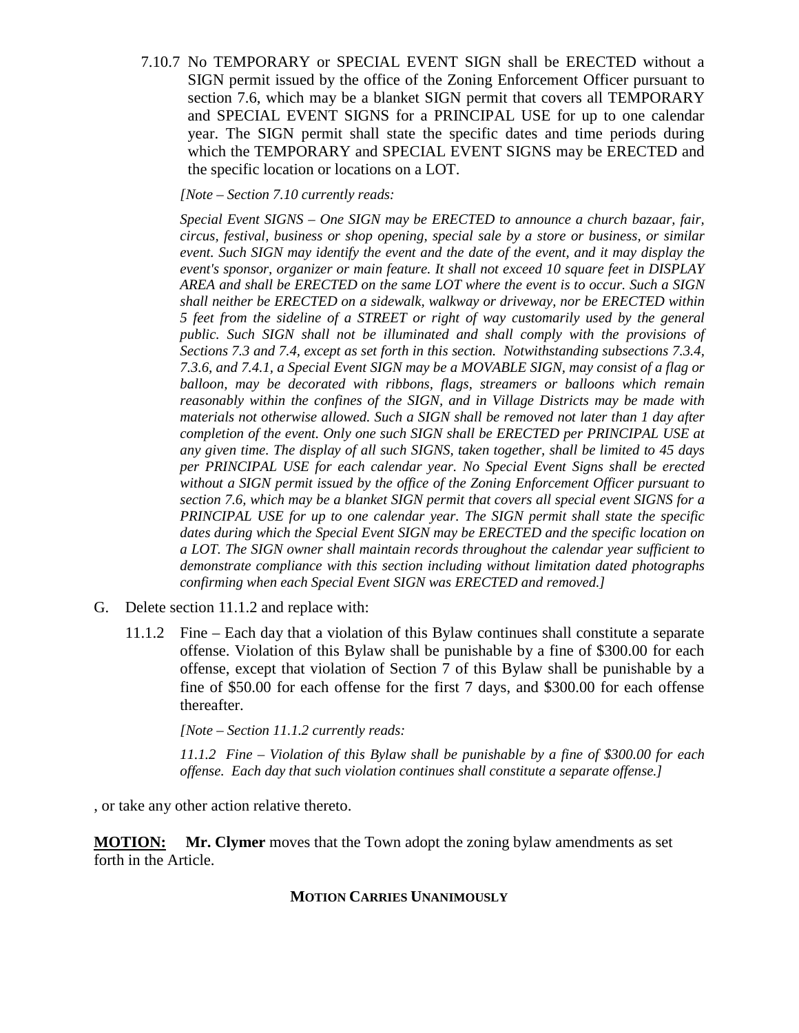7.10.7 No TEMPORARY or SPECIAL EVENT SIGN shall be ERECTED without a SIGN permit issued by the office of the Zoning Enforcement Officer pursuant to section 7.6, which may be a blanket SIGN permit that covers all TEMPORARY and SPECIAL EVENT SIGNS for a PRINCIPAL USE for up to one calendar year. The SIGN permit shall state the specific dates and time periods during which the TEMPORARY and SPECIAL EVENT SIGNS may be ERECTED and the specific location or locations on a LOT.

*[Note – Section 7.10 currently reads:*

*Special Event SIGNS – One SIGN may be ERECTED to announce a church bazaar, fair, circus, festival, business or shop opening, special sale by a store or business, or similar event. Such SIGN may identify the event and the date of the event, and it may display the event's sponsor, organizer or main feature. It shall not exceed 10 square feet in DISPLAY AREA and shall be ERECTED on the same LOT where the event is to occur. Such a SIGN shall neither be ERECTED on a sidewalk, walkway or driveway, nor be ERECTED within 5 feet from the sideline of a STREET or right of way customarily used by the general public. Such SIGN shall not be illuminated and shall comply with the provisions of Sections 7.3 and 7.4, except as set forth in this section. Notwithstanding subsections 7.3.4, 7.3.6, and 7.4.1, a Special Event SIGN may be a MOVABLE SIGN, may consist of a flag or balloon, may be decorated with ribbons, flags, streamers or balloons which remain reasonably within the confines of the SIGN, and in Village Districts may be made with materials not otherwise allowed. Such a SIGN shall be removed not later than 1 day after completion of the event. Only one such SIGN shall be ERECTED per PRINCIPAL USE at any given time. The display of all such SIGNS, taken together, shall be limited to 45 days per PRINCIPAL USE for each calendar year. No Special Event Signs shall be erected without a SIGN permit issued by the office of the Zoning Enforcement Officer pursuant to section 7.6, which may be a blanket SIGN permit that covers all special event SIGNS for a PRINCIPAL USE for up to one calendar year. The SIGN permit shall state the specific dates during which the Special Event SIGN may be ERECTED and the specific location on a LOT. The SIGN owner shall maintain records throughout the calendar year sufficient to demonstrate compliance with this section including without limitation dated photographs confirming when each Special Event SIGN was ERECTED and removed.]*

- G. Delete section 11.1.2 and replace with:
	- 11.1.2 Fine Each day that a violation of this Bylaw continues shall constitute a separate offense. Violation of this Bylaw shall be punishable by a fine of \$300.00 for each offense, except that violation of Section 7 of this Bylaw shall be punishable by a fine of \$50.00 for each offense for the first 7 days, and \$300.00 for each offense thereafter.

*[Note – Section 11.1.2 currently reads:*

*11.1.2 Fine – Violation of this Bylaw shall be punishable by a fine of \$300.00 for each offense. Each day that such violation continues shall constitute a separate offense.]*

, or take any other action relative thereto.

**MOTION: Mr. Clymer** moves that the Town adopt the zoning bylaw amendments as set forth in the Article.

#### **MOTION CARRIES UNANIMOUSLY**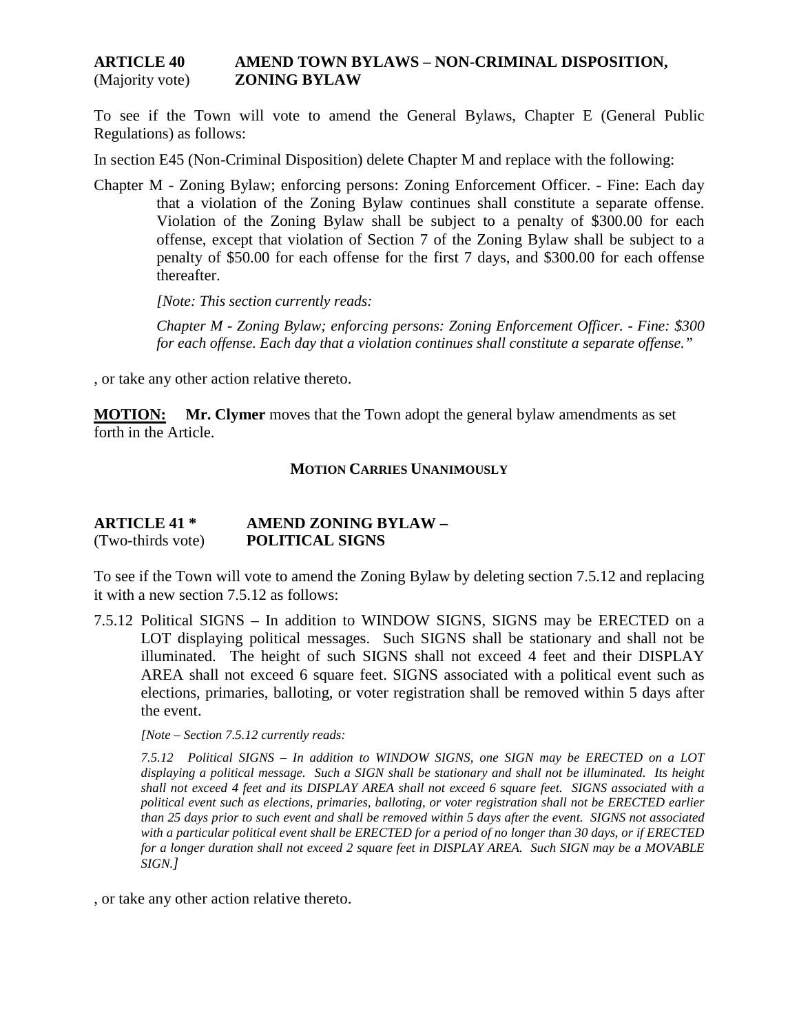#### **ARTICLE 40 AMEND TOWN BYLAWS – NON-CRIMINAL DISPOSITION,** (Majority vote) **ZONING BYLAW**

To see if the Town will vote to amend the General Bylaws, Chapter E (General Public Regulations) as follows:

In section E45 (Non-Criminal Disposition) delete Chapter M and replace with the following:

Chapter M - Zoning Bylaw; enforcing persons: Zoning Enforcement Officer. - Fine: Each day that a violation of the Zoning Bylaw continues shall constitute a separate offense. Violation of the Zoning Bylaw shall be subject to a penalty of \$300.00 for each offense, except that violation of Section 7 of the Zoning Bylaw shall be subject to a penalty of \$50.00 for each offense for the first 7 days, and \$300.00 for each offense thereafter.

*[Note: This section currently reads:*

*Chapter M - Zoning Bylaw; enforcing persons: Zoning Enforcement Officer. - Fine: \$300 for each offense. Each day that a violation continues shall constitute a separate offense."* 

, or take any other action relative thereto.

**MOTION: Mr. Clymer** moves that the Town adopt the general bylaw amendments as set forth in the Article.

#### **MOTION CARRIES UNANIMOUSLY**

#### **ARTICLE 41 \* AMEND ZONING BYLAW –** (Two-thirds vote) **POLITICAL SIGNS**

To see if the Town will vote to amend the Zoning Bylaw by deleting section 7.5.12 and replacing it with a new section 7.5.12 as follows:

7.5.12 Political SIGNS – In addition to WINDOW SIGNS, SIGNS may be ERECTED on a LOT displaying political messages. Such SIGNS shall be stationary and shall not be illuminated. The height of such SIGNS shall not exceed 4 feet and their DISPLAY AREA shall not exceed 6 square feet. SIGNS associated with a political event such as elections, primaries, balloting, or voter registration shall be removed within 5 days after the event.

*[Note – Section 7.5.12 currently reads:*

*7.5.12 Political SIGNS – In addition to WINDOW SIGNS, one SIGN may be ERECTED on a LOT displaying a political message. Such a SIGN shall be stationary and shall not be illuminated. Its height shall not exceed 4 feet and its DISPLAY AREA shall not exceed 6 square feet. SIGNS associated with a political event such as elections, primaries, balloting, or voter registration shall not be ERECTED earlier than 25 days prior to such event and shall be removed within 5 days after the event. SIGNS not associated with a particular political event shall be ERECTED for a period of no longer than 30 days, or if ERECTED for a longer duration shall not exceed 2 square feet in DISPLAY AREA. Such SIGN may be a MOVABLE SIGN.]*

, or take any other action relative thereto.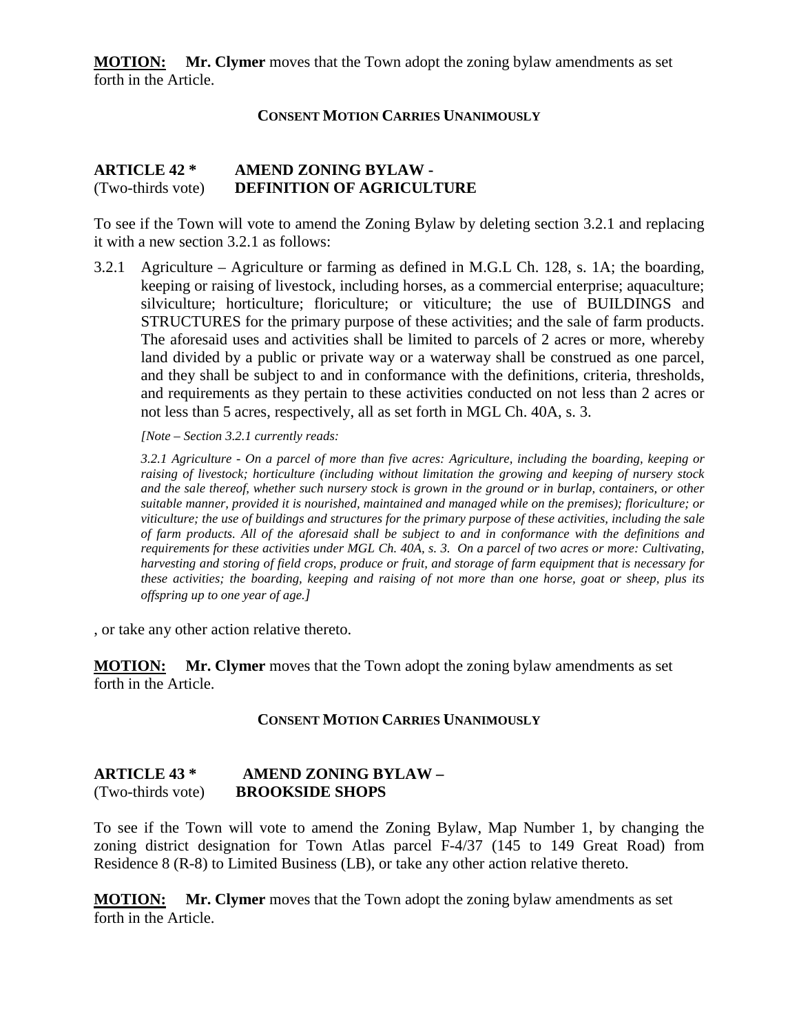**MOTION: Mr. Clymer** moves that the Town adopt the zoning bylaw amendments as set forth in the Article.

#### **CONSENT MOTION CARRIES UNANIMOUSLY**

#### **ARTICLE 42 \* AMEND ZONING BYLAW -** (Two-thirds vote) **DEFINITION OF AGRICULTURE**

To see if the Town will vote to amend the Zoning Bylaw by deleting section 3.2.1 and replacing it with a new section 3.2.1 as follows:

3.2.1 Agriculture – Agriculture or farming as defined in M.G.L Ch. 128, s. 1A; the boarding, keeping or raising of livestock, including horses, as a commercial enterprise; aquaculture; silviculture; horticulture; floriculture; or viticulture; the use of BUILDINGS and STRUCTURES for the primary purpose of these activities; and the sale of farm products. The aforesaid uses and activities shall be limited to parcels of 2 acres or more, whereby land divided by a public or private way or a waterway shall be construed as one parcel, and they shall be subject to and in conformance with the definitions, criteria, thresholds, and requirements as they pertain to these activities conducted on not less than 2 acres or not less than 5 acres, respectively, all as set forth in MGL Ch. 40A, s. 3.

*[Note – Section 3.2.1 currently reads:*

*3.2.1 Agriculture - On a parcel of more than five acres: Agriculture, including the boarding, keeping or raising of livestock; horticulture (including without limitation the growing and keeping of nursery stock and the sale thereof, whether such nursery stock is grown in the ground or in burlap, containers, or other suitable manner, provided it is nourished, maintained and managed while on the premises); floriculture; or viticulture; the use of buildings and structures for the primary purpose of these activities, including the sale of farm products. All of the aforesaid shall be subject to and in conformance with the definitions and requirements for these activities under MGL Ch. 40A, s. 3. On a parcel of two acres or more: Cultivating, harvesting and storing of field crops, produce or fruit, and storage of farm equipment that is necessary for these activities; the boarding, keeping and raising of not more than one horse, goat or sheep, plus its offspring up to one year of age.]*

, or take any other action relative thereto.

**MOTION: Mr. Clymer** moves that the Town adopt the zoning bylaw amendments as set forth in the Article.

#### **CONSENT MOTION CARRIES UNANIMOUSLY**

#### **ARTICLE 43 \* AMEND ZONING BYLAW –** (Two-thirds vote) **BROOKSIDE SHOPS**

To see if the Town will vote to amend the Zoning Bylaw, Map Number 1, by changing the zoning district designation for Town Atlas parcel F-4/37 (145 to 149 Great Road) from Residence 8 (R-8) to Limited Business (LB), or take any other action relative thereto.

**MOTION: Mr. Clymer** moves that the Town adopt the zoning bylaw amendments as set forth in the Article.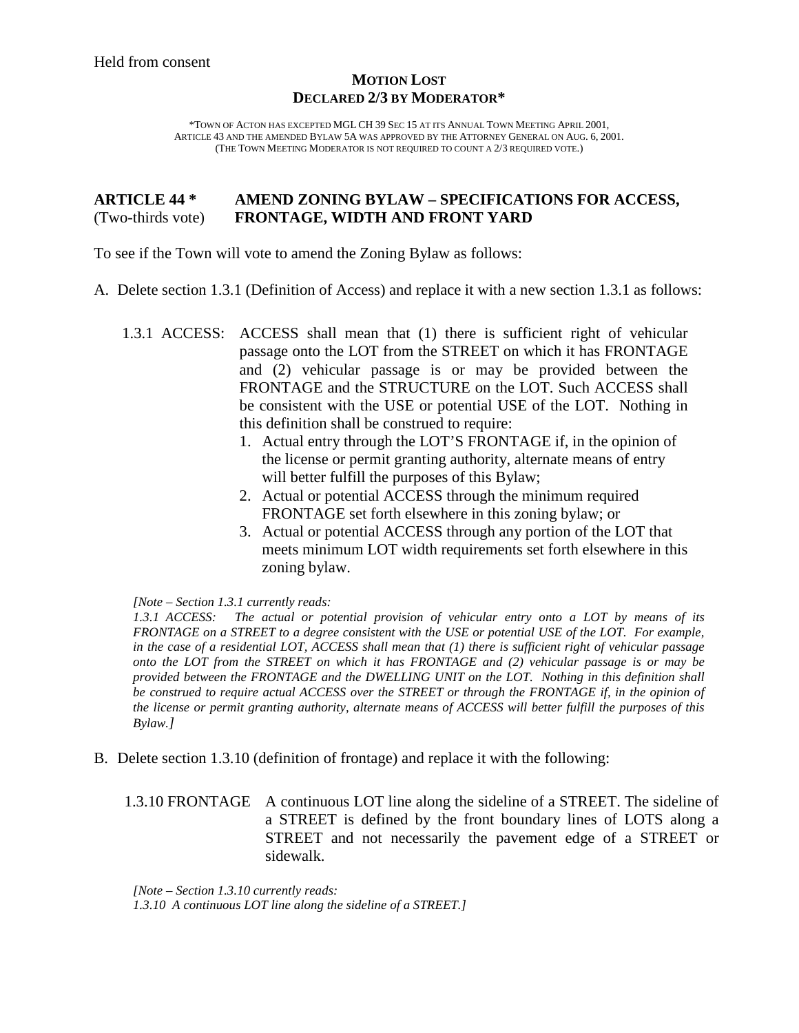#### **MOTION LOST DECLARED 2/3 BY MODERATOR\***

\*TOWN OF ACTON HAS EXCEPTED MGL CH 39 SEC 15 AT ITS ANNUAL TOWN MEETING APRIL 2001, ARTICLE 43 AND THE AMENDED BYLAW 5A WAS APPROVED BY THE ATTORNEY GENERAL ON AUG. 6, 2001. (THE TOWN MEETING MODERATOR IS NOT REQUIRED TO COUNT A 2/3 REQUIRED VOTE.)

#### **ARTICLE 44 \* AMEND ZONING BYLAW – SPECIFICATIONS FOR ACCESS,** (Two-thirds vote) **FRONTAGE, WIDTH AND FRONT YARD**

To see if the Town will vote to amend the Zoning Bylaw as follows:

- A. Delete section 1.3.1 (Definition of Access) and replace it with a new section 1.3.1 as follows:
	- 1.3.1 ACCESS: ACCESS shall mean that (1) there is sufficient right of vehicular passage onto the LOT from the STREET on which it has FRONTAGE and (2) vehicular passage is or may be provided between the FRONTAGE and the STRUCTURE on the LOT. Such ACCESS shall be consistent with the USE or potential USE of the LOT. Nothing in this definition shall be construed to require:
		- 1. Actual entry through the LOT'S FRONTAGE if, in the opinion of the license or permit granting authority, alternate means of entry will better fulfill the purposes of this Bylaw;
		- 2. Actual or potential ACCESS through the minimum required FRONTAGE set forth elsewhere in this zoning bylaw; or
		- 3. Actual or potential ACCESS through any portion of the LOT that meets minimum LOT width requirements set forth elsewhere in this zoning bylaw.

*[Note – Section 1.3.1 currently reads:*

*1.3.1 ACCESS: The actual or potential provision of vehicular entry onto a LOT by means of its FRONTAGE on a STREET to a degree consistent with the USE or potential USE of the LOT. For example, in the case of a residential LOT, ACCESS shall mean that (1) there is sufficient right of vehicular passage onto the LOT from the STREET on which it has FRONTAGE and (2) vehicular passage is or may be provided between the FRONTAGE and the DWELLING UNIT on the LOT. Nothing in this definition shall be construed to require actual ACCESS over the STREET or through the FRONTAGE if, in the opinion of the license or permit granting authority, alternate means of ACCESS will better fulfill the purposes of this Bylaw.]*

B. Delete section 1.3.10 (definition of frontage) and replace it with the following:

1.3.10 FRONTAGE A continuous LOT line along the sideline of a STREET. The sideline of a STREET is defined by the front boundary lines of LOTS along a STREET and not necessarily the pavement edge of a STREET or sidewalk.

*[Note – Section 1.3.10 currently reads: 1.3.10 A continuous LOT line along the sideline of a STREET.]*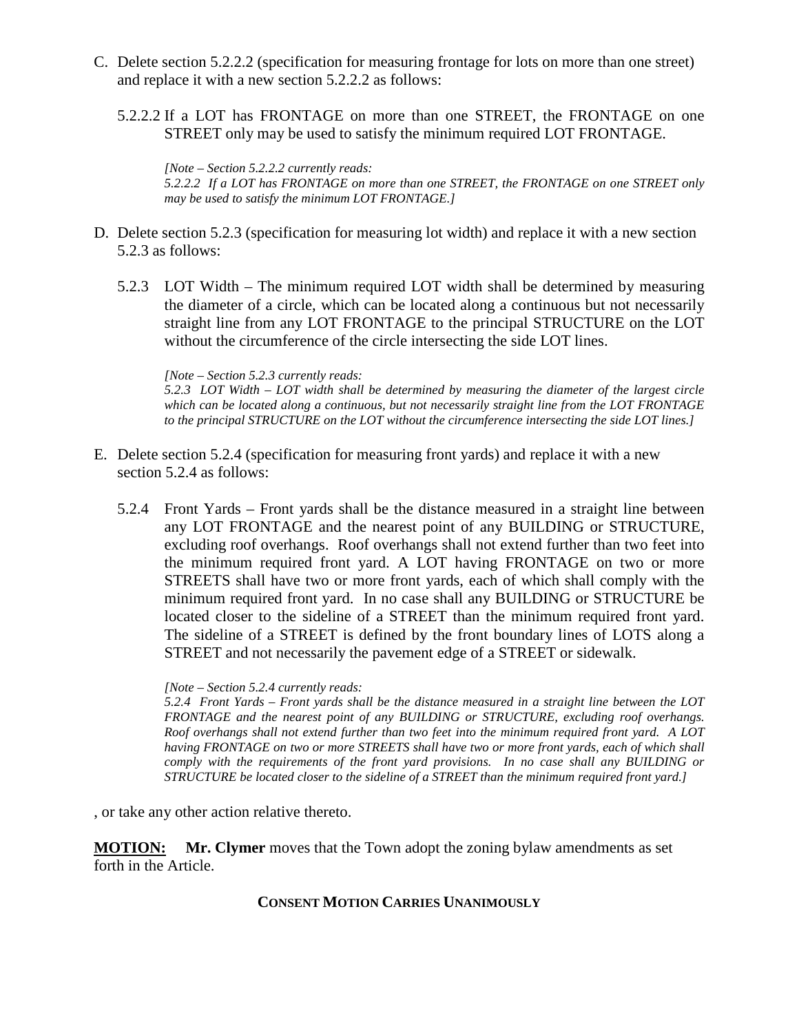- C. Delete section 5.2.2.2 (specification for measuring frontage for lots on more than one street) and replace it with a new section 5.2.2.2 as follows:
	- 5.2.2.2 If a LOT has FRONTAGE on more than one STREET, the FRONTAGE on one STREET only may be used to satisfy the minimum required LOT FRONTAGE.

*[Note – Section 5.2.2.2 currently reads: 5.2.2.2 If a LOT has FRONTAGE on more than one STREET, the FRONTAGE on one STREET only may be used to satisfy the minimum LOT FRONTAGE.]*

- D. Delete section 5.2.3 (specification for measuring lot width) and replace it with a new section 5.2.3 as follows:
	- 5.2.3 LOT Width The minimum required LOT width shall be determined by measuring the diameter of a circle, which can be located along a continuous but not necessarily straight line from any LOT FRONTAGE to the principal STRUCTURE on the LOT without the circumference of the circle intersecting the side LOT lines.

*[Note – Section 5.2.3 currently reads:*

*5.2.3 LOT Width – LOT width shall be determined by measuring the diameter of the largest circle which can be located along a continuous, but not necessarily straight line from the LOT FRONTAGE to the principal STRUCTURE on the LOT without the circumference intersecting the side LOT lines.]*

- E. Delete section 5.2.4 (specification for measuring front yards) and replace it with a new section 5.2.4 as follows:
	- 5.2.4 Front Yards Front yards shall be the distance measured in a straight line between any LOT FRONTAGE and the nearest point of any BUILDING or STRUCTURE, excluding roof overhangs. Roof overhangs shall not extend further than two feet into the minimum required front yard. A LOT having FRONTAGE on two or more STREETS shall have two or more front yards, each of which shall comply with the minimum required front yard. In no case shall any BUILDING or STRUCTURE be located closer to the sideline of a STREET than the minimum required front yard. The sideline of a STREET is defined by the front boundary lines of LOTS along a STREET and not necessarily the pavement edge of a STREET or sidewalk.

*[Note – Section 5.2.4 currently reads:*

*5.2.4 Front Yards – Front yards shall be the distance measured in a straight line between the LOT FRONTAGE and the nearest point of any BUILDING or STRUCTURE, excluding roof overhangs. Roof overhangs shall not extend further than two feet into the minimum required front yard. A LOT having FRONTAGE on two or more STREETS shall have two or more front yards, each of which shall comply with the requirements of the front yard provisions. In no case shall any BUILDING or STRUCTURE be located closer to the sideline of a STREET than the minimum required front yard.]*

, or take any other action relative thereto.

**MOTION: Mr. Clymer** moves that the Town adopt the zoning bylaw amendments as set forth in the Article.

#### **CONSENT MOTION CARRIES UNANIMOUSLY**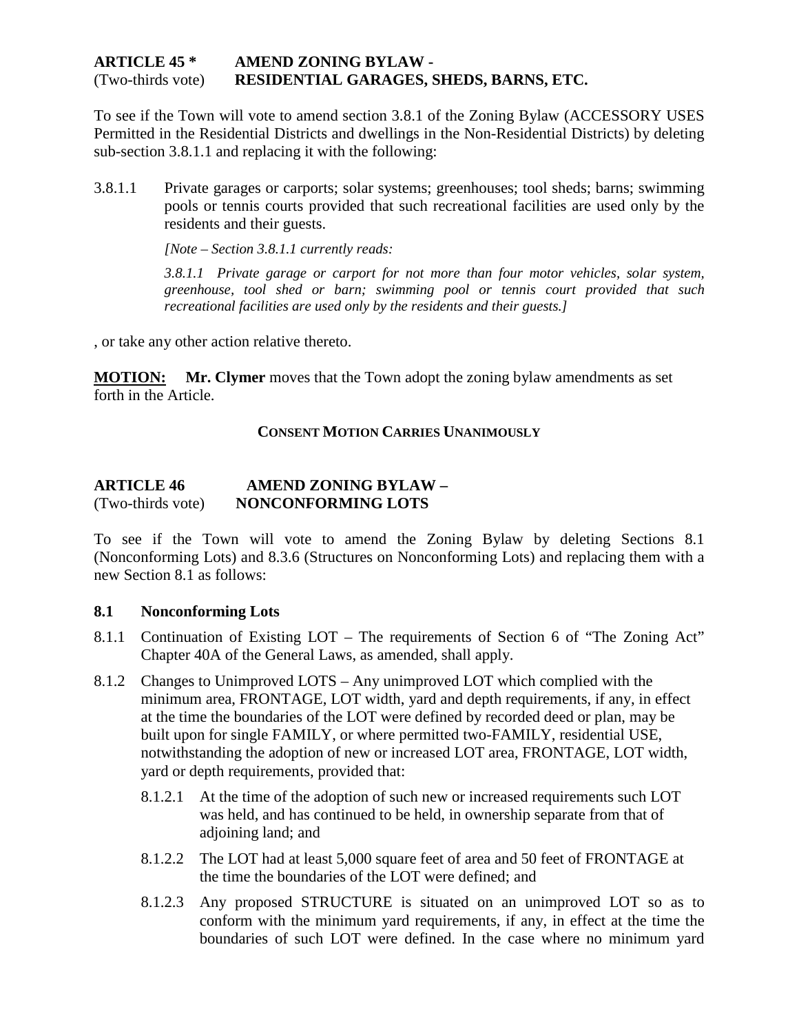#### **ARTICLE 45 \* AMEND ZONING BYLAW -** (Two-thirds vote) **RESIDENTIAL GARAGES, SHEDS, BARNS, ETC.**

To see if the Town will vote to amend section 3.8.1 of the Zoning Bylaw (ACCESSORY USES Permitted in the Residential Districts and dwellings in the Non-Residential Districts) by deleting sub-section 3.8.1.1 and replacing it with the following:

3.8.1.1 Private garages or carports; solar systems; greenhouses; tool sheds; barns; swimming pools or tennis courts provided that such recreational facilities are used only by the residents and their guests.

*[Note – Section 3.8.1.1 currently reads:*

*3.8.1.1 Private garage or carport for not more than four motor vehicles, solar system, greenhouse, tool shed or barn; swimming pool or tennis court provided that such recreational facilities are used only by the residents and their guests.]*

, or take any other action relative thereto.

**MOTION: Mr. Clymer** moves that the Town adopt the zoning bylaw amendments as set forth in the Article.

#### **CONSENT MOTION CARRIES UNANIMOUSLY**

#### **ARTICLE 46 AMEND ZONING BYLAW –** (Two-thirds vote) **NONCONFORMING LOTS**

To see if the Town will vote to amend the Zoning Bylaw by deleting Sections 8.1 (Nonconforming Lots) and 8.3.6 (Structures on Nonconforming Lots) and replacing them with a new Section 8.1 as follows:

#### **8.1 Nonconforming Lots**

- 8.1.1 Continuation of Existing LOT The requirements of Section 6 of "The Zoning Act" Chapter 40A of the General Laws, as amended, shall apply.
- 8.1.2 Changes to Unimproved LOTS Any unimproved LOT which complied with the minimum area, FRONTAGE, LOT width, yard and depth requirements, if any, in effect at the time the boundaries of the LOT were defined by recorded deed or plan, may be built upon for single FAMILY, or where permitted two-FAMILY, residential USE, notwithstanding the adoption of new or increased LOT area, FRONTAGE, LOT width, yard or depth requirements, provided that:
	- 8.1.2.1 At the time of the adoption of such new or increased requirements such LOT was held, and has continued to be held, in ownership separate from that of adjoining land; and
	- 8.1.2.2 The LOT had at least 5,000 square feet of area and 50 feet of FRONTAGE at the time the boundaries of the LOT were defined; and
	- 8.1.2.3 Any proposed STRUCTURE is situated on an unimproved LOT so as to conform with the minimum yard requirements, if any, in effect at the time the boundaries of such LOT were defined. In the case where no minimum yard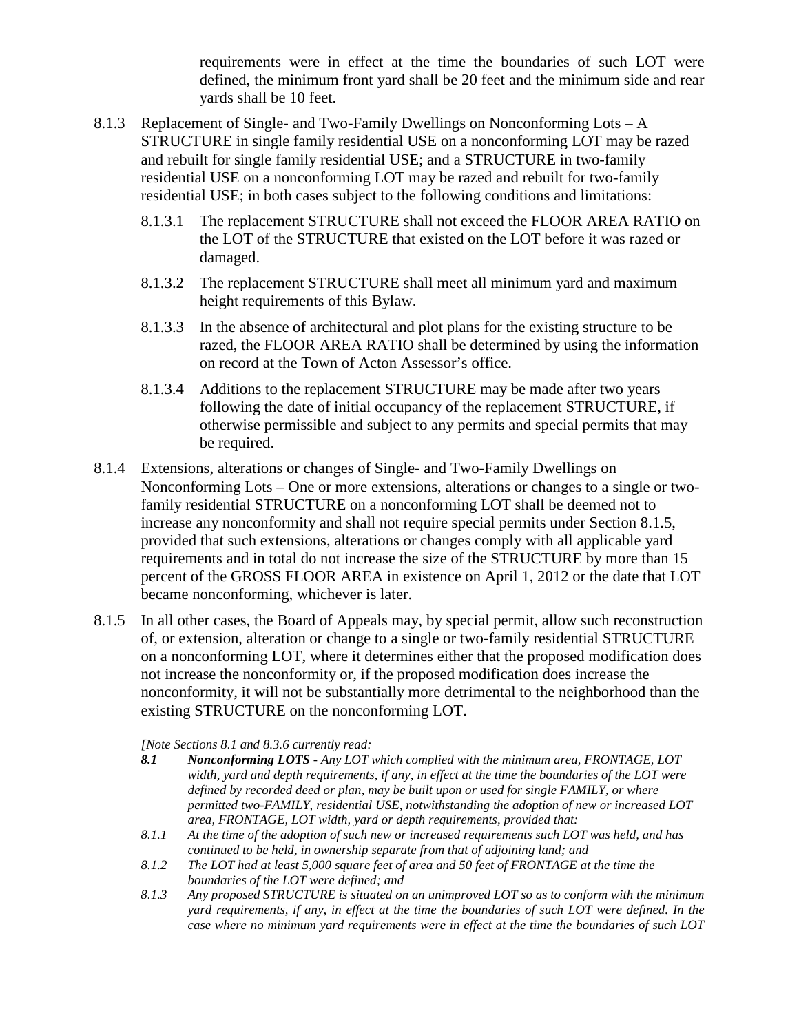requirements were in effect at the time the boundaries of such LOT were defined, the minimum front yard shall be 20 feet and the minimum side and rear yards shall be 10 feet.

- 8.1.3 Replacement of Single- and Two-Family Dwellings on Nonconforming Lots A STRUCTURE in single family residential USE on a nonconforming LOT may be razed and rebuilt for single family residential USE; and a STRUCTURE in two-family residential USE on a nonconforming LOT may be razed and rebuilt for two-family residential USE; in both cases subject to the following conditions and limitations:
	- 8.1.3.1 The replacement STRUCTURE shall not exceed the FLOOR AREA RATIO on the LOT of the STRUCTURE that existed on the LOT before it was razed or damaged.
	- 8.1.3.2 The replacement STRUCTURE shall meet all minimum yard and maximum height requirements of this Bylaw.
	- 8.1.3.3 In the absence of architectural and plot plans for the existing structure to be razed, the FLOOR AREA RATIO shall be determined by using the information on record at the Town of Acton Assessor's office.
	- 8.1.3.4 Additions to the replacement STRUCTURE may be made after two years following the date of initial occupancy of the replacement STRUCTURE, if otherwise permissible and subject to any permits and special permits that may be required.
- 8.1.4 Extensions, alterations or changes of Single- and Two-Family Dwellings on Nonconforming Lots – One or more extensions, alterations or changes to a single or twofamily residential STRUCTURE on a nonconforming LOT shall be deemed not to increase any nonconformity and shall not require special permits under Section 8.1.5, provided that such extensions, alterations or changes comply with all applicable yard requirements and in total do not increase the size of the STRUCTURE by more than 15 percent of the GROSS FLOOR AREA in existence on April 1, 2012 or the date that LOT became nonconforming, whichever is later.
- 8.1.5 In all other cases, the Board of Appeals may, by special permit, allow such reconstruction of, or extension, alteration or change to a single or two-family residential STRUCTURE on a nonconforming LOT, where it determines either that the proposed modification does not increase the nonconformity or, if the proposed modification does increase the nonconformity, it will not be substantially more detrimental to the neighborhood than the existing STRUCTURE on the nonconforming LOT.

*[Note Sections 8.1 and 8.3.6 currently read:* 

- *8.1 Nonconforming LOTS - Any LOT which complied with the minimum area, FRONTAGE, LOT width, yard and depth requirements, if any, in effect at the time the boundaries of the LOT were defined by recorded deed or plan, may be built upon or used for single FAMILY, or where permitted two-FAMILY, residential USE, notwithstanding the adoption of new or increased LOT area, FRONTAGE, LOT width, yard or depth requirements, provided that:*
- *8.1.1 At the time of the adoption of such new or increased requirements such LOT was held, and has continued to be held, in ownership separate from that of adjoining land; and*
- *8.1.2 The LOT had at least 5,000 square feet of area and 50 feet of FRONTAGE at the time the boundaries of the LOT were defined; and*
- *8.1.3 Any proposed STRUCTURE is situated on an unimproved LOT so as to conform with the minimum yard requirements, if any, in effect at the time the boundaries of such LOT were defined. In the case where no minimum yard requirements were in effect at the time the boundaries of such LOT*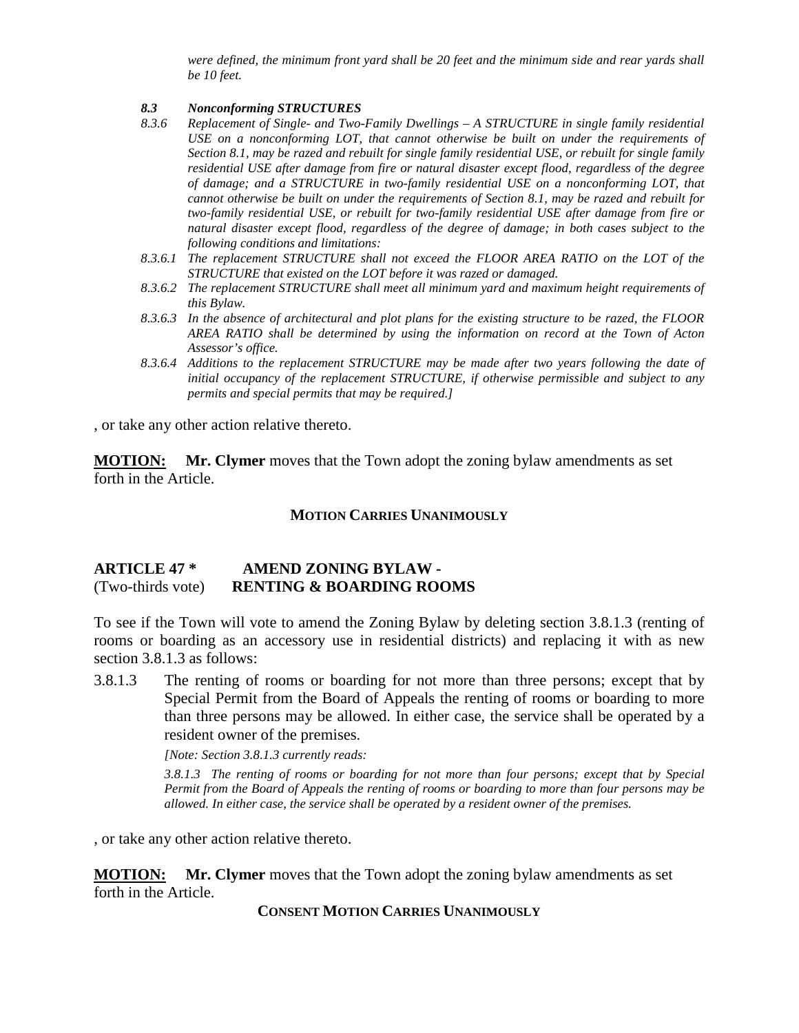*were defined, the minimum front yard shall be 20 feet and the minimum side and rear yards shall be 10 feet.*

# *8.3 Nonconforming STRUCTURES*

- *8.3.6 Replacement of Single- and Two-Family Dwellings – A STRUCTURE in single family residential USE on a nonconforming LOT, that cannot otherwise be built on under the requirements of Section 8.1, may be razed and rebuilt for single family residential USE, or rebuilt for single family residential USE after damage from fire or natural disaster except flood, regardless of the degree of damage; and a STRUCTURE in two-family residential USE on a nonconforming LOT, that cannot otherwise be built on under the requirements of Section 8.1, may be razed and rebuilt for two-family residential USE, or rebuilt for two-family residential USE after damage from fire or natural disaster except flood, regardless of the degree of damage; in both cases subject to the following conditions and limitations:*
- *8.3.6.1 The replacement STRUCTURE shall not exceed the FLOOR AREA RATIO on the LOT of the STRUCTURE that existed on the LOT before it was razed or damaged.*
- *8.3.6.2 The replacement STRUCTURE shall meet all minimum yard and maximum height requirements of this Bylaw.*
- *8.3.6.3 In the absence of architectural and plot plans for the existing structure to be razed, the FLOOR AREA RATIO shall be determined by using the information on record at the Town of Acton Assessor's office.*
- *8.3.6.4 Additions to the replacement STRUCTURE may be made after two years following the date of initial occupancy of the replacement STRUCTURE, if otherwise permissible and subject to any permits and special permits that may be required.]*

, or take any other action relative thereto.

**MOTION: Mr. Clymer** moves that the Town adopt the zoning bylaw amendments as set forth in the Article.

#### **MOTION CARRIES UNANIMOUSLY**

#### **ARTICLE 47 \* AMEND ZONING BYLAW -** (Two-thirds vote) **RENTING & BOARDING ROOMS**

To see if the Town will vote to amend the Zoning Bylaw by deleting section 3.8.1.3 (renting of rooms or boarding as an accessory use in residential districts) and replacing it with as new section 3.8.1.3 as follows:

3.8.1.3 The renting of rooms or boarding for not more than three persons; except that by Special Permit from the Board of Appeals the renting of rooms or boarding to more than three persons may be allowed. In either case, the service shall be operated by a resident owner of the premises.

*[Note: Section 3.8.1.3 currently reads:*

*3.8.1.3 The renting of rooms or boarding for not more than four persons; except that by Special Permit from the Board of Appeals the renting of rooms or boarding to more than four persons may be allowed. In either case, the service shall be operated by a resident owner of the premises.*

, or take any other action relative thereto.

**MOTION: Mr. Clymer** moves that the Town adopt the zoning bylaw amendments as set forth in the Article.

**CONSENT MOTION CARRIES UNANIMOUSLY**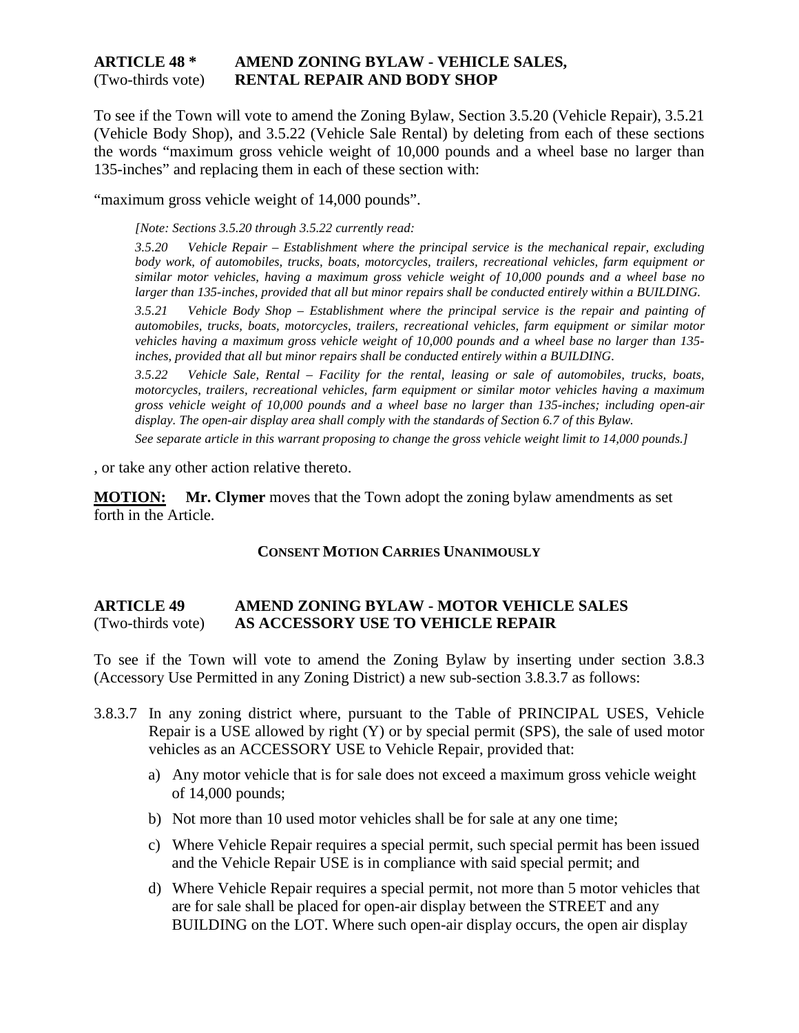#### **ARTICLE 48 \* AMEND ZONING BYLAW - VEHICLE SALES,** (Two-thirds vote) **RENTAL REPAIR AND BODY SHOP**

To see if the Town will vote to amend the Zoning Bylaw, Section 3.5.20 (Vehicle Repair), 3.5.21 (Vehicle Body Shop), and 3.5.22 (Vehicle Sale Rental) by deleting from each of these sections the words "maximum gross vehicle weight of 10,000 pounds and a wheel base no larger than 135-inches" and replacing them in each of these section with:

"maximum gross vehicle weight of 14,000 pounds".

*[Note: Sections 3.5.20 through 3.5.22 currently read:*

*3.5.20 Vehicle Repair – Establishment where the principal service is the mechanical repair, excluding body work, of automobiles, trucks, boats, motorcycles, trailers, recreational vehicles, farm equipment or similar motor vehicles, having a maximum gross vehicle weight of 10,000 pounds and a wheel base no larger than 135-inches, provided that all but minor repairs shall be conducted entirely within a BUILDING.*

*3.5.21 Vehicle Body Shop – Establishment where the principal service is the repair and painting of automobiles, trucks, boats, motorcycles, trailers, recreational vehicles, farm equipment or similar motor vehicles having a maximum gross vehicle weight of 10,000 pounds and a wheel base no larger than 135 inches, provided that all but minor repairs shall be conducted entirely within a BUILDING.*

*3.5.22 Vehicle Sale, Rental – Facility for the rental, leasing or sale of automobiles, trucks, boats, motorcycles, trailers, recreational vehicles, farm equipment or similar motor vehicles having a maximum gross vehicle weight of 10,000 pounds and a wheel base no larger than 135-inches; including open-air display. The open-air display area shall comply with the standards of Section 6.7 of this Bylaw.*

*See separate article in this warrant proposing to change the gross vehicle weight limit to 14,000 pounds.]*

, or take any other action relative thereto.

**MOTION: Mr. Clymer** moves that the Town adopt the zoning bylaw amendments as set forth in the Article.

#### **CONSENT MOTION CARRIES UNANIMOUSLY**

#### **ARTICLE 49 AMEND ZONING BYLAW - MOTOR VEHICLE SALES** (Two-thirds vote) **AS ACCESSORY USE TO VEHICLE REPAIR**

To see if the Town will vote to amend the Zoning Bylaw by inserting under section 3.8.3 (Accessory Use Permitted in any Zoning District) a new sub-section 3.8.3.7 as follows:

- 3.8.3.7 In any zoning district where, pursuant to the Table of PRINCIPAL USES, Vehicle Repair is a USE allowed by right (Y) or by special permit (SPS), the sale of used motor vehicles as an ACCESSORY USE to Vehicle Repair, provided that:
	- a) Any motor vehicle that is for sale does not exceed a maximum gross vehicle weight of 14,000 pounds;
	- b) Not more than 10 used motor vehicles shall be for sale at any one time;
	- c) Where Vehicle Repair requires a special permit, such special permit has been issued and the Vehicle Repair USE is in compliance with said special permit; and
	- d) Where Vehicle Repair requires a special permit, not more than 5 motor vehicles that are for sale shall be placed for open-air display between the STREET and any BUILDING on the LOT. Where such open-air display occurs, the open air display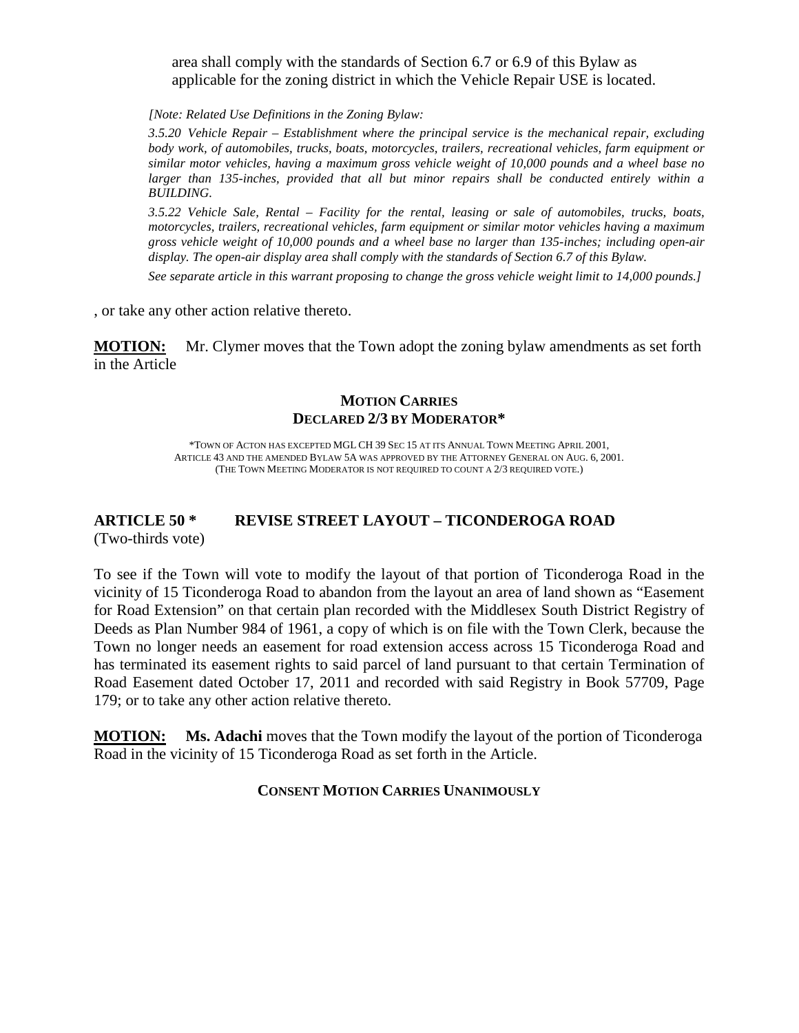area shall comply with the standards of Section 6.7 or 6.9 of this Bylaw as applicable for the zoning district in which the Vehicle Repair USE is located.

*[Note: Related Use Definitions in the Zoning Bylaw:*

*3.5.20 Vehicle Repair – Establishment where the principal service is the mechanical repair, excluding body work, of automobiles, trucks, boats, motorcycles, trailers, recreational vehicles, farm equipment or similar motor vehicles, having a maximum gross vehicle weight of 10,000 pounds and a wheel base no larger than 135-inches, provided that all but minor repairs shall be conducted entirely within a BUILDING.*

*3.5.22 Vehicle Sale, Rental – Facility for the rental, leasing or sale of automobiles, trucks, boats, motorcycles, trailers, recreational vehicles, farm equipment or similar motor vehicles having a maximum gross vehicle weight of 10,000 pounds and a wheel base no larger than 135-inches; including open-air display. The open-air display area shall comply with the standards of Section 6.7 of this Bylaw.*

*See separate article in this warrant proposing to change the gross vehicle weight limit to 14,000 pounds.]*

, or take any other action relative thereto.

**MOTION:** Mr. Clymer moves that the Town adopt the zoning bylaw amendments as set forth in the Article

#### **MOTION CARRIES DECLARED 2/3 BY MODERATOR\***

\*TOWN OF ACTON HAS EXCEPTED MGL CH 39 SEC 15 AT ITS ANNUAL TOWN MEETING APRIL 2001, ARTICLE 43 AND THE AMENDED BYLAW 5A WAS APPROVED BY THE ATTORNEY GENERAL ON AUG. 6, 2001. (THE TOWN MEETING MODERATOR IS NOT REQUIRED TO COUNT A 2/3 REQUIRED VOTE.)

#### **ARTICLE 50 \* REVISE STREET LAYOUT – TICONDEROGA ROAD** (Two-thirds vote)

To see if the Town will vote to modify the layout of that portion of Ticonderoga Road in the vicinity of 15 Ticonderoga Road to abandon from the layout an area of land shown as "Easement for Road Extension" on that certain plan recorded with the Middlesex South District Registry of Deeds as Plan Number 984 of 1961, a copy of which is on file with the Town Clerk, because the Town no longer needs an easement for road extension access across 15 Ticonderoga Road and has terminated its easement rights to said parcel of land pursuant to that certain Termination of Road Easement dated October 17, 2011 and recorded with said Registry in Book 57709, Page 179; or to take any other action relative thereto.

**MOTION: Ms. Adachi** moves that the Town modify the layout of the portion of Ticonderoga Road in the vicinity of 15 Ticonderoga Road as set forth in the Article.

#### **CONSENT MOTION CARRIES UNANIMOUSLY**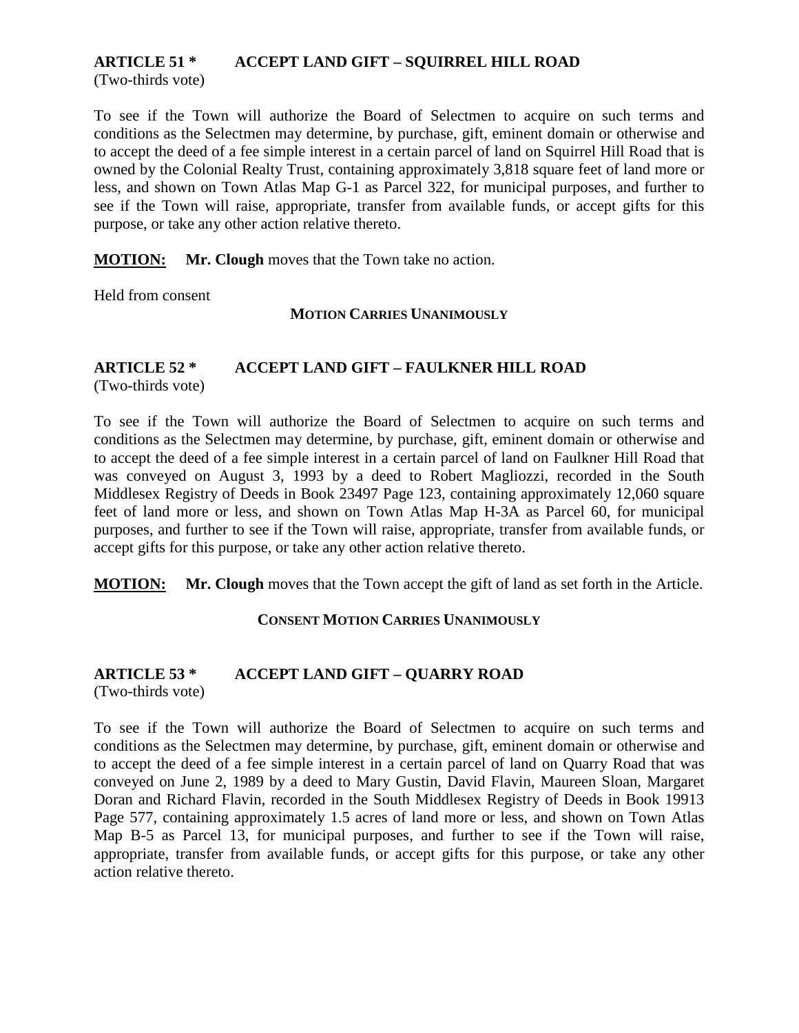## **ARTICLE 51 \* ACCEPT LAND GIFT – SQUIRREL HILL ROAD**

(Two-thirds vote)

To see if the Town will authorize the Board of Selectmen to acquire on such terms and conditions as the Selectmen may determine, by purchase, gift, eminent domain or otherwise and to accept the deed of a fee simple interest in a certain parcel of land on Squirrel Hill Road that is owned by the Colonial Realty Trust, containing approximately 3,818 square feet of land more or less, and shown on Town Atlas Map G-1 as Parcel 322, for municipal purposes, and further to see if the Town will raise, appropriate, transfer from available funds, or accept gifts for this purpose, or take any other action relative thereto.

**MOTION: Mr. Clough** moves that the Town take no action.

Held from consent

**MOTION CARRIES UNANIMOUSLY**

#### **ARTICLE 52 \* ACCEPT LAND GIFT – FAULKNER HILL ROAD**

(Two-thirds vote)

To see if the Town will authorize the Board of Selectmen to acquire on such terms and conditions as the Selectmen may determine, by purchase, gift, eminent domain or otherwise and to accept the deed of a fee simple interest in a certain parcel of land on Faulkner Hill Road that was conveyed on August 3, 1993 by a deed to Robert Magliozzi, recorded in the South Middlesex Registry of Deeds in Book 23497 Page 123, containing approximately 12,060 square feet of land more or less, and shown on Town Atlas Map H-3A as Parcel 60, for municipal purposes, and further to see if the Town will raise, appropriate, transfer from available funds, or accept gifts for this purpose, or take any other action relative thereto.

**MOTION: Mr. Clough** moves that the Town accept the gift of land as set forth in the Article.

#### **CONSENT MOTION CARRIES UNANIMOUSLY**

### **ARTICLE 53 \* ACCEPT LAND GIFT – QUARRY ROAD**

(Two-thirds vote)

To see if the Town will authorize the Board of Selectmen to acquire on such terms and conditions as the Selectmen may determine, by purchase, gift, eminent domain or otherwise and to accept the deed of a fee simple interest in a certain parcel of land on Quarry Road that was conveyed on June 2, 1989 by a deed to Mary Gustin, David Flavin, Maureen Sloan, Margaret Doran and Richard Flavin, recorded in the South Middlesex Registry of Deeds in Book 19913 Page 577, containing approximately 1.5 acres of land more or less, and shown on Town Atlas Map B-5 as Parcel 13, for municipal purposes, and further to see if the Town will raise, appropriate, transfer from available funds, or accept gifts for this purpose, or take any other action relative thereto.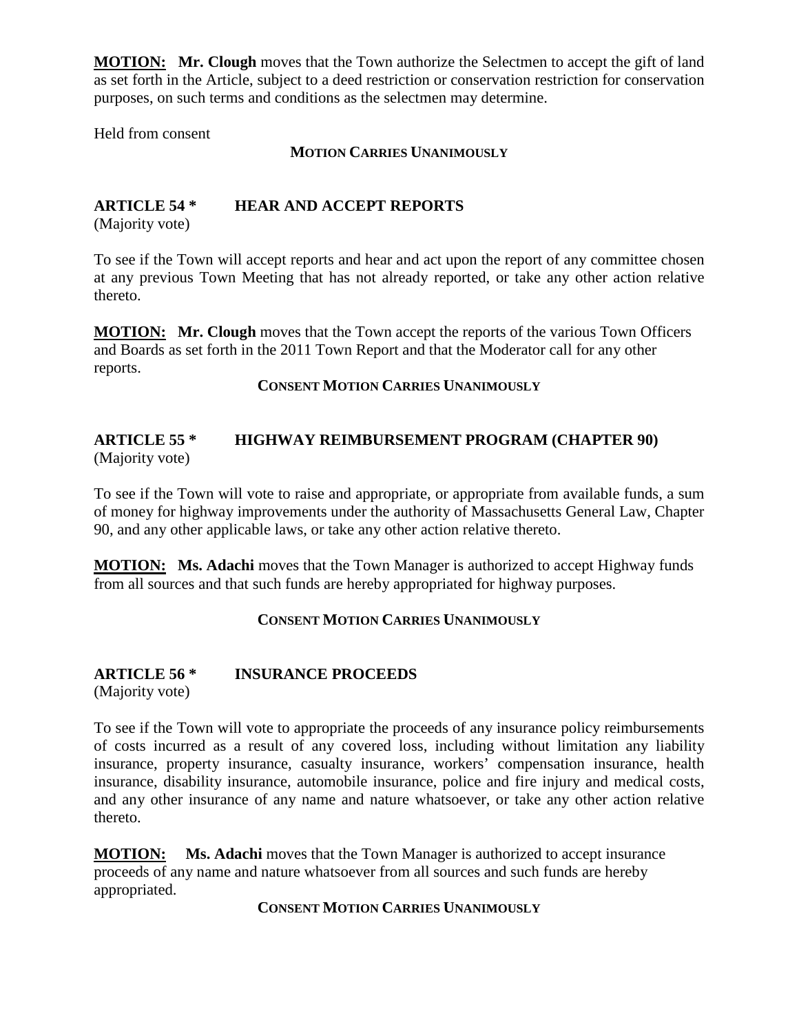**MOTION: Mr. Clough** moves that the Town authorize the Selectmen to accept the gift of land as set forth in the Article, subject to a deed restriction or conservation restriction for conservation purposes, on such terms and conditions as the selectmen may determine.

Held from consent

#### **MOTION CARRIES UNANIMOUSLY**

#### **ARTICLE 54 \* HEAR AND ACCEPT REPORTS**

(Majority vote)

To see if the Town will accept reports and hear and act upon the report of any committee chosen at any previous Town Meeting that has not already reported, or take any other action relative thereto.

**MOTION: Mr. Clough** moves that the Town accept the reports of the various Town Officers and Boards as set forth in the 2011 Town Report and that the Moderator call for any other reports.

**CONSENT MOTION CARRIES UNANIMOUSLY**

#### **ARTICLE 55 \* HIGHWAY REIMBURSEMENT PROGRAM (CHAPTER 90)** (Majority vote)

To see if the Town will vote to raise and appropriate, or appropriate from available funds, a sum of money for highway improvements under the authority of Massachusetts General Law, Chapter 90, and any other applicable laws, or take any other action relative thereto.

**MOTION: Ms. Adachi** moves that the Town Manager is authorized to accept Highway funds from all sources and that such funds are hereby appropriated for highway purposes.

#### **CONSENT MOTION CARRIES UNANIMOUSLY**

# **ARTICLE 56 \* INSURANCE PROCEEDS**

(Majority vote)

To see if the Town will vote to appropriate the proceeds of any insurance policy reimbursements of costs incurred as a result of any covered loss, including without limitation any liability insurance, property insurance, casualty insurance, workers' compensation insurance, health insurance, disability insurance, automobile insurance, police and fire injury and medical costs, and any other insurance of any name and nature whatsoever, or take any other action relative thereto.

**MOTION: Ms. Adachi** moves that the Town Manager is authorized to accept insurance proceeds of any name and nature whatsoever from all sources and such funds are hereby appropriated.

**CONSENT MOTION CARRIES UNANIMOUSLY**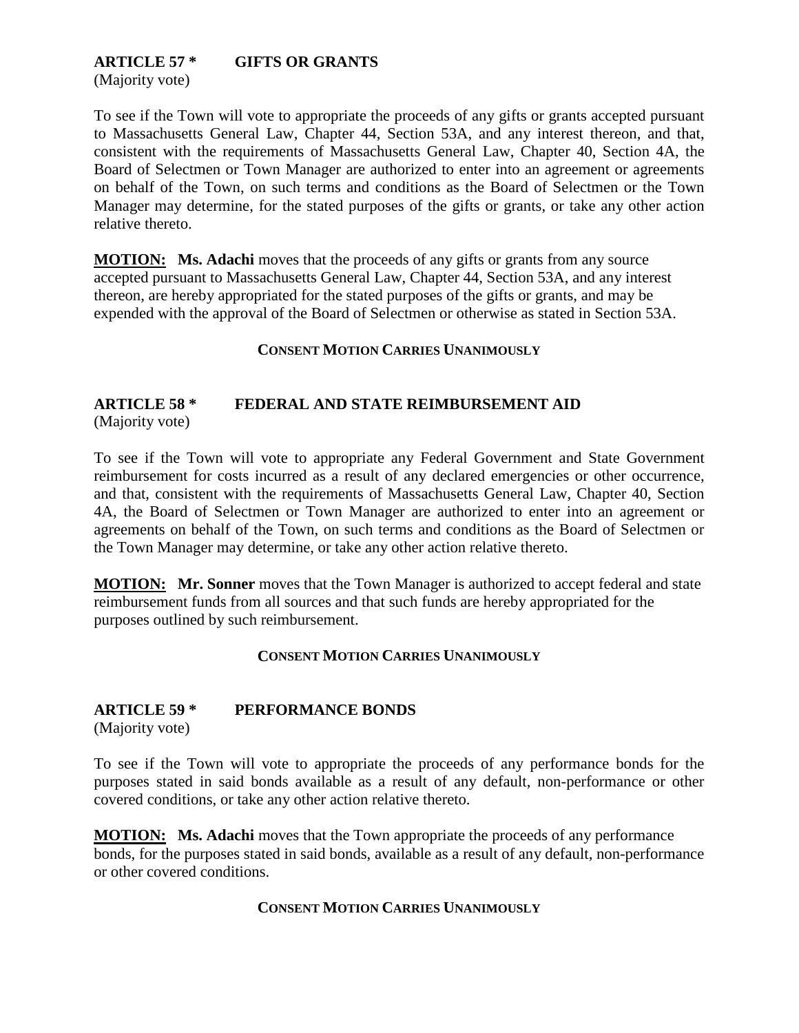# **ARTICLE 57 \* GIFTS OR GRANTS**

(Majority vote)

To see if the Town will vote to appropriate the proceeds of any gifts or grants accepted pursuant to Massachusetts General Law, Chapter 44, Section 53A, and any interest thereon, and that, consistent with the requirements of Massachusetts General Law, Chapter 40, Section 4A, the Board of Selectmen or Town Manager are authorized to enter into an agreement or agreements on behalf of the Town, on such terms and conditions as the Board of Selectmen or the Town Manager may determine, for the stated purposes of the gifts or grants, or take any other action relative thereto.

**MOTION: Ms. Adachi** moves that the proceeds of any gifts or grants from any source accepted pursuant to Massachusetts General Law, Chapter 44, Section 53A, and any interest thereon, are hereby appropriated for the stated purposes of the gifts or grants, and may be expended with the approval of the Board of Selectmen or otherwise as stated in Section 53A.

#### **CONSENT MOTION CARRIES UNANIMOUSLY**

#### **ARTICLE 58 \* FEDERAL AND STATE REIMBURSEMENT AID** (Majority vote)

To see if the Town will vote to appropriate any Federal Government and State Government reimbursement for costs incurred as a result of any declared emergencies or other occurrence, and that, consistent with the requirements of Massachusetts General Law, Chapter 40, Section 4A, the Board of Selectmen or Town Manager are authorized to enter into an agreement or agreements on behalf of the Town, on such terms and conditions as the Board of Selectmen or the Town Manager may determine, or take any other action relative thereto.

**MOTION: Mr. Sonner** moves that the Town Manager is authorized to accept federal and state reimbursement funds from all sources and that such funds are hereby appropriated for the purposes outlined by such reimbursement.

#### **CONSENT MOTION CARRIES UNANIMOUSLY**

### **ARTICLE 59 \* PERFORMANCE BONDS**

(Majority vote)

To see if the Town will vote to appropriate the proceeds of any performance bonds for the purposes stated in said bonds available as a result of any default, non-performance or other covered conditions, or take any other action relative thereto.

**MOTION: Ms. Adachi** moves that the Town appropriate the proceeds of any performance bonds, for the purposes stated in said bonds, available as a result of any default, non-performance or other covered conditions.

#### **CONSENT MOTION CARRIES UNANIMOUSLY**